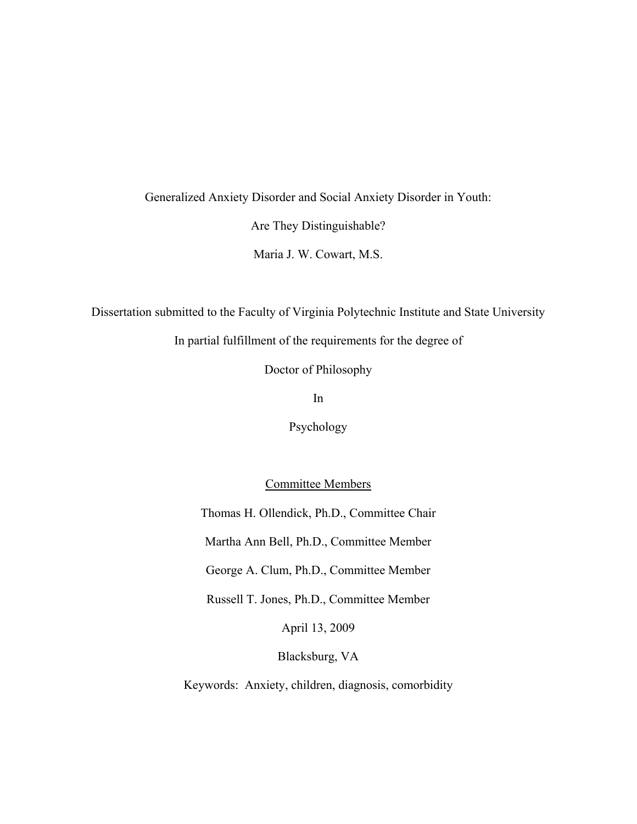### Generalized Anxiety Disorder and Social Anxiety Disorder in Youth:

Are They Distinguishable?

Maria J. W. Cowart, M.S.

Dissertation submitted to the Faculty of Virginia Polytechnic Institute and State University

In partial fulfillment of the requirements for the degree of

Doctor of Philosophy

In

Psychology

Committee Members

Thomas H. Ollendick, Ph.D., Committee Chair Martha Ann Bell, Ph.D., Committee Member George A. Clum, Ph.D., Committee Member Russell T. Jones, Ph.D., Committee Member April 13, 2009 Blacksburg, VA

Keywords: Anxiety, children, diagnosis, comorbidity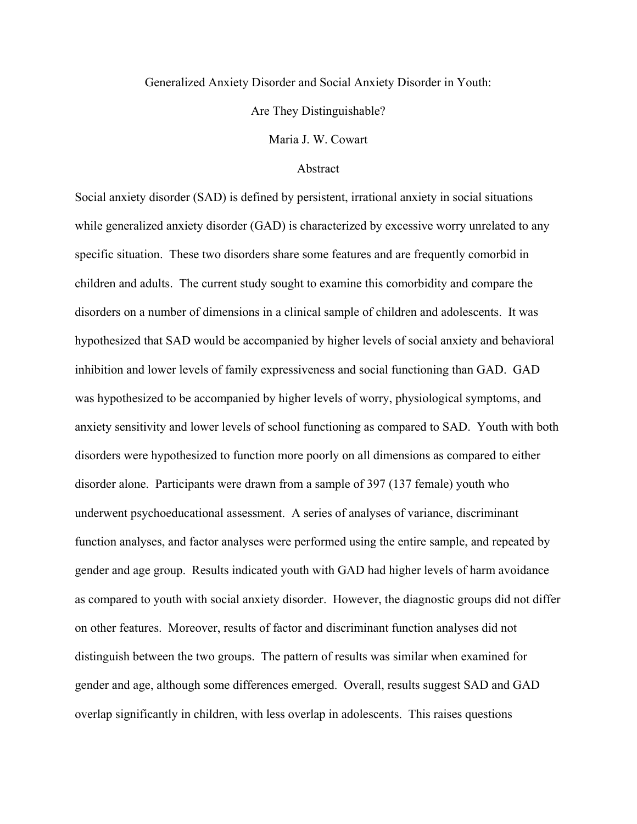#### Generalized Anxiety Disorder and Social Anxiety Disorder in Youth:

Are They Distinguishable?

Maria J. W. Cowart

#### Abstract

Social anxiety disorder (SAD) is defined by persistent, irrational anxiety in social situations while generalized anxiety disorder (GAD) is characterized by excessive worry unrelated to any specific situation. These two disorders share some features and are frequently comorbid in children and adults. The current study sought to examine this comorbidity and compare the disorders on a number of dimensions in a clinical sample of children and adolescents. It was hypothesized that SAD would be accompanied by higher levels of social anxiety and behavioral inhibition and lower levels of family expressiveness and social functioning than GAD. GAD was hypothesized to be accompanied by higher levels of worry, physiological symptoms, and anxiety sensitivity and lower levels of school functioning as compared to SAD. Youth with both disorders were hypothesized to function more poorly on all dimensions as compared to either disorder alone. Participants were drawn from a sample of 397 (137 female) youth who underwent psychoeducational assessment. A series of analyses of variance, discriminant function analyses, and factor analyses were performed using the entire sample, and repeated by gender and age group. Results indicated youth with GAD had higher levels of harm avoidance as compared to youth with social anxiety disorder. However, the diagnostic groups did not differ on other features. Moreover, results of factor and discriminant function analyses did not distinguish between the two groups. The pattern of results was similar when examined for gender and age, although some differences emerged. Overall, results suggest SAD and GAD overlap significantly in children, with less overlap in adolescents. This raises questions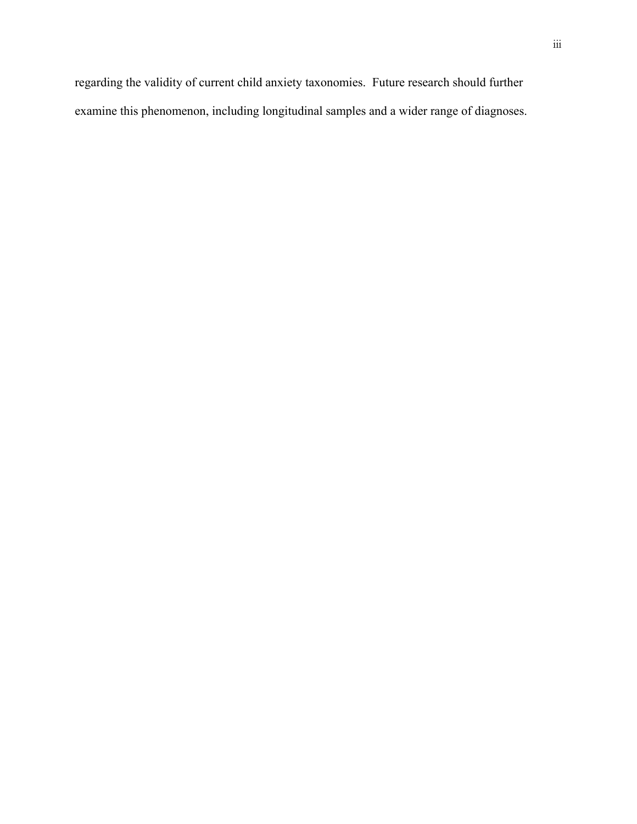regarding the validity of current child anxiety taxonomies. Future research should further examine this phenomenon, including longitudinal samples and a wider range of diagnoses.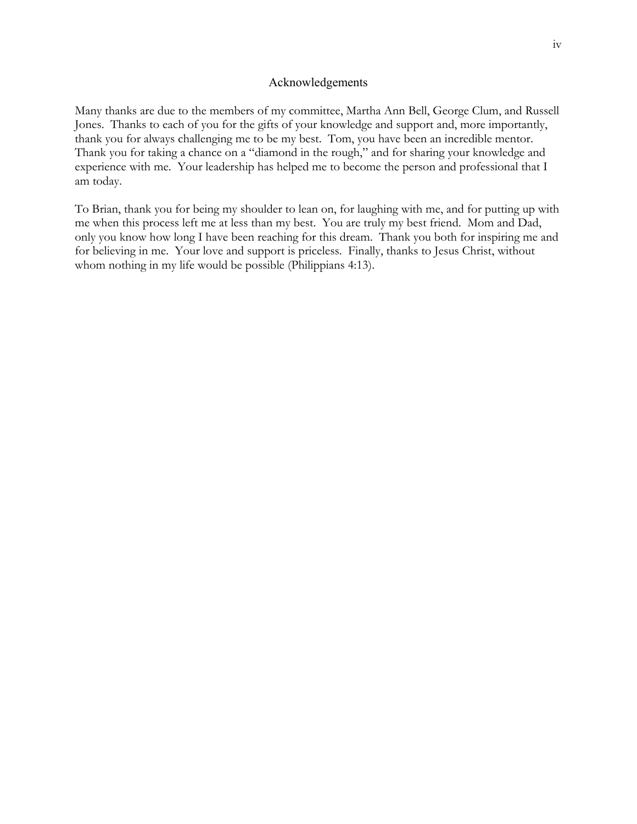#### Acknowledgements

Many thanks are due to the members of my committee, Martha Ann Bell, George Clum, and Russell Jones. Thanks to each of you for the gifts of your knowledge and support and, more importantly, thank you for always challenging me to be my best. Tom, you have been an incredible mentor. Thank you for taking a chance on a "diamond in the rough," and for sharing your knowledge and experience with me. Your leadership has helped me to become the person and professional that I am today.

To Brian, thank you for being my shoulder to lean on, for laughing with me, and for putting up with me when this process left me at less than my best. You are truly my best friend. Mom and Dad, only you know how long I have been reaching for this dream. Thank you both for inspiring me and for believing in me. Your love and support is priceless. Finally, thanks to Jesus Christ, without whom nothing in my life would be possible (Philippians 4:13).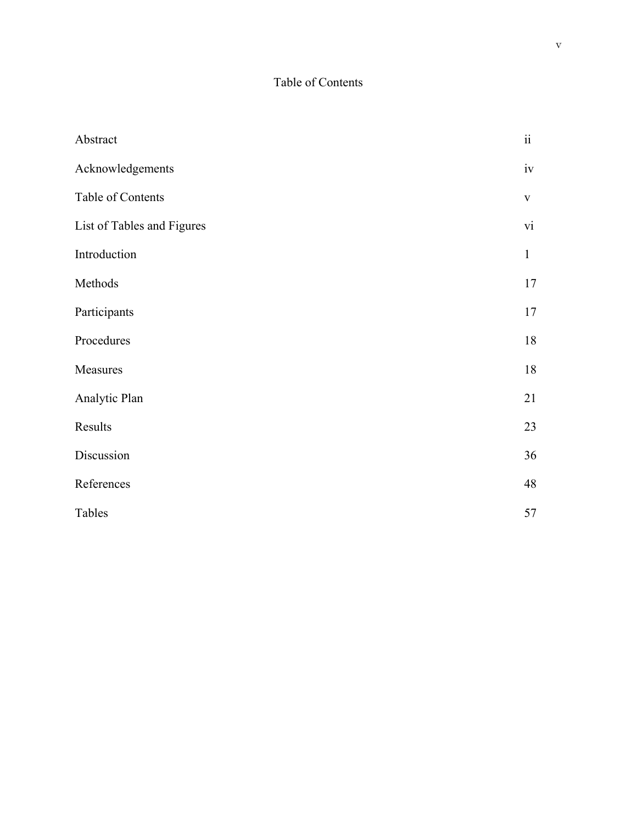## Table of Contents

| Abstract                   | $\ddot{\rm ii}$ |
|----------------------------|-----------------|
| Acknowledgements           |                 |
| Table of Contents          | $\mathbf V$     |
| List of Tables and Figures |                 |
| Introduction               | $\mathbf{1}$    |
| Methods                    | 17              |
| Participants               | 17              |
| Procedures                 | 18              |
| Measures                   | 18              |
| Analytic Plan              | 21              |
| Results                    | 23              |
| Discussion                 | 36              |
| References                 | 48              |
| Tables                     | 57              |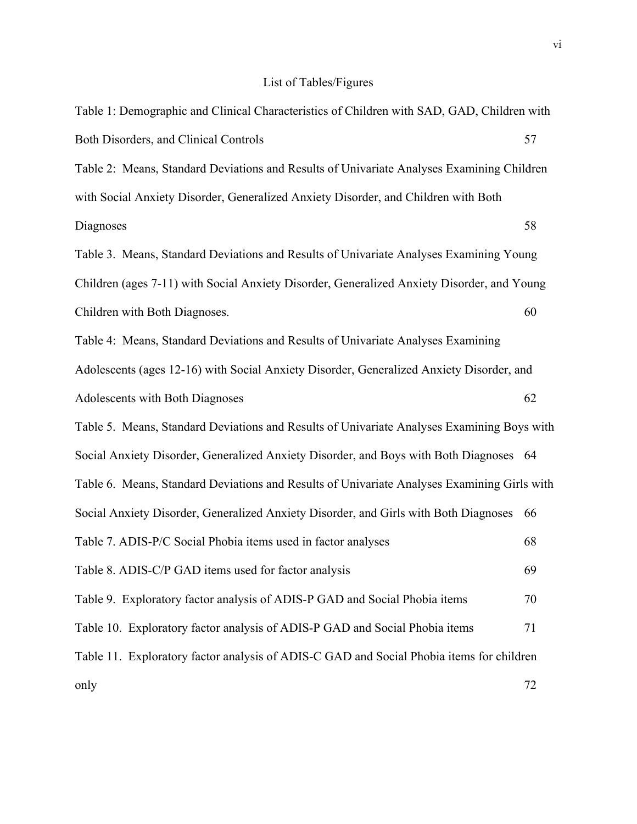# List of Tables/Figures

| Table 1: Demographic and Clinical Characteristics of Children with SAD, GAD, Children with  |    |  |  |
|---------------------------------------------------------------------------------------------|----|--|--|
| Both Disorders, and Clinical Controls                                                       | 57 |  |  |
| Table 2: Means, Standard Deviations and Results of Univariate Analyses Examining Children   |    |  |  |
| with Social Anxiety Disorder, Generalized Anxiety Disorder, and Children with Both          |    |  |  |
| Diagnoses                                                                                   | 58 |  |  |
| Table 3. Means, Standard Deviations and Results of Univariate Analyses Examining Young      |    |  |  |
| Children (ages 7-11) with Social Anxiety Disorder, Generalized Anxiety Disorder, and Young  |    |  |  |
| Children with Both Diagnoses.                                                               | 60 |  |  |
| Table 4: Means, Standard Deviations and Results of Univariate Analyses Examining            |    |  |  |
| Adolescents (ages 12-16) with Social Anxiety Disorder, Generalized Anxiety Disorder, and    |    |  |  |
| Adolescents with Both Diagnoses                                                             | 62 |  |  |
| Table 5. Means, Standard Deviations and Results of Univariate Analyses Examining Boys with  |    |  |  |
| Social Anxiety Disorder, Generalized Anxiety Disorder, and Boys with Both Diagnoses 64      |    |  |  |
| Table 6. Means, Standard Deviations and Results of Univariate Analyses Examining Girls with |    |  |  |
| Social Anxiety Disorder, Generalized Anxiety Disorder, and Girls with Both Diagnoses        | 66 |  |  |
| Table 7. ADIS-P/C Social Phobia items used in factor analyses                               | 68 |  |  |
| Table 8. ADIS-C/P GAD items used for factor analysis                                        | 69 |  |  |
| Table 9. Exploratory factor analysis of ADIS-P GAD and Social Phobia items                  | 70 |  |  |
| Table 10. Exploratory factor analysis of ADIS-P GAD and Social Phobia items                 | 71 |  |  |
| Table 11. Exploratory factor analysis of ADIS-C GAD and Social Phobia items for children    |    |  |  |
| only                                                                                        | 72 |  |  |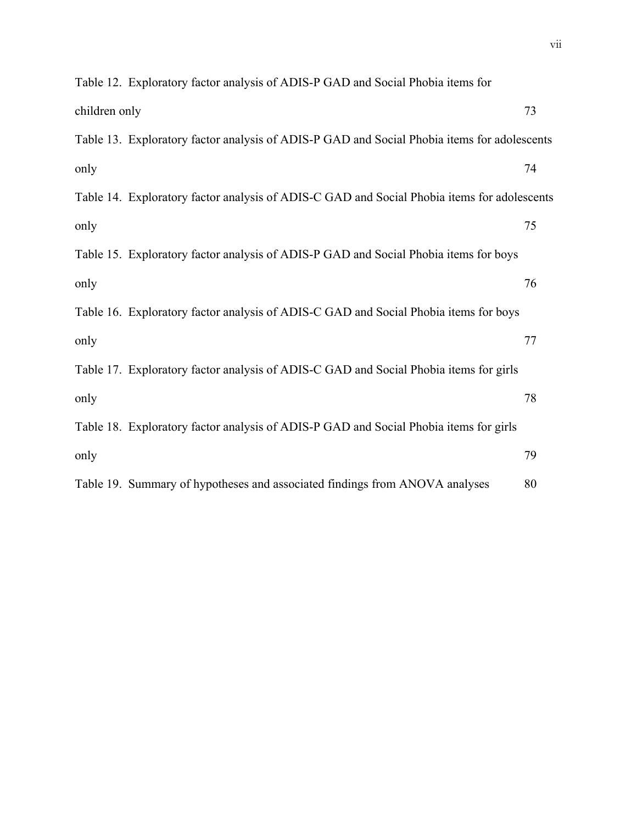|               | Table 12. Exploratory factor analysis of ADIS-P GAD and Social Phobia items for             |    |
|---------------|---------------------------------------------------------------------------------------------|----|
| children only |                                                                                             | 73 |
|               | Table 13. Exploratory factor analysis of ADIS-P GAD and Social Phobia items for adolescents |    |
| only          |                                                                                             | 74 |
|               | Table 14. Exploratory factor analysis of ADIS-C GAD and Social Phobia items for adolescents |    |
| only          |                                                                                             | 75 |
|               | Table 15. Exploratory factor analysis of ADIS-P GAD and Social Phobia items for boys        |    |
| only          |                                                                                             | 76 |
|               | Table 16. Exploratory factor analysis of ADIS-C GAD and Social Phobia items for boys        |    |
| only          |                                                                                             | 77 |
|               | Table 17. Exploratory factor analysis of ADIS-C GAD and Social Phobia items for girls       |    |
| only          |                                                                                             | 78 |
|               | Table 18. Exploratory factor analysis of ADIS-P GAD and Social Phobia items for girls       |    |
| only          |                                                                                             | 79 |
|               | Table 19. Summary of hypotheses and associated findings from ANOVA analyses                 | 80 |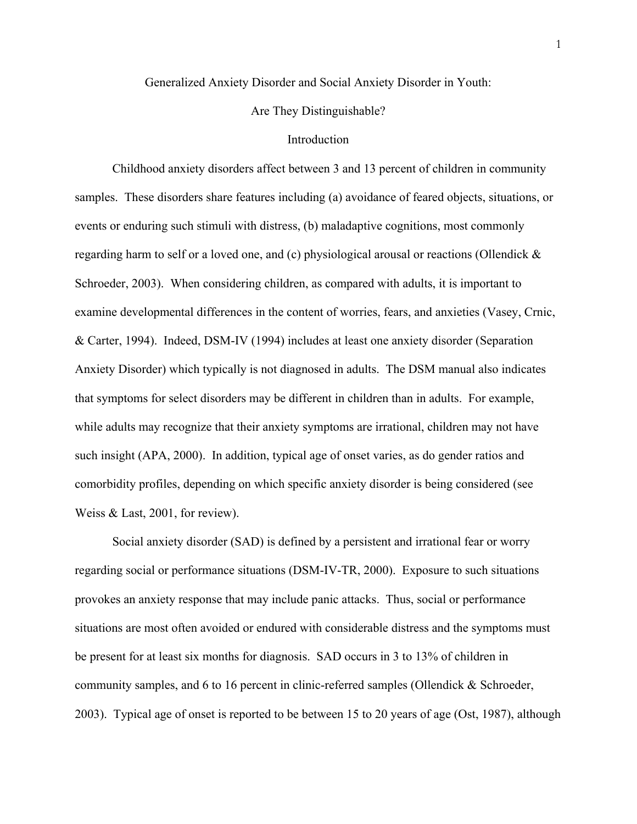Generalized Anxiety Disorder and Social Anxiety Disorder in Youth:

Are They Distinguishable?

#### Introduction

 Childhood anxiety disorders affect between 3 and 13 percent of children in community samples. These disorders share features including (a) avoidance of feared objects, situations, or events or enduring such stimuli with distress, (b) maladaptive cognitions, most commonly regarding harm to self or a loved one, and (c) physiological arousal or reactions (Ollendick & Schroeder, 2003). When considering children, as compared with adults, it is important to examine developmental differences in the content of worries, fears, and anxieties (Vasey, Crnic, & Carter, 1994). Indeed, DSM-IV (1994) includes at least one anxiety disorder (Separation Anxiety Disorder) which typically is not diagnosed in adults. The DSM manual also indicates that symptoms for select disorders may be different in children than in adults. For example, while adults may recognize that their anxiety symptoms are irrational, children may not have such insight (APA, 2000). In addition, typical age of onset varies, as do gender ratios and comorbidity profiles, depending on which specific anxiety disorder is being considered (see Weiss & Last, 2001, for review).

Social anxiety disorder (SAD) is defined by a persistent and irrational fear or worry regarding social or performance situations (DSM-IV-TR, 2000). Exposure to such situations provokes an anxiety response that may include panic attacks. Thus, social or performance situations are most often avoided or endured with considerable distress and the symptoms must be present for at least six months for diagnosis. SAD occurs in 3 to 13% of children in community samples, and 6 to 16 percent in clinic-referred samples (Ollendick & Schroeder, 2003). Typical age of onset is reported to be between 15 to 20 years of age (Ost, 1987), although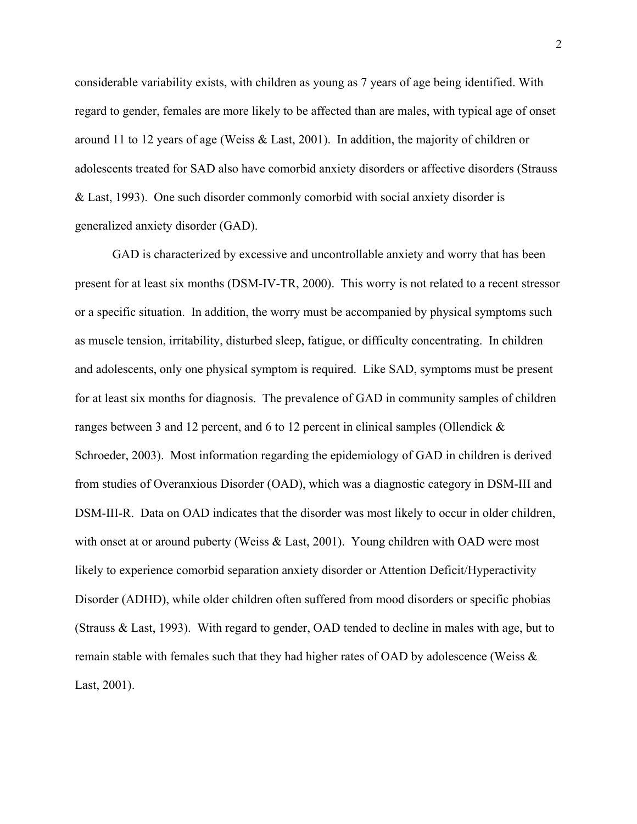considerable variability exists, with children as young as 7 years of age being identified. With regard to gender, females are more likely to be affected than are males, with typical age of onset around 11 to 12 years of age (Weiss & Last, 2001). In addition, the majority of children or adolescents treated for SAD also have comorbid anxiety disorders or affective disorders (Strauss & Last, 1993). One such disorder commonly comorbid with social anxiety disorder is generalized anxiety disorder (GAD).

 GAD is characterized by excessive and uncontrollable anxiety and worry that has been present for at least six months (DSM-IV-TR, 2000). This worry is not related to a recent stressor or a specific situation. In addition, the worry must be accompanied by physical symptoms such as muscle tension, irritability, disturbed sleep, fatigue, or difficulty concentrating. In children and adolescents, only one physical symptom is required. Like SAD, symptoms must be present for at least six months for diagnosis. The prevalence of GAD in community samples of children ranges between 3 and 12 percent, and 6 to 12 percent in clinical samples (Ollendick & Schroeder, 2003). Most information regarding the epidemiology of GAD in children is derived from studies of Overanxious Disorder (OAD), which was a diagnostic category in DSM-III and DSM-III-R. Data on OAD indicates that the disorder was most likely to occur in older children, with onset at or around puberty (Weiss & Last, 2001). Young children with OAD were most likely to experience comorbid separation anxiety disorder or Attention Deficit/Hyperactivity Disorder (ADHD), while older children often suffered from mood disorders or specific phobias (Strauss & Last, 1993). With regard to gender, OAD tended to decline in males with age, but to remain stable with females such that they had higher rates of OAD by adolescence (Weiss & Last, 2001).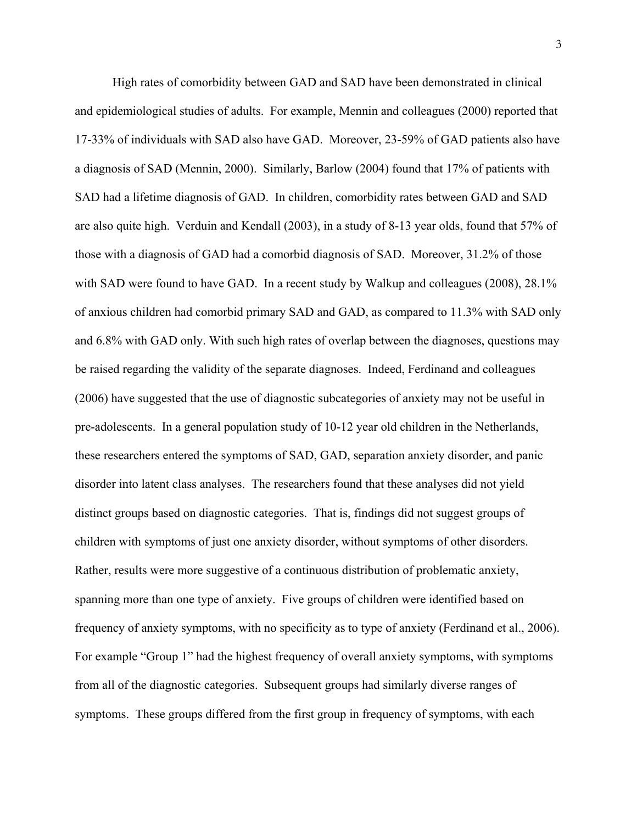High rates of comorbidity between GAD and SAD have been demonstrated in clinical and epidemiological studies of adults. For example, Mennin and colleagues (2000) reported that 17-33% of individuals with SAD also have GAD. Moreover, 23-59% of GAD patients also have a diagnosis of SAD (Mennin, 2000). Similarly, Barlow (2004) found that 17% of patients with SAD had a lifetime diagnosis of GAD. In children, comorbidity rates between GAD and SAD are also quite high. Verduin and Kendall (2003), in a study of 8-13 year olds, found that 57% of those with a diagnosis of GAD had a comorbid diagnosis of SAD. Moreover, 31.2% of those with SAD were found to have GAD. In a recent study by Walkup and colleagues (2008), 28.1% of anxious children had comorbid primary SAD and GAD, as compared to 11.3% with SAD only and 6.8% with GAD only. With such high rates of overlap between the diagnoses, questions may be raised regarding the validity of the separate diagnoses. Indeed, Ferdinand and colleagues (2006) have suggested that the use of diagnostic subcategories of anxiety may not be useful in pre-adolescents. In a general population study of 10-12 year old children in the Netherlands, these researchers entered the symptoms of SAD, GAD, separation anxiety disorder, and panic disorder into latent class analyses. The researchers found that these analyses did not yield distinct groups based on diagnostic categories. That is, findings did not suggest groups of children with symptoms of just one anxiety disorder, without symptoms of other disorders. Rather, results were more suggestive of a continuous distribution of problematic anxiety, spanning more than one type of anxiety. Five groups of children were identified based on frequency of anxiety symptoms, with no specificity as to type of anxiety (Ferdinand et al., 2006). For example "Group 1" had the highest frequency of overall anxiety symptoms, with symptoms from all of the diagnostic categories. Subsequent groups had similarly diverse ranges of symptoms. These groups differed from the first group in frequency of symptoms, with each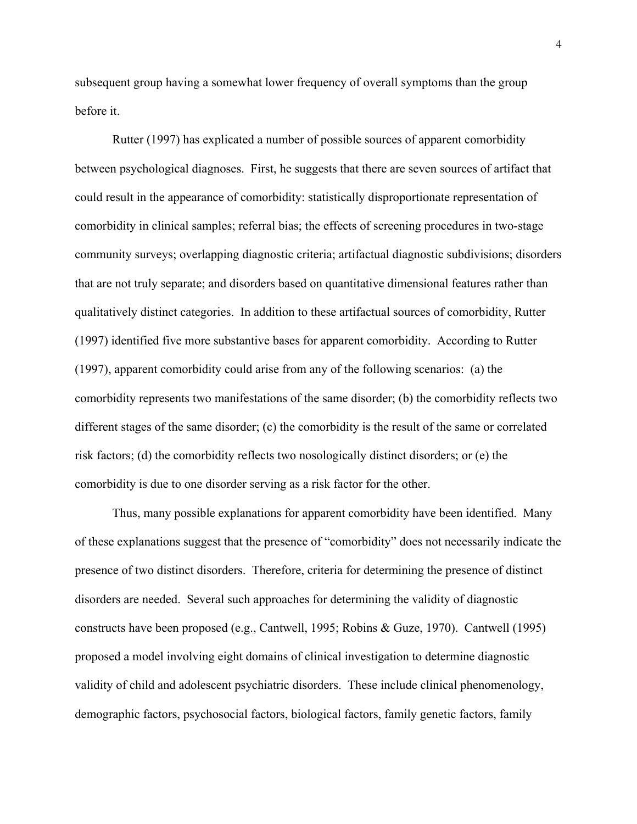subsequent group having a somewhat lower frequency of overall symptoms than the group before it.

Rutter (1997) has explicated a number of possible sources of apparent comorbidity between psychological diagnoses. First, he suggests that there are seven sources of artifact that could result in the appearance of comorbidity: statistically disproportionate representation of comorbidity in clinical samples; referral bias; the effects of screening procedures in two-stage community surveys; overlapping diagnostic criteria; artifactual diagnostic subdivisions; disorders that are not truly separate; and disorders based on quantitative dimensional features rather than qualitatively distinct categories. In addition to these artifactual sources of comorbidity, Rutter (1997) identified five more substantive bases for apparent comorbidity. According to Rutter (1997), apparent comorbidity could arise from any of the following scenarios: (a) the comorbidity represents two manifestations of the same disorder; (b) the comorbidity reflects two different stages of the same disorder; (c) the comorbidity is the result of the same or correlated risk factors; (d) the comorbidity reflects two nosologically distinct disorders; or (e) the comorbidity is due to one disorder serving as a risk factor for the other.

 Thus, many possible explanations for apparent comorbidity have been identified. Many of these explanations suggest that the presence of "comorbidity" does not necessarily indicate the presence of two distinct disorders. Therefore, criteria for determining the presence of distinct disorders are needed. Several such approaches for determining the validity of diagnostic constructs have been proposed (e.g., Cantwell, 1995; Robins & Guze, 1970). Cantwell (1995) proposed a model involving eight domains of clinical investigation to determine diagnostic validity of child and adolescent psychiatric disorders. These include clinical phenomenology, demographic factors, psychosocial factors, biological factors, family genetic factors, family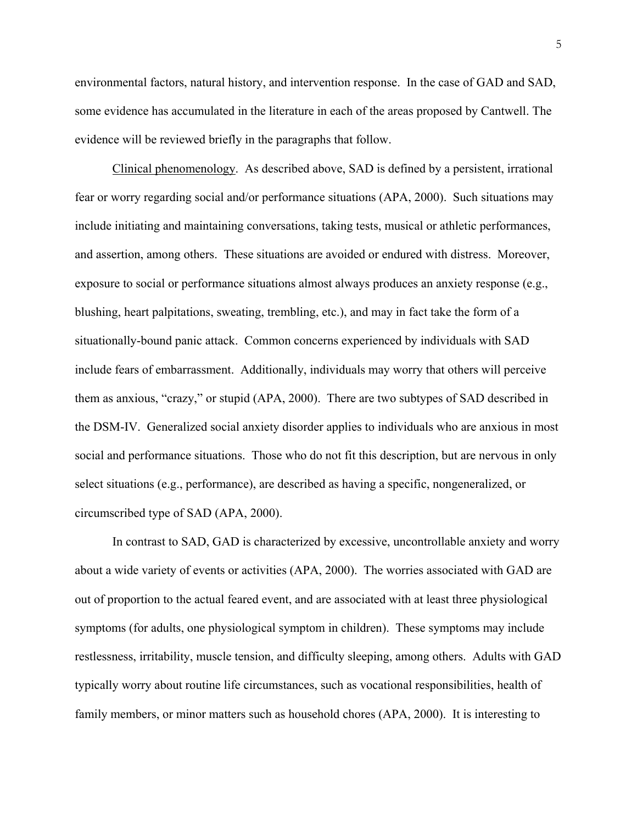environmental factors, natural history, and intervention response. In the case of GAD and SAD, some evidence has accumulated in the literature in each of the areas proposed by Cantwell. The evidence will be reviewed briefly in the paragraphs that follow.

Clinical phenomenology. As described above, SAD is defined by a persistent, irrational fear or worry regarding social and/or performance situations (APA, 2000). Such situations may include initiating and maintaining conversations, taking tests, musical or athletic performances, and assertion, among others. These situations are avoided or endured with distress. Moreover, exposure to social or performance situations almost always produces an anxiety response (e.g., blushing, heart palpitations, sweating, trembling, etc.), and may in fact take the form of a situationally-bound panic attack. Common concerns experienced by individuals with SAD include fears of embarrassment. Additionally, individuals may worry that others will perceive them as anxious, "crazy," or stupid (APA, 2000). There are two subtypes of SAD described in the DSM-IV. Generalized social anxiety disorder applies to individuals who are anxious in most social and performance situations. Those who do not fit this description, but are nervous in only select situations (e.g., performance), are described as having a specific, nongeneralized, or circumscribed type of SAD (APA, 2000).

 In contrast to SAD, GAD is characterized by excessive, uncontrollable anxiety and worry about a wide variety of events or activities (APA, 2000). The worries associated with GAD are out of proportion to the actual feared event, and are associated with at least three physiological symptoms (for adults, one physiological symptom in children). These symptoms may include restlessness, irritability, muscle tension, and difficulty sleeping, among others. Adults with GAD typically worry about routine life circumstances, such as vocational responsibilities, health of family members, or minor matters such as household chores (APA, 2000). It is interesting to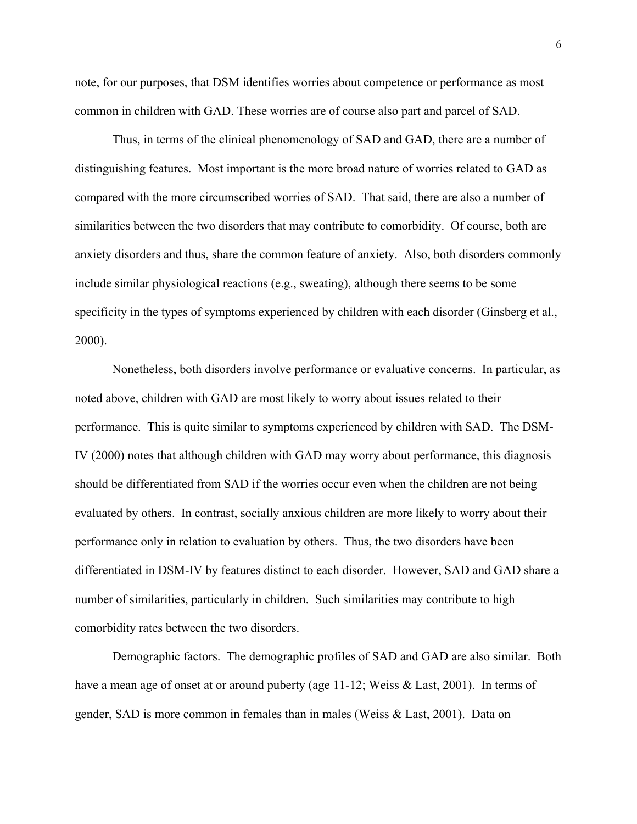note, for our purposes, that DSM identifies worries about competence or performance as most common in children with GAD. These worries are of course also part and parcel of SAD.

 Thus, in terms of the clinical phenomenology of SAD and GAD, there are a number of distinguishing features. Most important is the more broad nature of worries related to GAD as compared with the more circumscribed worries of SAD. That said, there are also a number of similarities between the two disorders that may contribute to comorbidity. Of course, both are anxiety disorders and thus, share the common feature of anxiety. Also, both disorders commonly include similar physiological reactions (e.g., sweating), although there seems to be some specificity in the types of symptoms experienced by children with each disorder (Ginsberg et al., 2000).

Nonetheless, both disorders involve performance or evaluative concerns. In particular, as noted above, children with GAD are most likely to worry about issues related to their performance. This is quite similar to symptoms experienced by children with SAD. The DSM-IV (2000) notes that although children with GAD may worry about performance, this diagnosis should be differentiated from SAD if the worries occur even when the children are not being evaluated by others. In contrast, socially anxious children are more likely to worry about their performance only in relation to evaluation by others. Thus, the two disorders have been differentiated in DSM-IV by features distinct to each disorder. However, SAD and GAD share a number of similarities, particularly in children. Such similarities may contribute to high comorbidity rates between the two disorders.

Demographic factors. The demographic profiles of SAD and GAD are also similar. Both have a mean age of onset at or around puberty (age 11-12; Weiss & Last, 2001). In terms of gender, SAD is more common in females than in males (Weiss & Last, 2001). Data on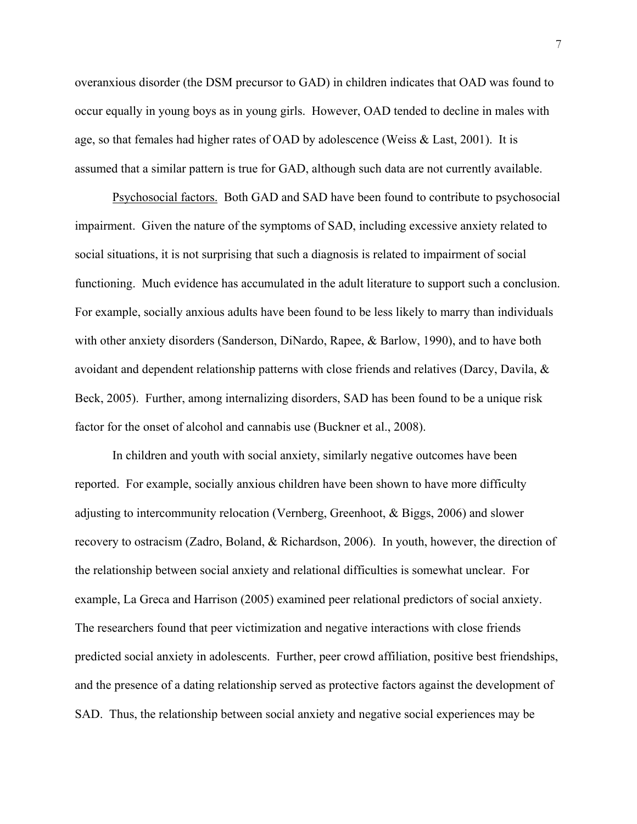overanxious disorder (the DSM precursor to GAD) in children indicates that OAD was found to occur equally in young boys as in young girls. However, OAD tended to decline in males with age, so that females had higher rates of OAD by adolescence (Weiss & Last, 2001). It is assumed that a similar pattern is true for GAD, although such data are not currently available.

Psychosocial factors. Both GAD and SAD have been found to contribute to psychosocial impairment. Given the nature of the symptoms of SAD, including excessive anxiety related to social situations, it is not surprising that such a diagnosis is related to impairment of social functioning. Much evidence has accumulated in the adult literature to support such a conclusion. For example, socially anxious adults have been found to be less likely to marry than individuals with other anxiety disorders (Sanderson, DiNardo, Rapee, & Barlow, 1990), and to have both avoidant and dependent relationship patterns with close friends and relatives (Darcy, Davila,  $\&$ Beck, 2005). Further, among internalizing disorders, SAD has been found to be a unique risk factor for the onset of alcohol and cannabis use (Buckner et al., 2008).

In children and youth with social anxiety, similarly negative outcomes have been reported. For example, socially anxious children have been shown to have more difficulty adjusting to intercommunity relocation (Vernberg, Greenhoot, & Biggs, 2006) and slower recovery to ostracism (Zadro, Boland, & Richardson, 2006). In youth, however, the direction of the relationship between social anxiety and relational difficulties is somewhat unclear. For example, La Greca and Harrison (2005) examined peer relational predictors of social anxiety. The researchers found that peer victimization and negative interactions with close friends predicted social anxiety in adolescents. Further, peer crowd affiliation, positive best friendships, and the presence of a dating relationship served as protective factors against the development of SAD. Thus, the relationship between social anxiety and negative social experiences may be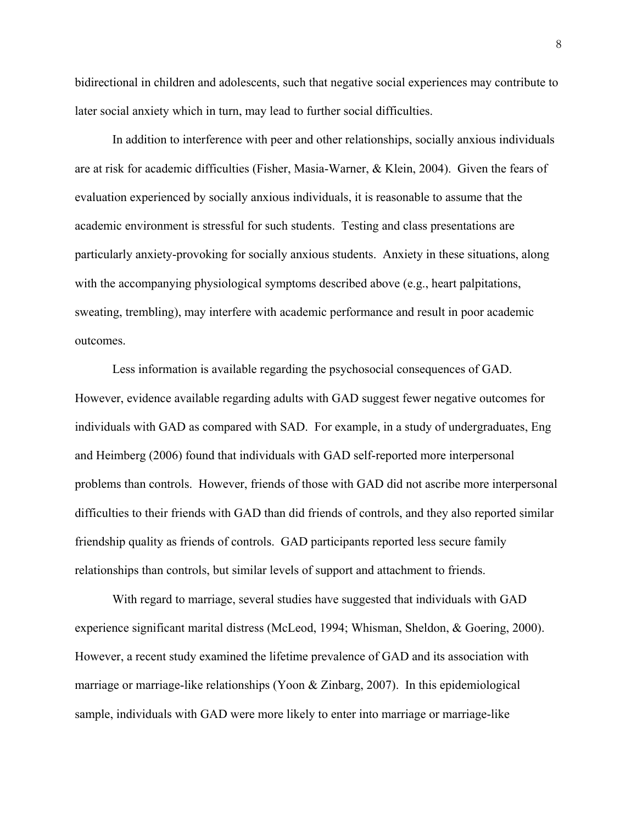bidirectional in children and adolescents, such that negative social experiences may contribute to later social anxiety which in turn, may lead to further social difficulties.

In addition to interference with peer and other relationships, socially anxious individuals are at risk for academic difficulties (Fisher, Masia-Warner, & Klein, 2004). Given the fears of evaluation experienced by socially anxious individuals, it is reasonable to assume that the academic environment is stressful for such students. Testing and class presentations are particularly anxiety-provoking for socially anxious students. Anxiety in these situations, along with the accompanying physiological symptoms described above (e.g., heart palpitations, sweating, trembling), may interfere with academic performance and result in poor academic outcomes.

Less information is available regarding the psychosocial consequences of GAD. However, evidence available regarding adults with GAD suggest fewer negative outcomes for individuals with GAD as compared with SAD. For example, in a study of undergraduates, Eng and Heimberg (2006) found that individuals with GAD self-reported more interpersonal problems than controls. However, friends of those with GAD did not ascribe more interpersonal difficulties to their friends with GAD than did friends of controls, and they also reported similar friendship quality as friends of controls. GAD participants reported less secure family relationships than controls, but similar levels of support and attachment to friends.

With regard to marriage, several studies have suggested that individuals with GAD experience significant marital distress (McLeod, 1994; Whisman, Sheldon, & Goering, 2000). However, a recent study examined the lifetime prevalence of GAD and its association with marriage or marriage-like relationships (Yoon & Zinbarg, 2007). In this epidemiological sample, individuals with GAD were more likely to enter into marriage or marriage-like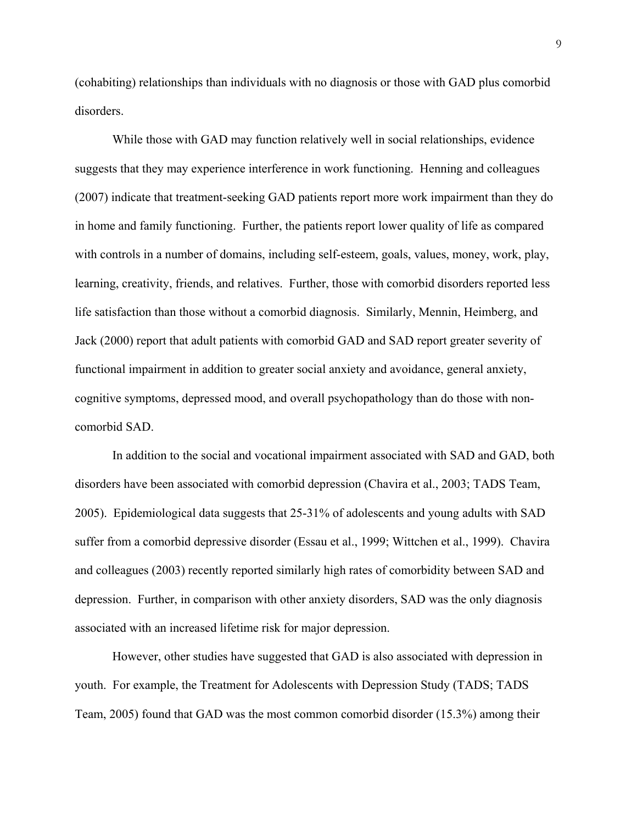(cohabiting) relationships than individuals with no diagnosis or those with GAD plus comorbid disorders.

While those with GAD may function relatively well in social relationships, evidence suggests that they may experience interference in work functioning. Henning and colleagues (2007) indicate that treatment-seeking GAD patients report more work impairment than they do in home and family functioning. Further, the patients report lower quality of life as compared with controls in a number of domains, including self-esteem, goals, values, money, work, play, learning, creativity, friends, and relatives. Further, those with comorbid disorders reported less life satisfaction than those without a comorbid diagnosis. Similarly, Mennin, Heimberg, and Jack (2000) report that adult patients with comorbid GAD and SAD report greater severity of functional impairment in addition to greater social anxiety and avoidance, general anxiety, cognitive symptoms, depressed mood, and overall psychopathology than do those with noncomorbid SAD.

In addition to the social and vocational impairment associated with SAD and GAD, both disorders have been associated with comorbid depression (Chavira et al., 2003; TADS Team, 2005). Epidemiological data suggests that 25-31% of adolescents and young adults with SAD suffer from a comorbid depressive disorder (Essau et al., 1999; Wittchen et al., 1999). Chavira and colleagues (2003) recently reported similarly high rates of comorbidity between SAD and depression. Further, in comparison with other anxiety disorders, SAD was the only diagnosis associated with an increased lifetime risk for major depression.

However, other studies have suggested that GAD is also associated with depression in youth. For example, the Treatment for Adolescents with Depression Study (TADS; TADS Team, 2005) found that GAD was the most common comorbid disorder (15.3%) among their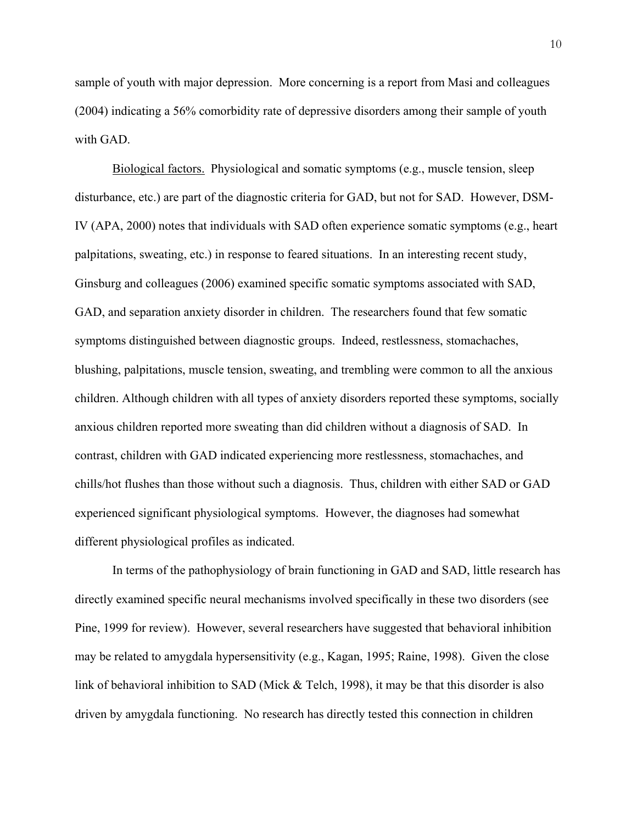sample of youth with major depression. More concerning is a report from Masi and colleagues (2004) indicating a 56% comorbidity rate of depressive disorders among their sample of youth with GAD.

Biological factors. Physiological and somatic symptoms (e.g., muscle tension, sleep disturbance, etc.) are part of the diagnostic criteria for GAD, but not for SAD. However, DSM-IV (APA, 2000) notes that individuals with SAD often experience somatic symptoms (e.g., heart palpitations, sweating, etc.) in response to feared situations. In an interesting recent study, Ginsburg and colleagues (2006) examined specific somatic symptoms associated with SAD, GAD, and separation anxiety disorder in children. The researchers found that few somatic symptoms distinguished between diagnostic groups. Indeed, restlessness, stomachaches, blushing, palpitations, muscle tension, sweating, and trembling were common to all the anxious children. Although children with all types of anxiety disorders reported these symptoms, socially anxious children reported more sweating than did children without a diagnosis of SAD. In contrast, children with GAD indicated experiencing more restlessness, stomachaches, and chills/hot flushes than those without such a diagnosis. Thus, children with either SAD or GAD experienced significant physiological symptoms. However, the diagnoses had somewhat different physiological profiles as indicated.

 In terms of the pathophysiology of brain functioning in GAD and SAD, little research has directly examined specific neural mechanisms involved specifically in these two disorders (see Pine, 1999 for review). However, several researchers have suggested that behavioral inhibition may be related to amygdala hypersensitivity (e.g., Kagan, 1995; Raine, 1998). Given the close link of behavioral inhibition to SAD (Mick & Telch, 1998), it may be that this disorder is also driven by amygdala functioning. No research has directly tested this connection in children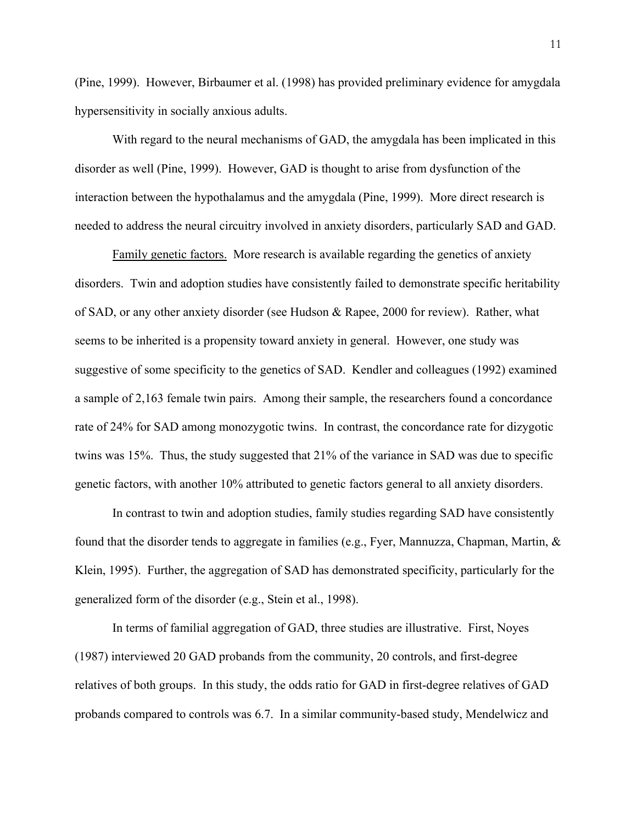(Pine, 1999). However, Birbaumer et al. (1998) has provided preliminary evidence for amygdala hypersensitivity in socially anxious adults.

 With regard to the neural mechanisms of GAD, the amygdala has been implicated in this disorder as well (Pine, 1999). However, GAD is thought to arise from dysfunction of the interaction between the hypothalamus and the amygdala (Pine, 1999). More direct research is needed to address the neural circuitry involved in anxiety disorders, particularly SAD and GAD.

Family genetic factors. More research is available regarding the genetics of anxiety disorders. Twin and adoption studies have consistently failed to demonstrate specific heritability of SAD, or any other anxiety disorder (see Hudson & Rapee, 2000 for review). Rather, what seems to be inherited is a propensity toward anxiety in general. However, one study was suggestive of some specificity to the genetics of SAD. Kendler and colleagues (1992) examined a sample of 2,163 female twin pairs. Among their sample, the researchers found a concordance rate of 24% for SAD among monozygotic twins. In contrast, the concordance rate for dizygotic twins was 15%. Thus, the study suggested that 21% of the variance in SAD was due to specific genetic factors, with another 10% attributed to genetic factors general to all anxiety disorders.

In contrast to twin and adoption studies, family studies regarding SAD have consistently found that the disorder tends to aggregate in families (e.g., Fyer, Mannuzza, Chapman, Martin, & Klein, 1995). Further, the aggregation of SAD has demonstrated specificity, particularly for the generalized form of the disorder (e.g., Stein et al., 1998).

 In terms of familial aggregation of GAD, three studies are illustrative. First, Noyes (1987) interviewed 20 GAD probands from the community, 20 controls, and first-degree relatives of both groups. In this study, the odds ratio for GAD in first-degree relatives of GAD probands compared to controls was 6.7. In a similar community-based study, Mendelwicz and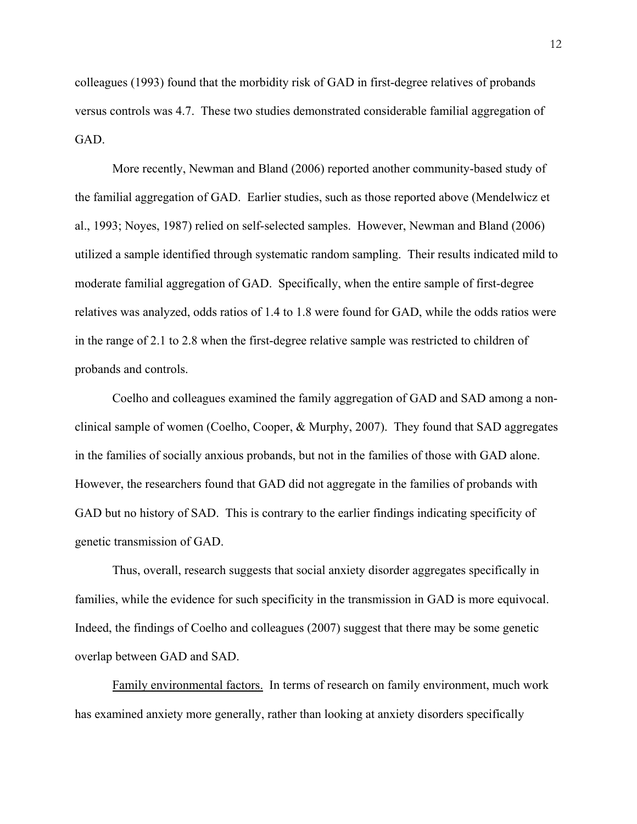colleagues (1993) found that the morbidity risk of GAD in first-degree relatives of probands versus controls was 4.7. These two studies demonstrated considerable familial aggregation of GAD.

 More recently, Newman and Bland (2006) reported another community-based study of the familial aggregation of GAD. Earlier studies, such as those reported above (Mendelwicz et al., 1993; Noyes, 1987) relied on self-selected samples. However, Newman and Bland (2006) utilized a sample identified through systematic random sampling. Their results indicated mild to moderate familial aggregation of GAD. Specifically, when the entire sample of first-degree relatives was analyzed, odds ratios of 1.4 to 1.8 were found for GAD, while the odds ratios were in the range of 2.1 to 2.8 when the first-degree relative sample was restricted to children of probands and controls.

Coelho and colleagues examined the family aggregation of GAD and SAD among a nonclinical sample of women (Coelho, Cooper, & Murphy, 2007). They found that SAD aggregates in the families of socially anxious probands, but not in the families of those with GAD alone. However, the researchers found that GAD did not aggregate in the families of probands with GAD but no history of SAD. This is contrary to the earlier findings indicating specificity of genetic transmission of GAD.

Thus, overall, research suggests that social anxiety disorder aggregates specifically in families, while the evidence for such specificity in the transmission in GAD is more equivocal. Indeed, the findings of Coelho and colleagues (2007) suggest that there may be some genetic overlap between GAD and SAD.

Family environmental factors. In terms of research on family environment, much work has examined anxiety more generally, rather than looking at anxiety disorders specifically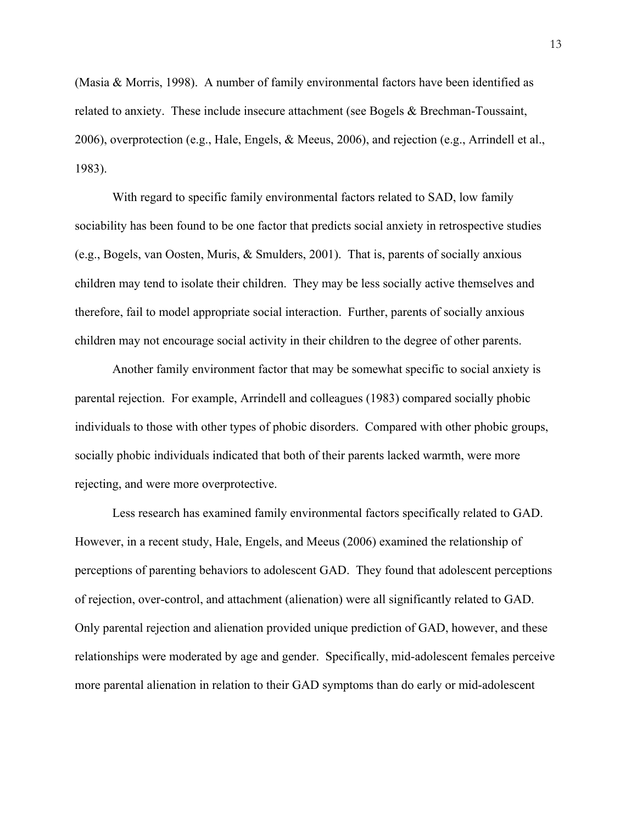(Masia & Morris, 1998). A number of family environmental factors have been identified as related to anxiety. These include insecure attachment (see Bogels & Brechman-Toussaint, 2006), overprotection (e.g., Hale, Engels, & Meeus, 2006), and rejection (e.g., Arrindell et al., 1983).

 With regard to specific family environmental factors related to SAD, low family sociability has been found to be one factor that predicts social anxiety in retrospective studies (e.g., Bogels, van Oosten, Muris, & Smulders, 2001). That is, parents of socially anxious children may tend to isolate their children. They may be less socially active themselves and therefore, fail to model appropriate social interaction. Further, parents of socially anxious children may not encourage social activity in their children to the degree of other parents.

 Another family environment factor that may be somewhat specific to social anxiety is parental rejection. For example, Arrindell and colleagues (1983) compared socially phobic individuals to those with other types of phobic disorders. Compared with other phobic groups, socially phobic individuals indicated that both of their parents lacked warmth, were more rejecting, and were more overprotective.

 Less research has examined family environmental factors specifically related to GAD. However, in a recent study, Hale, Engels, and Meeus (2006) examined the relationship of perceptions of parenting behaviors to adolescent GAD. They found that adolescent perceptions of rejection, over-control, and attachment (alienation) were all significantly related to GAD. Only parental rejection and alienation provided unique prediction of GAD, however, and these relationships were moderated by age and gender. Specifically, mid-adolescent females perceive more parental alienation in relation to their GAD symptoms than do early or mid-adolescent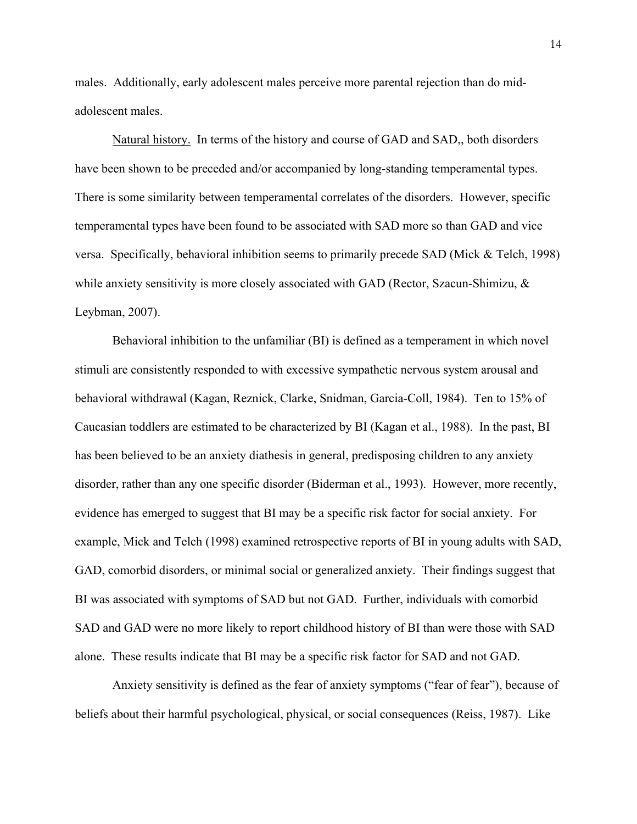males. Additionally, early adolescent males perceive more parental rejection than do midadolescent males.

Natural history. In terms of the history and course of GAD and SAD,, both disorders have been shown to be preceded and/or accompanied by long-standing temperamental types. There is some similarity between temperamental correlates of the disorders. However, specific temperamental types have been found to be associated with SAD more so than GAD and vice versa. Specifically, behavioral inhibition seems to primarily precede SAD (Mick & Telch, 1998) while anxiety sensitivity is more closely associated with GAD (Rector, Szacun-Shimizu, & Leybman, 2007).

 Behavioral inhibition to the unfamiliar (BI) is defined as a temperament in which novel stimuli are consistently responded to with excessive sympathetic nervous system arousal and behavioral withdrawal (Kagan, Reznick, Clarke, Snidman, Garcia-Coll, 1984). Ten to 15% of Caucasian toddlers are estimated to be characterized by BI (Kagan et al., 1988). In the past, BI has been believed to be an anxiety diathesis in general, predisposing children to any anxiety disorder, rather than any one specific disorder (Biderman et al., 1993). However, more recently, evidence has emerged to suggest that BI may be a specific risk factor for social anxiety. For example, Mick and Telch (1998) examined retrospective reports of BI in young adults with SAD, GAD, comorbid disorders, or minimal social or generalized anxiety. Their findings suggest that BI was associated with symptoms of SAD but not GAD. Further, individuals with comorbid SAD and GAD were no more likely to report childhood history of BI than were those with SAD alone. These results indicate that BI may be a specific risk factor for SAD and not GAD.

 Anxiety sensitivity is defined as the fear of anxiety symptoms ("fear of fear"), because of beliefs about their harmful psychological, physical, or social consequences (Reiss, 1987). Like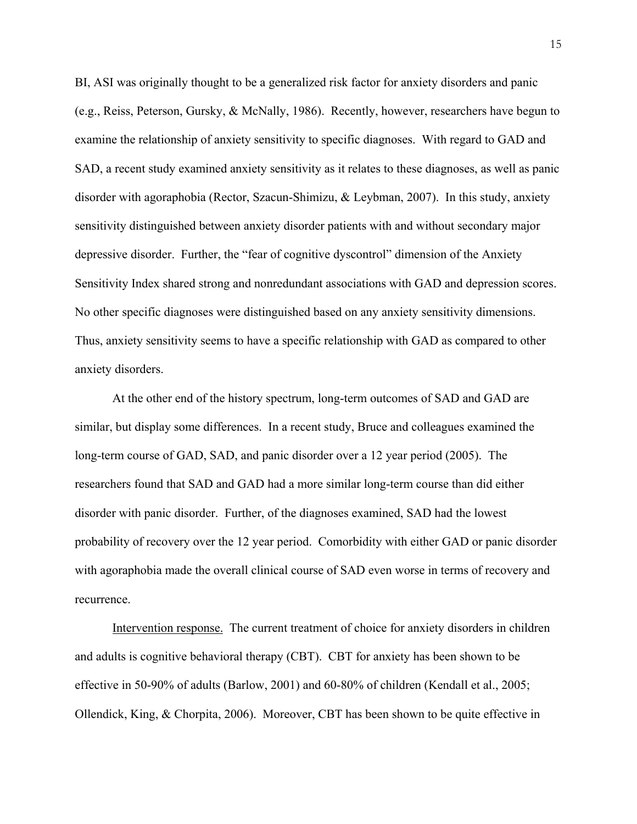BI, ASI was originally thought to be a generalized risk factor for anxiety disorders and panic (e.g., Reiss, Peterson, Gursky, & McNally, 1986). Recently, however, researchers have begun to examine the relationship of anxiety sensitivity to specific diagnoses. With regard to GAD and SAD, a recent study examined anxiety sensitivity as it relates to these diagnoses, as well as panic disorder with agoraphobia (Rector, Szacun-Shimizu, & Leybman, 2007). In this study, anxiety sensitivity distinguished between anxiety disorder patients with and without secondary major depressive disorder. Further, the "fear of cognitive dyscontrol" dimension of the Anxiety Sensitivity Index shared strong and nonredundant associations with GAD and depression scores. No other specific diagnoses were distinguished based on any anxiety sensitivity dimensions. Thus, anxiety sensitivity seems to have a specific relationship with GAD as compared to other anxiety disorders.

At the other end of the history spectrum, long-term outcomes of SAD and GAD are similar, but display some differences. In a recent study, Bruce and colleagues examined the long-term course of GAD, SAD, and panic disorder over a 12 year period (2005). The researchers found that SAD and GAD had a more similar long-term course than did either disorder with panic disorder. Further, of the diagnoses examined, SAD had the lowest probability of recovery over the 12 year period. Comorbidity with either GAD or panic disorder with agoraphobia made the overall clinical course of SAD even worse in terms of recovery and recurrence.

Intervention response. The current treatment of choice for anxiety disorders in children and adults is cognitive behavioral therapy (CBT). CBT for anxiety has been shown to be effective in 50-90% of adults (Barlow, 2001) and 60-80% of children (Kendall et al., 2005; Ollendick, King, & Chorpita, 2006). Moreover, CBT has been shown to be quite effective in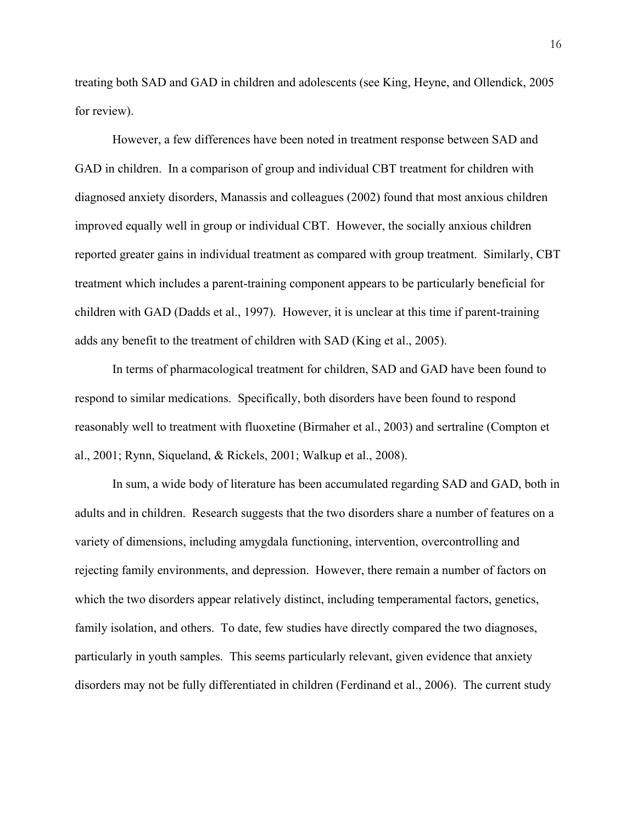treating both SAD and GAD in children and adolescents (see King, Heyne, and Ollendick, 2005 for review).

 However, a few differences have been noted in treatment response between SAD and GAD in children. In a comparison of group and individual CBT treatment for children with diagnosed anxiety disorders, Manassis and colleagues (2002) found that most anxious children improved equally well in group or individual CBT. However, the socially anxious children reported greater gains in individual treatment as compared with group treatment. Similarly, CBT treatment which includes a parent-training component appears to be particularly beneficial for children with GAD (Dadds et al., 1997). However, it is unclear at this time if parent-training adds any benefit to the treatment of children with SAD (King et al., 2005).

 In terms of pharmacological treatment for children, SAD and GAD have been found to respond to similar medications. Specifically, both disorders have been found to respond reasonably well to treatment with fluoxetine (Birmaher et al., 2003) and sertraline (Compton et al., 2001; Rynn, Siqueland, & Rickels, 2001; Walkup et al., 2008).

 In sum, a wide body of literature has been accumulated regarding SAD and GAD, both in adults and in children. Research suggests that the two disorders share a number of features on a variety of dimensions, including amygdala functioning, intervention, overcontrolling and rejecting family environments, and depression. However, there remain a number of factors on which the two disorders appear relatively distinct, including temperamental factors, genetics, family isolation, and others. To date, few studies have directly compared the two diagnoses, particularly in youth samples. This seems particularly relevant, given evidence that anxiety disorders may not be fully differentiated in children (Ferdinand et al., 2006). The current study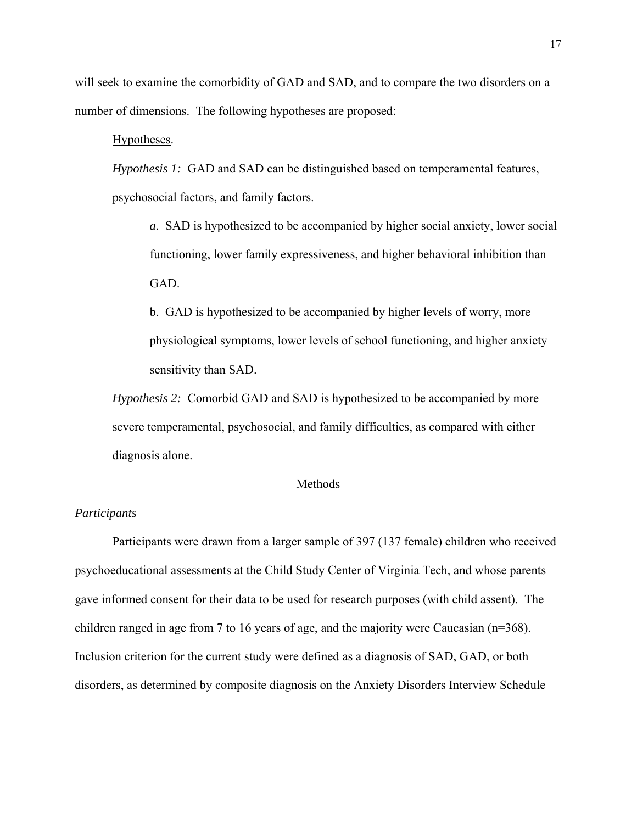will seek to examine the comorbidity of GAD and SAD, and to compare the two disorders on a number of dimensions. The following hypotheses are proposed:

#### Hypotheses.

*Hypothesis 1:* GAD and SAD can be distinguished based on temperamental features, psychosocial factors, and family factors.

*a.* SAD is hypothesized to be accompanied by higher social anxiety, lower social functioning, lower family expressiveness, and higher behavioral inhibition than GAD.

b. GAD is hypothesized to be accompanied by higher levels of worry, more physiological symptoms, lower levels of school functioning, and higher anxiety sensitivity than SAD.

*Hypothesis 2:* Comorbid GAD and SAD is hypothesized to be accompanied by more severe temperamental, psychosocial, and family difficulties, as compared with either diagnosis alone.

#### Methods

#### *Participants*

Participants were drawn from a larger sample of 397 (137 female) children who received psychoeducational assessments at the Child Study Center of Virginia Tech, and whose parents gave informed consent for their data to be used for research purposes (with child assent). The children ranged in age from 7 to 16 years of age, and the majority were Caucasian (n=368). Inclusion criterion for the current study were defined as a diagnosis of SAD, GAD, or both disorders, as determined by composite diagnosis on the Anxiety Disorders Interview Schedule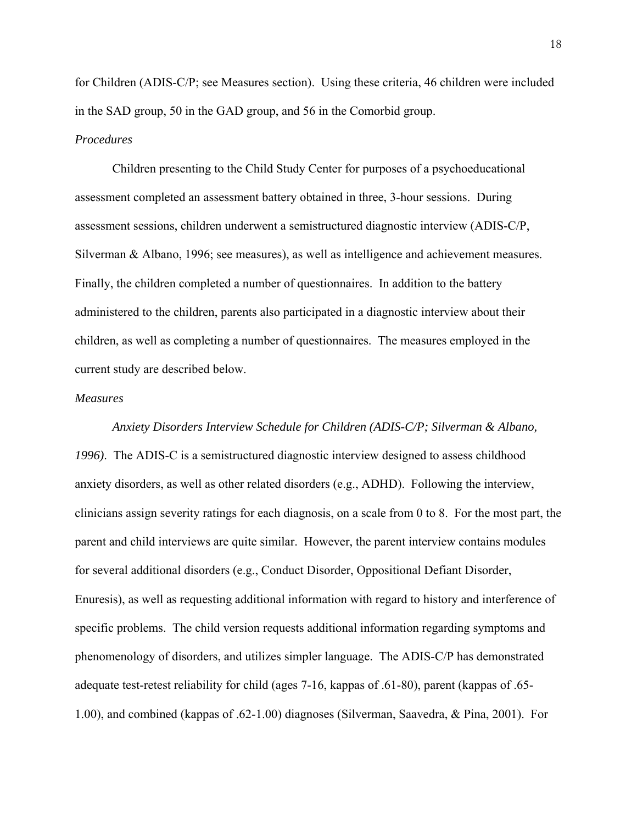for Children (ADIS-C/P; see Measures section). Using these criteria, 46 children were included in the SAD group, 50 in the GAD group, and 56 in the Comorbid group.

#### *Procedures*

 Children presenting to the Child Study Center for purposes of a psychoeducational assessment completed an assessment battery obtained in three, 3-hour sessions. During assessment sessions, children underwent a semistructured diagnostic interview (ADIS-C/P, Silverman & Albano, 1996; see measures), as well as intelligence and achievement measures. Finally, the children completed a number of questionnaires. In addition to the battery administered to the children, parents also participated in a diagnostic interview about their children, as well as completing a number of questionnaires. The measures employed in the current study are described below.

#### *Measures*

*Anxiety Disorders Interview Schedule for Children (ADIS-C/P; Silverman & Albano, 1996)*. The ADIS-C is a semistructured diagnostic interview designed to assess childhood anxiety disorders, as well as other related disorders (e.g., ADHD). Following the interview, clinicians assign severity ratings for each diagnosis, on a scale from 0 to 8. For the most part, the parent and child interviews are quite similar. However, the parent interview contains modules for several additional disorders (e.g., Conduct Disorder, Oppositional Defiant Disorder, Enuresis), as well as requesting additional information with regard to history and interference of specific problems. The child version requests additional information regarding symptoms and phenomenology of disorders, and utilizes simpler language. The ADIS-C/P has demonstrated adequate test-retest reliability for child (ages 7-16, kappas of .61-80), parent (kappas of .65- 1.00), and combined (kappas of .62-1.00) diagnoses (Silverman, Saavedra, & Pina, 2001). For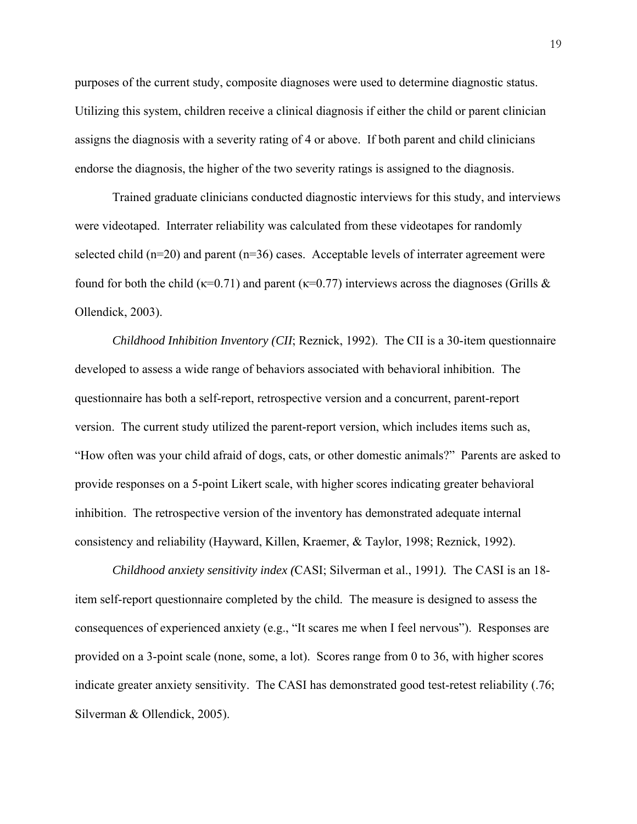purposes of the current study, composite diagnoses were used to determine diagnostic status. Utilizing this system, children receive a clinical diagnosis if either the child or parent clinician assigns the diagnosis with a severity rating of 4 or above. If both parent and child clinicians endorse the diagnosis, the higher of the two severity ratings is assigned to the diagnosis.

Trained graduate clinicians conducted diagnostic interviews for this study, and interviews were videotaped. Interrater reliability was calculated from these videotapes for randomly selected child  $(n=20)$  and parent  $(n=36)$  cases. Acceptable levels of interrater agreement were found for both the child ( $\kappa$ =0.71) and parent ( $\kappa$ =0.77) interviews across the diagnoses (Grills & Ollendick, 2003).

*Childhood Inhibition Inventory (CII*; Reznick, 1992). The CII is a 30-item questionnaire developed to assess a wide range of behaviors associated with behavioral inhibition. The questionnaire has both a self-report, retrospective version and a concurrent, parent-report version. The current study utilized the parent-report version, which includes items such as, "How often was your child afraid of dogs, cats, or other domestic animals?" Parents are asked to provide responses on a 5-point Likert scale, with higher scores indicating greater behavioral inhibition. The retrospective version of the inventory has demonstrated adequate internal consistency and reliability (Hayward, Killen, Kraemer, & Taylor, 1998; Reznick, 1992).

*Childhood anxiety sensitivity index (*CASI; Silverman et al., 1991*).* The CASI is an 18 item self-report questionnaire completed by the child. The measure is designed to assess the consequences of experienced anxiety (e.g., "It scares me when I feel nervous"). Responses are provided on a 3-point scale (none, some, a lot). Scores range from 0 to 36, with higher scores indicate greater anxiety sensitivity. The CASI has demonstrated good test-retest reliability (.76; Silverman & Ollendick, 2005).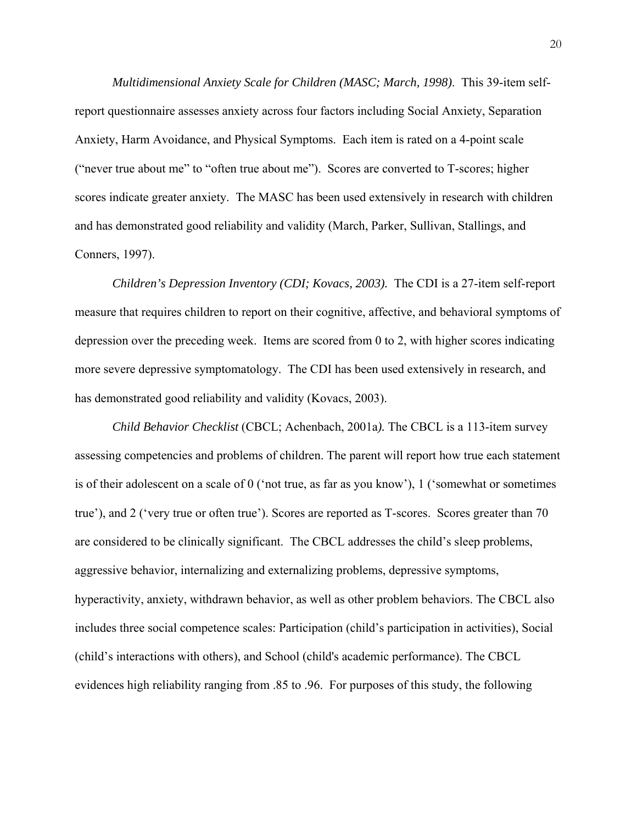*Multidimensional Anxiety Scale for Children (MASC; March, 1998)*. This 39-item selfreport questionnaire assesses anxiety across four factors including Social Anxiety, Separation Anxiety, Harm Avoidance, and Physical Symptoms. Each item is rated on a 4-point scale ("never true about me" to "often true about me"). Scores are converted to T-scores; higher scores indicate greater anxiety. The MASC has been used extensively in research with children and has demonstrated good reliability and validity (March, Parker, Sullivan, Stallings, and Conners, 1997).

*Children's Depression Inventory (CDI; Kovacs, 2003).* The CDI is a 27-item self-report measure that requires children to report on their cognitive, affective, and behavioral symptoms of depression over the preceding week. Items are scored from 0 to 2, with higher scores indicating more severe depressive symptomatology. The CDI has been used extensively in research, and has demonstrated good reliability and validity (Kovacs, 2003).

*Child Behavior Checklist* (CBCL; Achenbach, 2001a*).* The CBCL is a 113-item survey assessing competencies and problems of children. The parent will report how true each statement is of their adolescent on a scale of 0 ('not true, as far as you know'), 1 ('somewhat or sometimes true'), and 2 ('very true or often true'). Scores are reported as T-scores. Scores greater than 70 are considered to be clinically significant. The CBCL addresses the child's sleep problems, aggressive behavior, internalizing and externalizing problems, depressive symptoms, hyperactivity, anxiety, withdrawn behavior, as well as other problem behaviors. The CBCL also includes three social competence scales: Participation (child's participation in activities), Social (child's interactions with others), and School (child's academic performance). The CBCL evidences high reliability ranging from .85 to .96. For purposes of this study, the following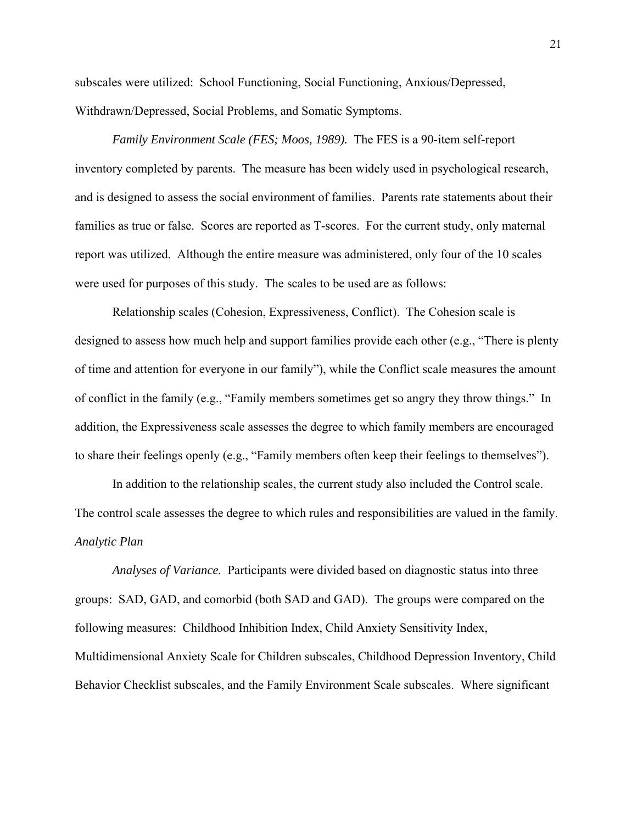subscales were utilized: School Functioning, Social Functioning, Anxious/Depressed, Withdrawn/Depressed, Social Problems, and Somatic Symptoms.

*Family Environment Scale (FES; Moos, 1989).* The FES is a 90-item self-report inventory completed by parents. The measure has been widely used in psychological research, and is designed to assess the social environment of families. Parents rate statements about their families as true or false. Scores are reported as T-scores. For the current study, only maternal report was utilized. Although the entire measure was administered, only four of the 10 scales were used for purposes of this study. The scales to be used are as follows:

Relationship scales (Cohesion, Expressiveness, Conflict). The Cohesion scale is designed to assess how much help and support families provide each other (e.g., "There is plenty of time and attention for everyone in our family"), while the Conflict scale measures the amount of conflict in the family (e.g., "Family members sometimes get so angry they throw things." In addition, the Expressiveness scale assesses the degree to which family members are encouraged to share their feelings openly (e.g., "Family members often keep their feelings to themselves").

In addition to the relationship scales, the current study also included the Control scale. The control scale assesses the degree to which rules and responsibilities are valued in the family. *Analytic Plan* 

*Analyses of Variance.* Participants were divided based on diagnostic status into three groups: SAD, GAD, and comorbid (both SAD and GAD). The groups were compared on the following measures: Childhood Inhibition Index, Child Anxiety Sensitivity Index, Multidimensional Anxiety Scale for Children subscales, Childhood Depression Inventory, Child Behavior Checklist subscales, and the Family Environment Scale subscales. Where significant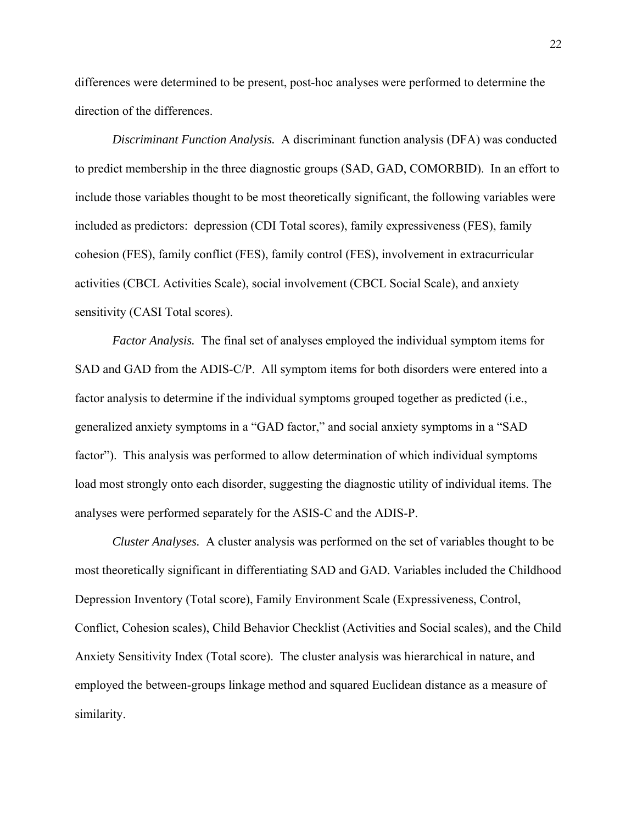differences were determined to be present, post-hoc analyses were performed to determine the direction of the differences.

*Discriminant Function Analysis.* A discriminant function analysis (DFA) was conducted to predict membership in the three diagnostic groups (SAD, GAD, COMORBID). In an effort to include those variables thought to be most theoretically significant, the following variables were included as predictors: depression (CDI Total scores), family expressiveness (FES), family cohesion (FES), family conflict (FES), family control (FES), involvement in extracurricular activities (CBCL Activities Scale), social involvement (CBCL Social Scale), and anxiety sensitivity (CASI Total scores).

 *Factor Analysis.* The final set of analyses employed the individual symptom items for SAD and GAD from the ADIS-C/P. All symptom items for both disorders were entered into a factor analysis to determine if the individual symptoms grouped together as predicted (i.e., generalized anxiety symptoms in a "GAD factor," and social anxiety symptoms in a "SAD factor"). This analysis was performed to allow determination of which individual symptoms load most strongly onto each disorder, suggesting the diagnostic utility of individual items. The analyses were performed separately for the ASIS-C and the ADIS-P.

*Cluster Analyses.* A cluster analysis was performed on the set of variables thought to be most theoretically significant in differentiating SAD and GAD. Variables included the Childhood Depression Inventory (Total score), Family Environment Scale (Expressiveness, Control, Conflict, Cohesion scales), Child Behavior Checklist (Activities and Social scales), and the Child Anxiety Sensitivity Index (Total score). The cluster analysis was hierarchical in nature, and employed the between-groups linkage method and squared Euclidean distance as a measure of similarity.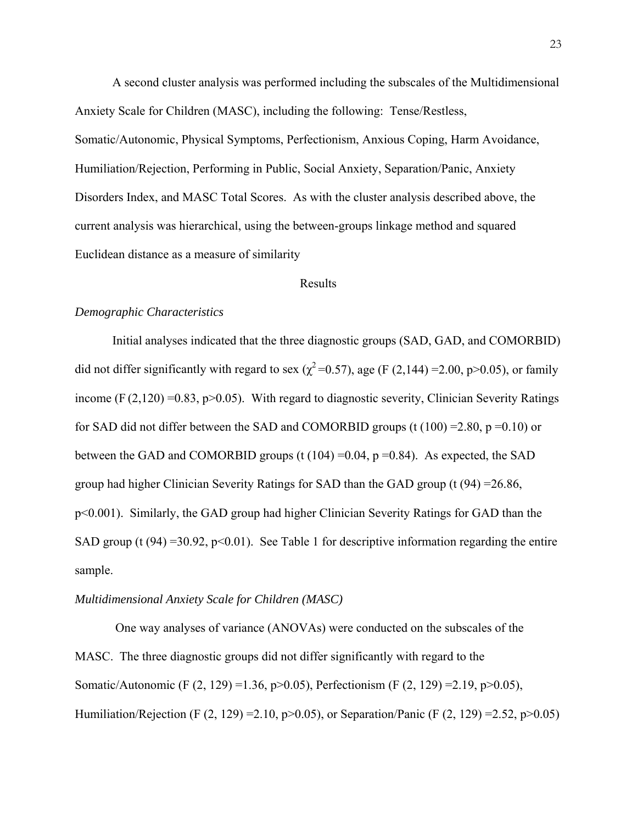A second cluster analysis was performed including the subscales of the Multidimensional Anxiety Scale for Children (MASC), including the following: Tense/Restless, Somatic/Autonomic, Physical Symptoms, Perfectionism, Anxious Coping, Harm Avoidance, Humiliation/Rejection, Performing in Public, Social Anxiety, Separation/Panic, Anxiety Disorders Index, and MASC Total Scores. As with the cluster analysis described above, the current analysis was hierarchical, using the between-groups linkage method and squared Euclidean distance as a measure of similarity

#### Results

#### *Demographic Characteristics*

 Initial analyses indicated that the three diagnostic groups (SAD, GAD, and COMORBID) did not differ significantly with regard to sex ( $\chi^2$ =0.57), age (F (2,144) =2.00, p>0.05), or family income (F  $(2,120) = 0.83$ , p $> 0.05$ ). With regard to diagnostic severity, Clinician Severity Ratings for SAD did not differ between the SAD and COMORBID groups (t  $(100) = 2.80$ , p =0.10) or between the GAD and COMORBID groups (t  $(104) = 0.04$ , p = 0.84). As expected, the SAD group had higher Clinician Severity Ratings for SAD than the GAD group (t  $(94) = 26.86$ , p<0.001). Similarly, the GAD group had higher Clinician Severity Ratings for GAD than the SAD group (t (94) =30.92, p<0.01). See Table 1 for descriptive information regarding the entire sample.

#### *Multidimensional Anxiety Scale for Children (MASC)*

One way analyses of variance (ANOVAs) were conducted on the subscales of the MASC. The three diagnostic groups did not differ significantly with regard to the Somatic/Autonomic (F (2, 129) =1.36, p>0.05), Perfectionism (F (2, 129) =2.19, p>0.05), Humiliation/Rejection (F (2, 129) =2.10, p>0.05), or Separation/Panic (F (2, 129) =2.52, p>0.05)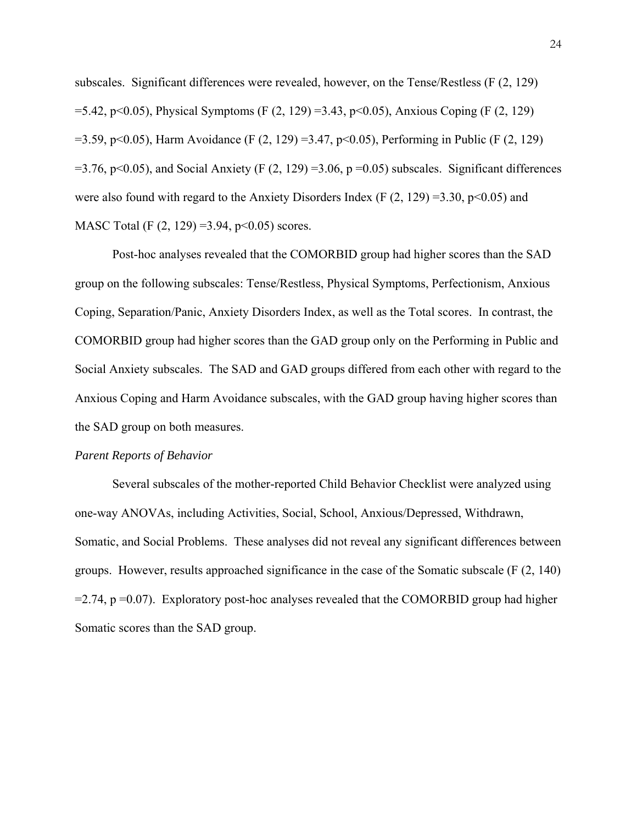subscales. Significant differences were revealed, however, on the Tense/Restless (F (2, 129)  $=$  5.42, p<0.05), Physical Symptoms (F (2, 129) = 3.43, p<0.05), Anxious Coping (F (2, 129)  $=$  3.59, p<0.05), Harm Avoidance (F (2, 129) = 3.47, p<0.05), Performing in Public (F (2, 129)  $=$  3.76, p<0.05), and Social Anxiety (F (2, 129) = 3.06, p = 0.05) subscales. Significant differences were also found with regard to the Anxiety Disorders Index (F  $(2, 129) = 3.30$ , p $\leq 0.05$ ) and MASC Total (F (2, 129) = 3.94, p < 0.05) scores.

Post-hoc analyses revealed that the COMORBID group had higher scores than the SAD group on the following subscales: Tense/Restless, Physical Symptoms, Perfectionism, Anxious Coping, Separation/Panic, Anxiety Disorders Index, as well as the Total scores. In contrast, the COMORBID group had higher scores than the GAD group only on the Performing in Public and Social Anxiety subscales. The SAD and GAD groups differed from each other with regard to the Anxious Coping and Harm Avoidance subscales, with the GAD group having higher scores than the SAD group on both measures.

#### *Parent Reports of Behavior*

 Several subscales of the mother-reported Child Behavior Checklist were analyzed using one-way ANOVAs, including Activities, Social, School, Anxious/Depressed, Withdrawn, Somatic, and Social Problems. These analyses did not reveal any significant differences between groups. However, results approached significance in the case of the Somatic subscale (F (2, 140)  $=$  2.74, p  $=$  0.07). Exploratory post-hoc analyses revealed that the COMORBID group had higher Somatic scores than the SAD group.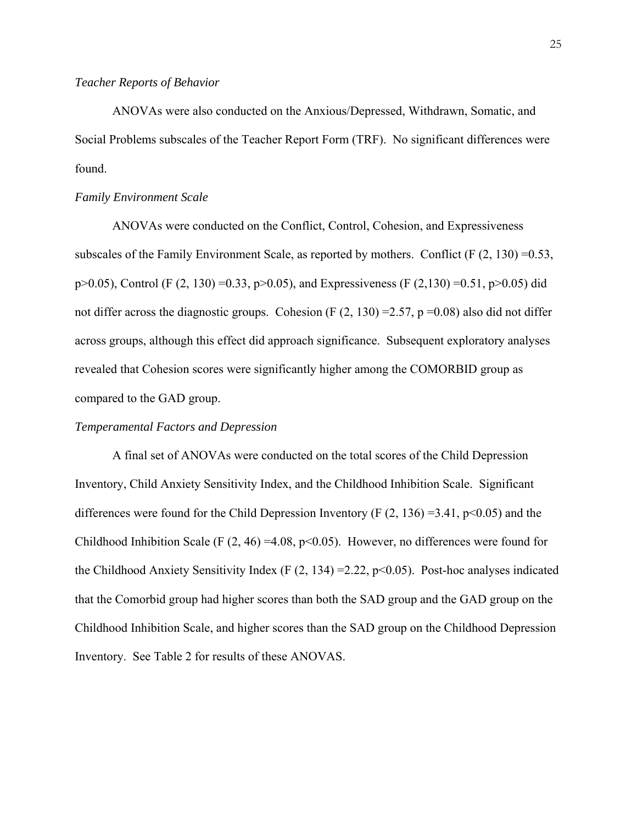#### *Teacher Reports of Behavior*

 ANOVAs were also conducted on the Anxious/Depressed, Withdrawn, Somatic, and Social Problems subscales of the Teacher Report Form (TRF). No significant differences were found.

#### *Family Environment Scale*

 ANOVAs were conducted on the Conflict, Control, Cohesion, and Expressiveness subscales of the Family Environment Scale, as reported by mothers. Conflict (F  $(2, 130) = 0.53$ ,  $p>0.05$ ), Control (F (2, 130) =0.33,  $p>0.05$ ), and Expressiveness (F (2,130) =0.51,  $p>0.05$ ) did not differ across the diagnostic groups. Cohesion (F  $(2, 130) = 2.57$ , p = 0.08) also did not differ across groups, although this effect did approach significance. Subsequent exploratory analyses revealed that Cohesion scores were significantly higher among the COMORBID group as compared to the GAD group.

#### *Temperamental Factors and Depression*

 A final set of ANOVAs were conducted on the total scores of the Child Depression Inventory, Child Anxiety Sensitivity Index, and the Childhood Inhibition Scale. Significant differences were found for the Child Depression Inventory (F  $(2, 136) = 3.41$ , p<0.05) and the Childhood Inhibition Scale (F  $(2, 46) = 4.08$ , p<0.05). However, no differences were found for the Childhood Anxiety Sensitivity Index (F  $(2, 134) = 2.22$ , p<0.05). Post-hoc analyses indicated that the Comorbid group had higher scores than both the SAD group and the GAD group on the Childhood Inhibition Scale, and higher scores than the SAD group on the Childhood Depression Inventory. See Table 2 for results of these ANOVAS.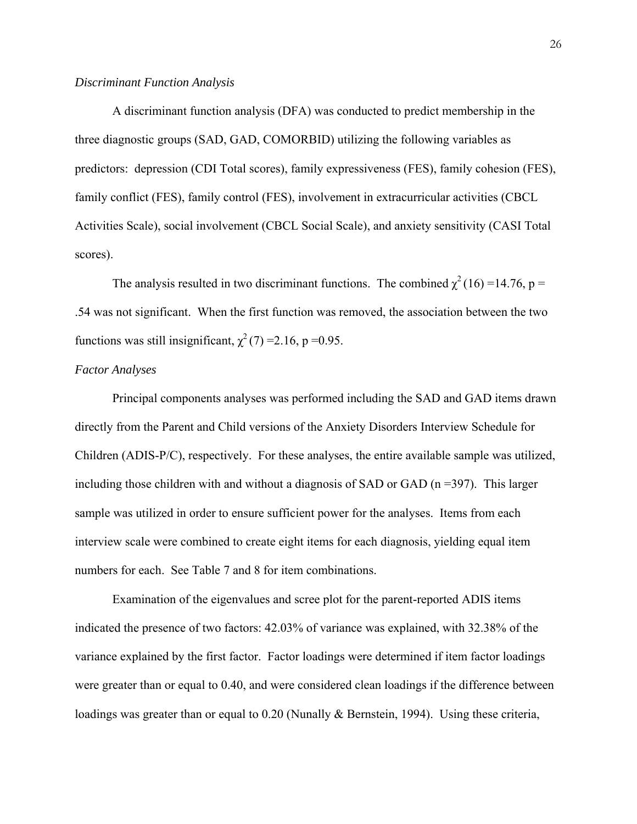A discriminant function analysis (DFA) was conducted to predict membership in the three diagnostic groups (SAD, GAD, COMORBID) utilizing the following variables as predictors: depression (CDI Total scores), family expressiveness (FES), family cohesion (FES), family conflict (FES), family control (FES), involvement in extracurricular activities (CBCL Activities Scale), social involvement (CBCL Social Scale), and anxiety sensitivity (CASI Total scores).

The analysis resulted in two discriminant functions. The combined  $\chi^2$  (16) =14.76, p = .54 was not significant. When the first function was removed, the association between the two functions was still insignificant,  $\chi^2$  (7) = 2.16, p = 0.95.

#### *Factor Analyses*

 Principal components analyses was performed including the SAD and GAD items drawn directly from the Parent and Child versions of the Anxiety Disorders Interview Schedule for Children (ADIS-P/C), respectively. For these analyses, the entire available sample was utilized, including those children with and without a diagnosis of SAD or GAD ( $n = 397$ ). This larger sample was utilized in order to ensure sufficient power for the analyses. Items from each interview scale were combined to create eight items for each diagnosis, yielding equal item numbers for each. See Table 7 and 8 for item combinations.

Examination of the eigenvalues and scree plot for the parent-reported ADIS items indicated the presence of two factors: 42.03% of variance was explained, with 32.38% of the variance explained by the first factor. Factor loadings were determined if item factor loadings were greater than or equal to 0.40, and were considered clean loadings if the difference between loadings was greater than or equal to 0.20 (Nunally & Bernstein, 1994). Using these criteria,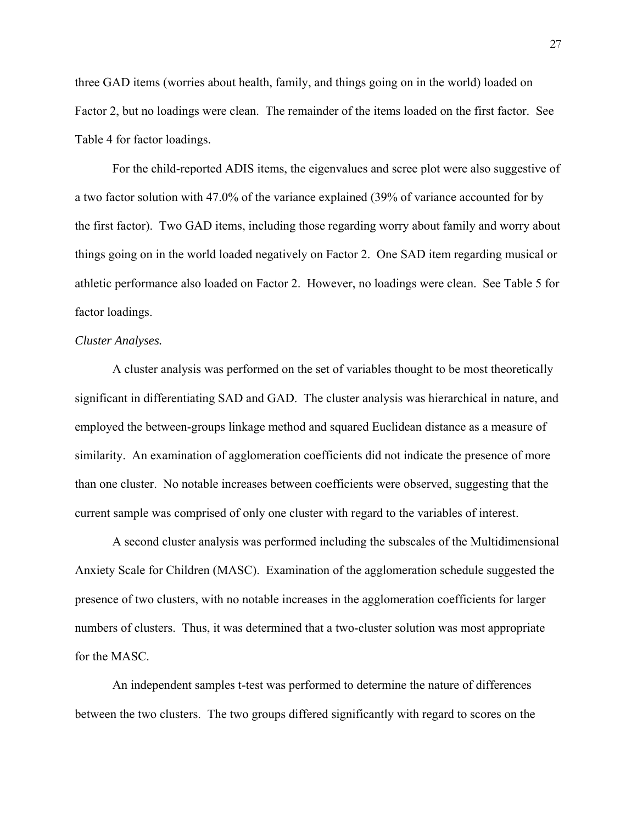three GAD items (worries about health, family, and things going on in the world) loaded on Factor 2, but no loadings were clean. The remainder of the items loaded on the first factor. See Table 4 for factor loadings.

 For the child-reported ADIS items, the eigenvalues and scree plot were also suggestive of a two factor solution with 47.0% of the variance explained (39% of variance accounted for by the first factor). Two GAD items, including those regarding worry about family and worry about things going on in the world loaded negatively on Factor 2. One SAD item regarding musical or athletic performance also loaded on Factor 2. However, no loadings were clean. See Table 5 for factor loadings.

#### *Cluster Analyses.*

A cluster analysis was performed on the set of variables thought to be most theoretically significant in differentiating SAD and GAD. The cluster analysis was hierarchical in nature, and employed the between-groups linkage method and squared Euclidean distance as a measure of similarity. An examination of agglomeration coefficients did not indicate the presence of more than one cluster. No notable increases between coefficients were observed, suggesting that the current sample was comprised of only one cluster with regard to the variables of interest.

A second cluster analysis was performed including the subscales of the Multidimensional Anxiety Scale for Children (MASC). Examination of the agglomeration schedule suggested the presence of two clusters, with no notable increases in the agglomeration coefficients for larger numbers of clusters. Thus, it was determined that a two-cluster solution was most appropriate for the MASC.

An independent samples t-test was performed to determine the nature of differences between the two clusters. The two groups differed significantly with regard to scores on the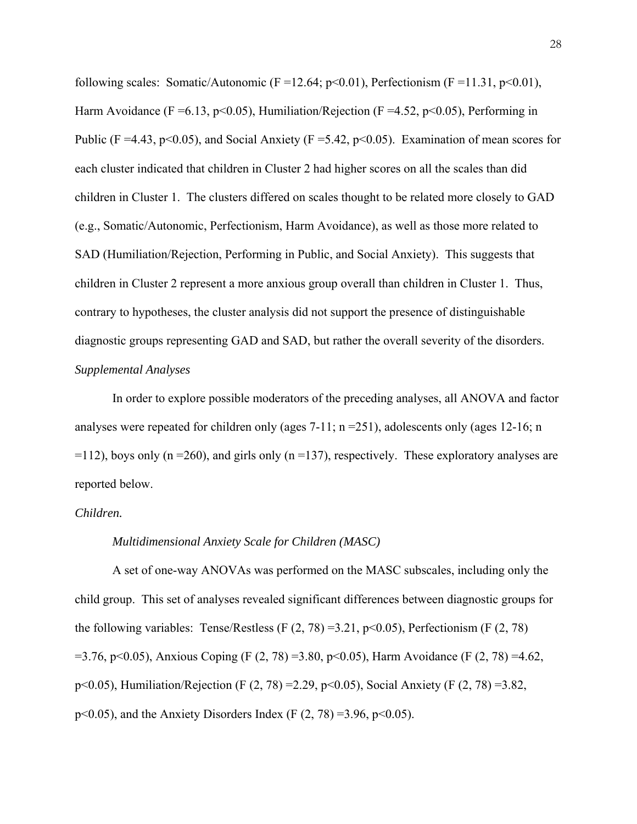following scales: Somatic/Autonomic (F = 12.64; p<0.01), Perfectionism (F = 11.31, p<0.01), Harm Avoidance (F = 6.13, p < 0.05), Humiliation/Rejection (F = 4.52, p < 0.05), Performing in Public (F =4.43, p<0.05), and Social Anxiety (F =5.42, p<0.05). Examination of mean scores for each cluster indicated that children in Cluster 2 had higher scores on all the scales than did children in Cluster 1. The clusters differed on scales thought to be related more closely to GAD (e.g., Somatic/Autonomic, Perfectionism, Harm Avoidance), as well as those more related to SAD (Humiliation/Rejection, Performing in Public, and Social Anxiety). This suggests that children in Cluster 2 represent a more anxious group overall than children in Cluster 1. Thus, contrary to hypotheses, the cluster analysis did not support the presence of distinguishable diagnostic groups representing GAD and SAD, but rather the overall severity of the disorders. *Supplemental Analyses* 

 In order to explore possible moderators of the preceding analyses, all ANOVA and factor analyses were repeated for children only (ages  $7-11$ ; n =  $251$ ), adolescents only (ages 12-16; n  $=112$ ), boys only (n =260), and girls only (n =137), respectively. These exploratory analyses are reported below.

#### *Children.*

#### *Multidimensional Anxiety Scale for Children (MASC)*

A set of one-way ANOVAs was performed on the MASC subscales, including only the child group. This set of analyses revealed significant differences between diagnostic groups for the following variables: Tense/Restless (F  $(2, 78) = 3.21$ , p $\le 0.05$ ), Perfectionism (F  $(2, 78)$ )  $=$  3.76, p<0.05), Anxious Coping (F (2, 78) = 3.80, p<0.05), Harm Avoidance (F (2, 78) = 4.62, p<0.05), Humiliation/Rejection (F (2, 78) =2.29, p<0.05), Social Anxiety (F (2, 78) =3.82, p<0.05), and the Anxiety Disorders Index (F  $(2, 78) = 3.96$ , p<0.05).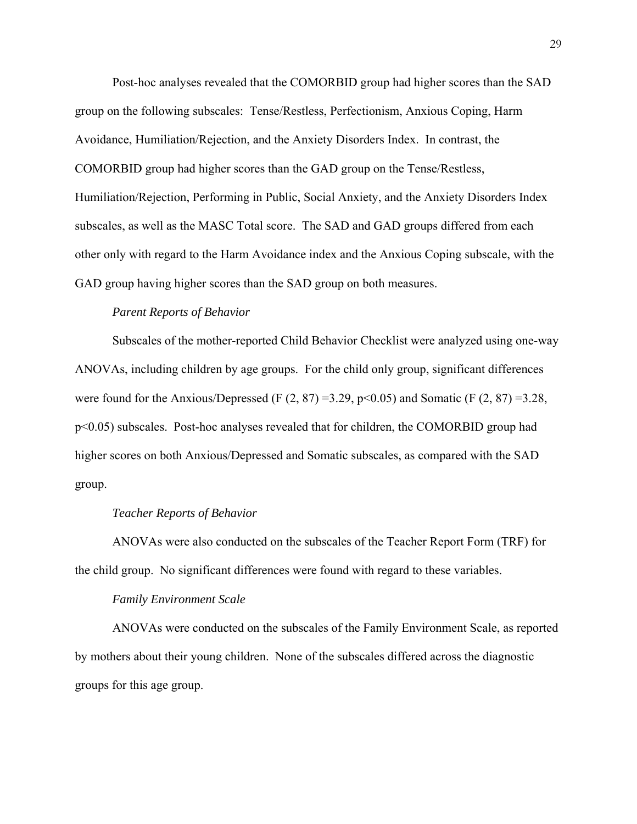Post-hoc analyses revealed that the COMORBID group had higher scores than the SAD group on the following subscales: Tense/Restless, Perfectionism, Anxious Coping, Harm Avoidance, Humiliation/Rejection, and the Anxiety Disorders Index. In contrast, the COMORBID group had higher scores than the GAD group on the Tense/Restless, Humiliation/Rejection, Performing in Public, Social Anxiety, and the Anxiety Disorders Index subscales, as well as the MASC Total score. The SAD and GAD groups differed from each other only with regard to the Harm Avoidance index and the Anxious Coping subscale, with the GAD group having higher scores than the SAD group on both measures.

#### *Parent Reports of Behavior*

 Subscales of the mother-reported Child Behavior Checklist were analyzed using one-way ANOVAs, including children by age groups. For the child only group, significant differences were found for the Anxious/Depressed (F  $(2, 87) = 3.29$ , p<0.05) and Somatic (F  $(2, 87) = 3.28$ , p<0.05) subscales. Post-hoc analyses revealed that for children, the COMORBID group had higher scores on both Anxious/Depressed and Somatic subscales, as compared with the SAD group.

#### *Teacher Reports of Behavior*

 ANOVAs were also conducted on the subscales of the Teacher Report Form (TRF) for the child group. No significant differences were found with regard to these variables.

#### *Family Environment Scale*

ANOVAs were conducted on the subscales of the Family Environment Scale, as reported by mothers about their young children. None of the subscales differed across the diagnostic groups for this age group.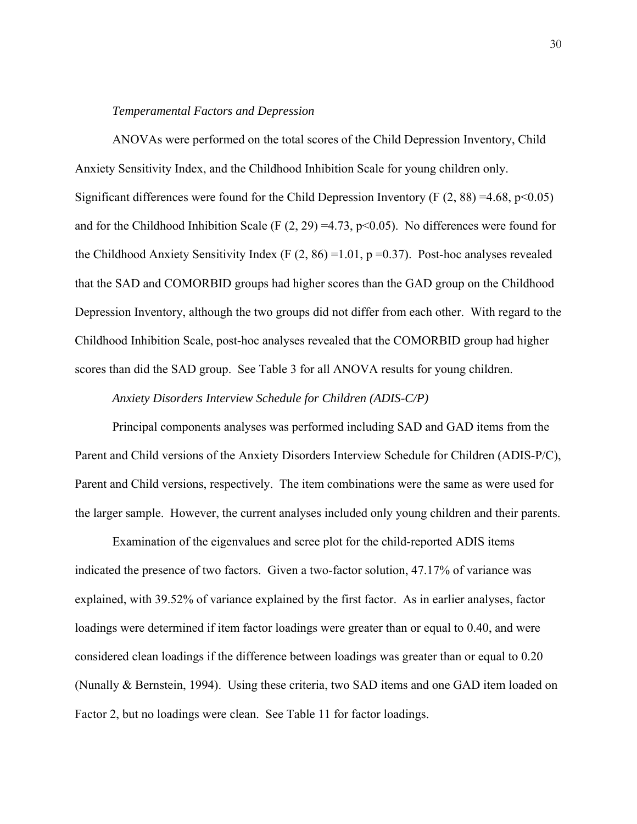### *Temperamental Factors and Depression*

 ANOVAs were performed on the total scores of the Child Depression Inventory, Child Anxiety Sensitivity Index, and the Childhood Inhibition Scale for young children only. Significant differences were found for the Child Depression Inventory (F  $(2, 88) = 4.68$ , p<0.05) and for the Childhood Inhibition Scale (F  $(2, 29) = 4.73$ , p<0.05). No differences were found for the Childhood Anxiety Sensitivity Index (F  $(2, 86) = 1.01$ , p =0.37). Post-hoc analyses revealed that the SAD and COMORBID groups had higher scores than the GAD group on the Childhood Depression Inventory, although the two groups did not differ from each other. With regard to the Childhood Inhibition Scale, post-hoc analyses revealed that the COMORBID group had higher scores than did the SAD group. See Table 3 for all ANOVA results for young children.

# *Anxiety Disorders Interview Schedule for Children (ADIS-C/P)*

Principal components analyses was performed including SAD and GAD items from the Parent and Child versions of the Anxiety Disorders Interview Schedule for Children (ADIS-P/C), Parent and Child versions, respectively. The item combinations were the same as were used for the larger sample. However, the current analyses included only young children and their parents.

 Examination of the eigenvalues and scree plot for the child-reported ADIS items indicated the presence of two factors. Given a two-factor solution, 47.17% of variance was explained, with 39.52% of variance explained by the first factor. As in earlier analyses, factor loadings were determined if item factor loadings were greater than or equal to 0.40, and were considered clean loadings if the difference between loadings was greater than or equal to 0.20 (Nunally & Bernstein, 1994). Using these criteria, two SAD items and one GAD item loaded on Factor 2, but no loadings were clean. See Table 11 for factor loadings.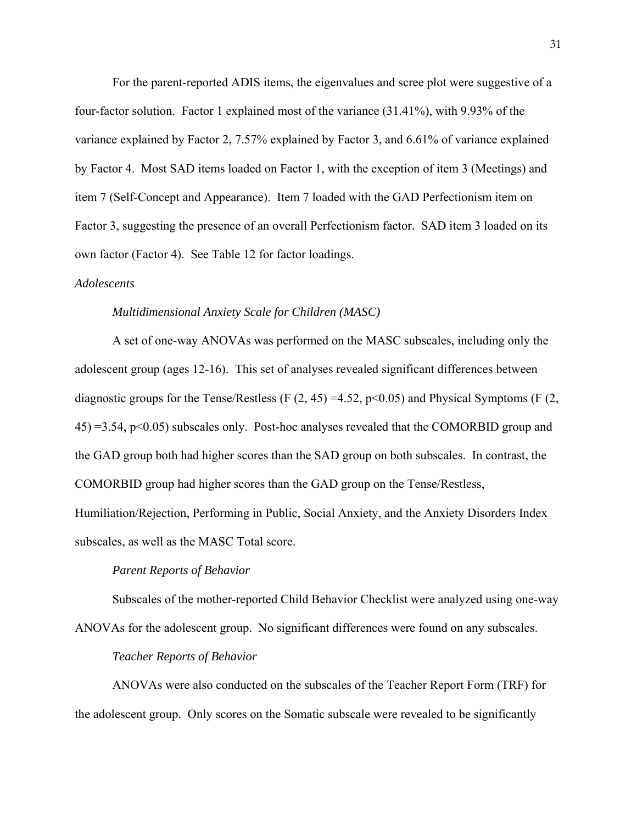For the parent-reported ADIS items, the eigenvalues and scree plot were suggestive of a four-factor solution. Factor 1 explained most of the variance (31.41%), with 9.93% of the variance explained by Factor 2, 7.57% explained by Factor 3, and 6.61% of variance explained by Factor 4. Most SAD items loaded on Factor 1, with the exception of item 3 (Meetings) and item 7 (Self-Concept and Appearance). Item 7 loaded with the GAD Perfectionism item on Factor 3, suggesting the presence of an overall Perfectionism factor. SAD item 3 loaded on its own factor (Factor 4). See Table 12 for factor loadings.

#### *Adolescents*

### *Multidimensional Anxiety Scale for Children (MASC)*

A set of one-way ANOVAs was performed on the MASC subscales, including only the adolescent group (ages 12-16). This set of analyses revealed significant differences between diagnostic groups for the Tense/Restless (F  $(2, 45) = 4.52$ , p<0.05) and Physical Symptoms (F  $(2, 45)$ ) 45) =3.54, p<0.05) subscales only. Post-hoc analyses revealed that the COMORBID group and the GAD group both had higher scores than the SAD group on both subscales. In contrast, the COMORBID group had higher scores than the GAD group on the Tense/Restless, Humiliation/Rejection, Performing in Public, Social Anxiety, and the Anxiety Disorders Index

subscales, as well as the MASC Total score.

#### *Parent Reports of Behavior*

Subscales of the mother-reported Child Behavior Checklist were analyzed using one-way ANOVAs for the adolescent group. No significant differences were found on any subscales.

# *Teacher Reports of Behavior*

 ANOVAs were also conducted on the subscales of the Teacher Report Form (TRF) for the adolescent group. Only scores on the Somatic subscale were revealed to be significantly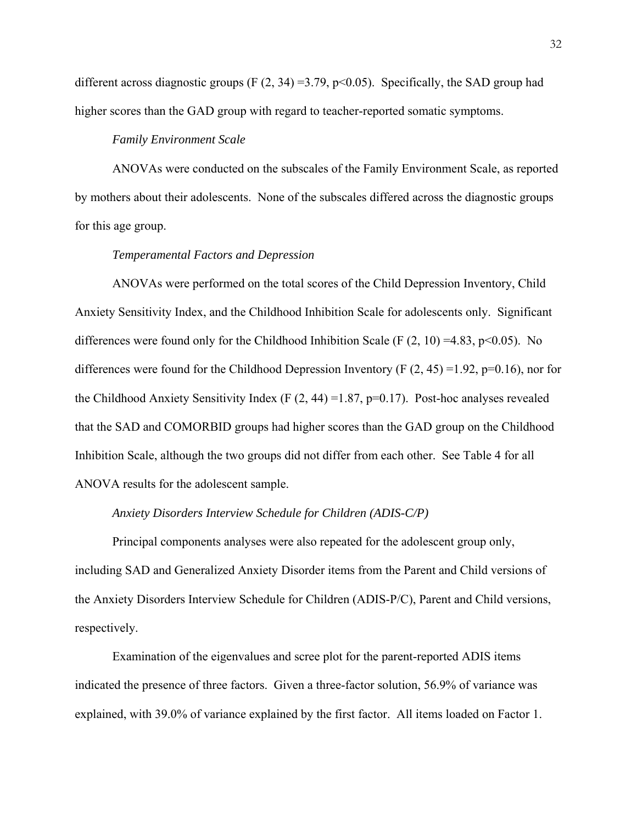different across diagnostic groups (F  $(2, 34) = 3.79$ , p<0.05). Specifically, the SAD group had higher scores than the GAD group with regard to teacher-reported somatic symptoms.

#### *Family Environment Scale*

 ANOVAs were conducted on the subscales of the Family Environment Scale, as reported by mothers about their adolescents. None of the subscales differed across the diagnostic groups for this age group.

# *Temperamental Factors and Depression*

 ANOVAs were performed on the total scores of the Child Depression Inventory, Child Anxiety Sensitivity Index, and the Childhood Inhibition Scale for adolescents only. Significant differences were found only for the Childhood Inhibition Scale (F  $(2, 10) = 4.83$ , p<0.05). No differences were found for the Childhood Depression Inventory (F  $(2, 45) = 1.92$ , p=0.16), nor for the Childhood Anxiety Sensitivity Index (F  $(2, 44) = 1.87$ , p=0.17). Post-hoc analyses revealed that the SAD and COMORBID groups had higher scores than the GAD group on the Childhood Inhibition Scale, although the two groups did not differ from each other. See Table 4 for all ANOVA results for the adolescent sample.

### *Anxiety Disorders Interview Schedule for Children (ADIS-C/P)*

Principal components analyses were also repeated for the adolescent group only, including SAD and Generalized Anxiety Disorder items from the Parent and Child versions of the Anxiety Disorders Interview Schedule for Children (ADIS-P/C), Parent and Child versions, respectively.

 Examination of the eigenvalues and scree plot for the parent-reported ADIS items indicated the presence of three factors. Given a three-factor solution, 56.9% of variance was explained, with 39.0% of variance explained by the first factor. All items loaded on Factor 1.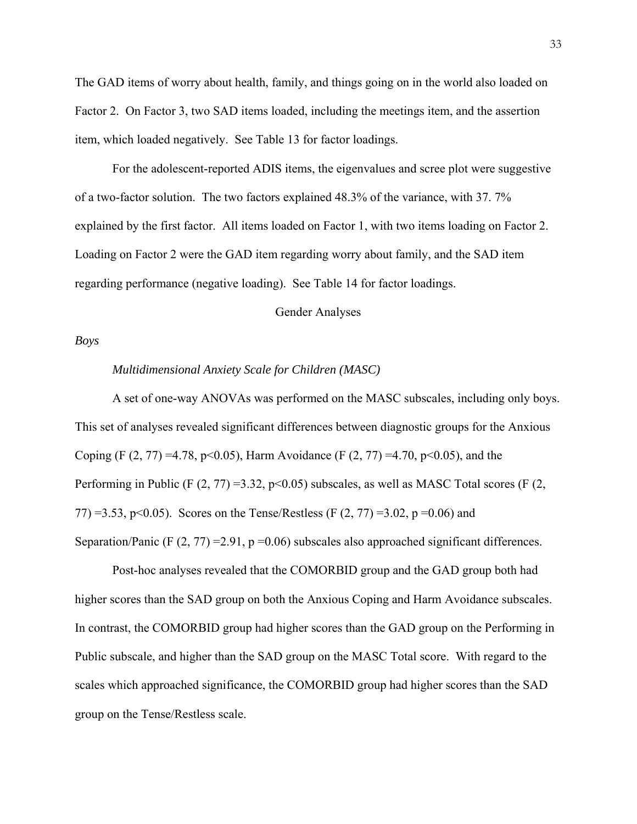The GAD items of worry about health, family, and things going on in the world also loaded on Factor 2. On Factor 3, two SAD items loaded, including the meetings item, and the assertion item, which loaded negatively. See Table 13 for factor loadings.

 For the adolescent-reported ADIS items, the eigenvalues and scree plot were suggestive of a two-factor solution. The two factors explained 48.3% of the variance, with 37. 7% explained by the first factor. All items loaded on Factor 1, with two items loading on Factor 2. Loading on Factor 2 were the GAD item regarding worry about family, and the SAD item regarding performance (negative loading). See Table 14 for factor loadings.

Gender Analyses

# *Boys*

#### *Multidimensional Anxiety Scale for Children (MASC)*

A set of one-way ANOVAs was performed on the MASC subscales, including only boys. This set of analyses revealed significant differences between diagnostic groups for the Anxious Coping (F  $(2, 77) = 4.78$ , p<0.05), Harm Avoidance (F  $(2, 77) = 4.70$ , p<0.05), and the Performing in Public (F  $(2, 77) = 3.32$ , p<0.05) subscales, as well as MASC Total scores (F  $(2, 17)$ ) 77) =3.53, p<0.05). Scores on the Tense/Restless (F  $(2, 77)$  =3.02, p =0.06) and Separation/Panic (F  $(2, 77) = 2.91$ , p = 0.06) subscales also approached significant differences.

Post-hoc analyses revealed that the COMORBID group and the GAD group both had higher scores than the SAD group on both the Anxious Coping and Harm Avoidance subscales. In contrast, the COMORBID group had higher scores than the GAD group on the Performing in Public subscale, and higher than the SAD group on the MASC Total score. With regard to the scales which approached significance, the COMORBID group had higher scores than the SAD group on the Tense/Restless scale.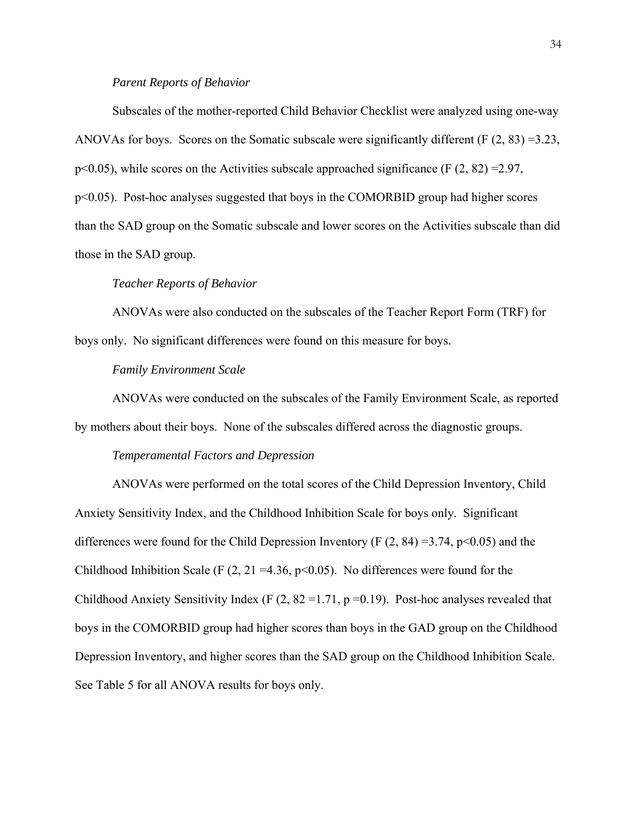# *Parent Reports of Behavior*

 Subscales of the mother-reported Child Behavior Checklist were analyzed using one-way ANOVAs for boys. Scores on the Somatic subscale were significantly different (F (2, 83) =3.23,  $p<0.05$ ), while scores on the Activities subscale approached significance (F  $(2, 82) = 2.97$ , p<0.05). Post-hoc analyses suggested that boys in the COMORBID group had higher scores than the SAD group on the Somatic subscale and lower scores on the Activities subscale than did those in the SAD group.

#### *Teacher Reports of Behavior*

 ANOVAs were also conducted on the subscales of the Teacher Report Form (TRF) for boys only. No significant differences were found on this measure for boys.

# *Family Environment Scale*

 ANOVAs were conducted on the subscales of the Family Environment Scale, as reported by mothers about their boys. None of the subscales differed across the diagnostic groups.

#### *Temperamental Factors and Depression*

 ANOVAs were performed on the total scores of the Child Depression Inventory, Child Anxiety Sensitivity Index, and the Childhood Inhibition Scale for boys only. Significant differences were found for the Child Depression Inventory (F  $(2, 84) = 3.74$ , p $\le 0.05$ ) and the Childhood Inhibition Scale (F  $(2, 21 = 4.36, p < 0.05)$ ). No differences were found for the Childhood Anxiety Sensitivity Index (F  $(2, 82 = 1.71, p = 0.19)$ ). Post-hoc analyses revealed that boys in the COMORBID group had higher scores than boys in the GAD group on the Childhood Depression Inventory, and higher scores than the SAD group on the Childhood Inhibition Scale. See Table 5 for all ANOVA results for boys only.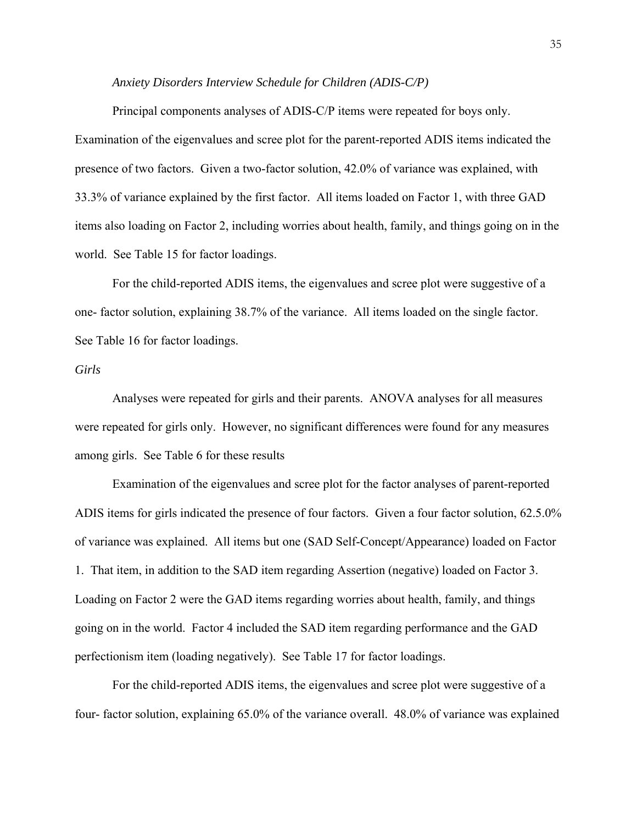### *Anxiety Disorders Interview Schedule for Children (ADIS-C/P)*

Principal components analyses of ADIS-C/P items were repeated for boys only. Examination of the eigenvalues and scree plot for the parent-reported ADIS items indicated the presence of two factors. Given a two-factor solution, 42.0% of variance was explained, with 33.3% of variance explained by the first factor. All items loaded on Factor 1, with three GAD items also loading on Factor 2, including worries about health, family, and things going on in the world. See Table 15 for factor loadings.

 For the child-reported ADIS items, the eigenvalues and scree plot were suggestive of a one- factor solution, explaining 38.7% of the variance. All items loaded on the single factor. See Table 16 for factor loadings.

# *Girls*

Analyses were repeated for girls and their parents. ANOVA analyses for all measures were repeated for girls only. However, no significant differences were found for any measures among girls. See Table 6 for these results

Examination of the eigenvalues and scree plot for the factor analyses of parent-reported ADIS items for girls indicated the presence of four factors. Given a four factor solution, 62.5.0% of variance was explained. All items but one (SAD Self-Concept/Appearance) loaded on Factor 1. That item, in addition to the SAD item regarding Assertion (negative) loaded on Factor 3. Loading on Factor 2 were the GAD items regarding worries about health, family, and things going on in the world. Factor 4 included the SAD item regarding performance and the GAD perfectionism item (loading negatively). See Table 17 for factor loadings.

 For the child-reported ADIS items, the eigenvalues and scree plot were suggestive of a four- factor solution, explaining 65.0% of the variance overall. 48.0% of variance was explained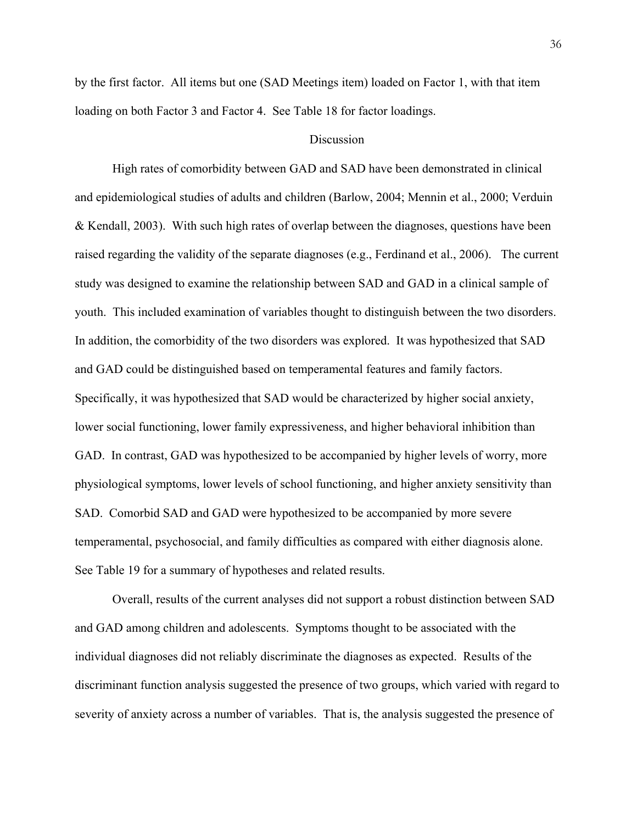by the first factor. All items but one (SAD Meetings item) loaded on Factor 1, with that item loading on both Factor 3 and Factor 4. See Table 18 for factor loadings.

### **Discussion**

High rates of comorbidity between GAD and SAD have been demonstrated in clinical and epidemiological studies of adults and children (Barlow, 2004; Mennin et al., 2000; Verduin & Kendall, 2003). With such high rates of overlap between the diagnoses, questions have been raised regarding the validity of the separate diagnoses (e.g., Ferdinand et al., 2006). The current study was designed to examine the relationship between SAD and GAD in a clinical sample of youth. This included examination of variables thought to distinguish between the two disorders. In addition, the comorbidity of the two disorders was explored. It was hypothesized that SAD and GAD could be distinguished based on temperamental features and family factors. Specifically, it was hypothesized that SAD would be characterized by higher social anxiety, lower social functioning, lower family expressiveness, and higher behavioral inhibition than GAD. In contrast, GAD was hypothesized to be accompanied by higher levels of worry, more physiological symptoms, lower levels of school functioning, and higher anxiety sensitivity than SAD. Comorbid SAD and GAD were hypothesized to be accompanied by more severe temperamental, psychosocial, and family difficulties as compared with either diagnosis alone. See Table 19 for a summary of hypotheses and related results.

Overall, results of the current analyses did not support a robust distinction between SAD and GAD among children and adolescents. Symptoms thought to be associated with the individual diagnoses did not reliably discriminate the diagnoses as expected. Results of the discriminant function analysis suggested the presence of two groups, which varied with regard to severity of anxiety across a number of variables. That is, the analysis suggested the presence of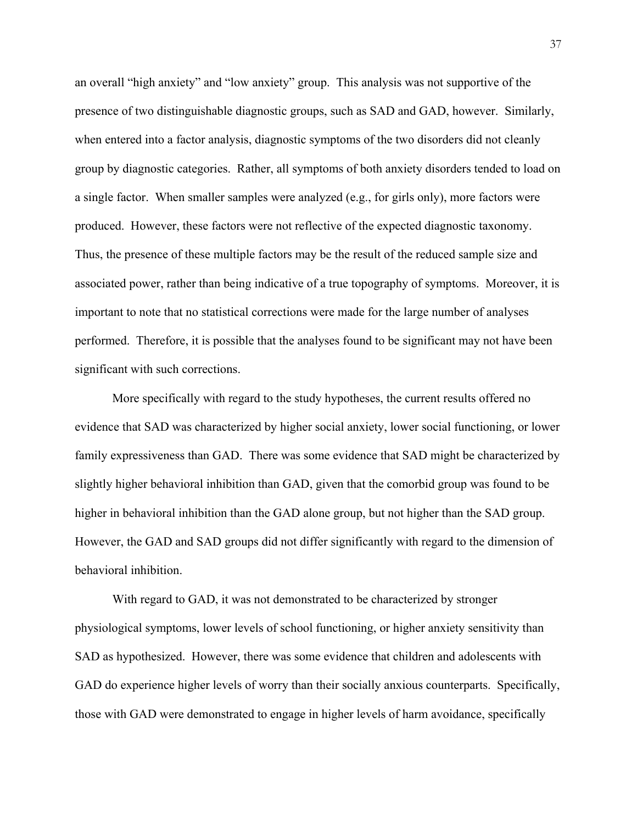an overall "high anxiety" and "low anxiety" group. This analysis was not supportive of the presence of two distinguishable diagnostic groups, such as SAD and GAD, however. Similarly, when entered into a factor analysis, diagnostic symptoms of the two disorders did not cleanly group by diagnostic categories. Rather, all symptoms of both anxiety disorders tended to load on a single factor. When smaller samples were analyzed (e.g., for girls only), more factors were produced. However, these factors were not reflective of the expected diagnostic taxonomy. Thus, the presence of these multiple factors may be the result of the reduced sample size and associated power, rather than being indicative of a true topography of symptoms. Moreover, it is important to note that no statistical corrections were made for the large number of analyses performed. Therefore, it is possible that the analyses found to be significant may not have been significant with such corrections.

More specifically with regard to the study hypotheses, the current results offered no evidence that SAD was characterized by higher social anxiety, lower social functioning, or lower family expressiveness than GAD. There was some evidence that SAD might be characterized by slightly higher behavioral inhibition than GAD, given that the comorbid group was found to be higher in behavioral inhibition than the GAD alone group, but not higher than the SAD group. However, the GAD and SAD groups did not differ significantly with regard to the dimension of behavioral inhibition.

With regard to GAD, it was not demonstrated to be characterized by stronger physiological symptoms, lower levels of school functioning, or higher anxiety sensitivity than SAD as hypothesized. However, there was some evidence that children and adolescents with GAD do experience higher levels of worry than their socially anxious counterparts. Specifically, those with GAD were demonstrated to engage in higher levels of harm avoidance, specifically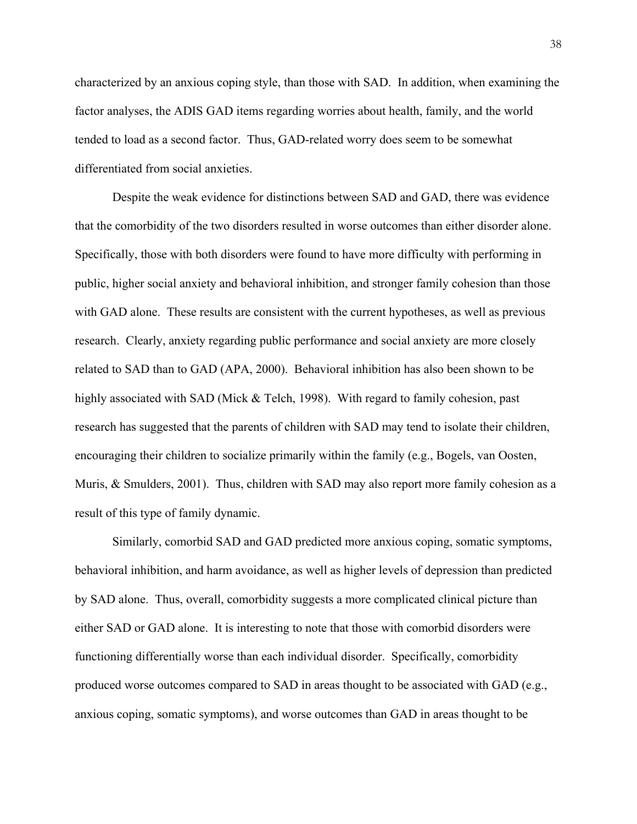characterized by an anxious coping style, than those with SAD. In addition, when examining the factor analyses, the ADIS GAD items regarding worries about health, family, and the world tended to load as a second factor. Thus, GAD-related worry does seem to be somewhat differentiated from social anxieties.

Despite the weak evidence for distinctions between SAD and GAD, there was evidence that the comorbidity of the two disorders resulted in worse outcomes than either disorder alone. Specifically, those with both disorders were found to have more difficulty with performing in public, higher social anxiety and behavioral inhibition, and stronger family cohesion than those with GAD alone. These results are consistent with the current hypotheses, as well as previous research. Clearly, anxiety regarding public performance and social anxiety are more closely related to SAD than to GAD (APA, 2000). Behavioral inhibition has also been shown to be highly associated with SAD (Mick & Telch, 1998). With regard to family cohesion, past research has suggested that the parents of children with SAD may tend to isolate their children, encouraging their children to socialize primarily within the family (e.g., Bogels, van Oosten, Muris, & Smulders, 2001). Thus, children with SAD may also report more family cohesion as a result of this type of family dynamic.

Similarly, comorbid SAD and GAD predicted more anxious coping, somatic symptoms, behavioral inhibition, and harm avoidance, as well as higher levels of depression than predicted by SAD alone. Thus, overall, comorbidity suggests a more complicated clinical picture than either SAD or GAD alone. It is interesting to note that those with comorbid disorders were functioning differentially worse than each individual disorder. Specifically, comorbidity produced worse outcomes compared to SAD in areas thought to be associated with GAD (e.g., anxious coping, somatic symptoms), and worse outcomes than GAD in areas thought to be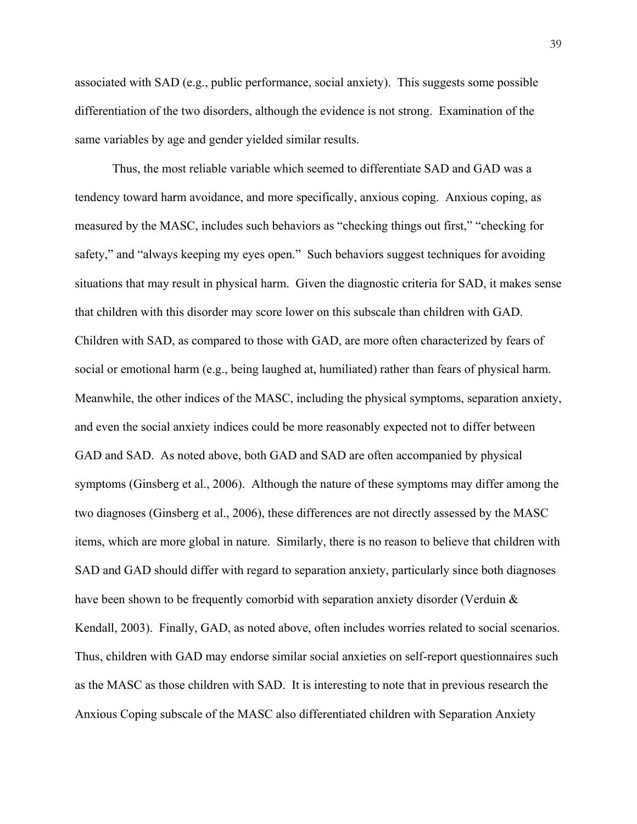associated with SAD (e.g., public performance, social anxiety). This suggests some possible differentiation of the two disorders, although the evidence is not strong. Examination of the same variables by age and gender yielded similar results.

Thus, the most reliable variable which seemed to differentiate SAD and GAD was a tendency toward harm avoidance, and more specifically, anxious coping. Anxious coping, as measured by the MASC, includes such behaviors as "checking things out first," "checking for safety," and "always keeping my eyes open." Such behaviors suggest techniques for avoiding situations that may result in physical harm. Given the diagnostic criteria for SAD, it makes sense that children with this disorder may score lower on this subscale than children with GAD. Children with SAD, as compared to those with GAD, are more often characterized by fears of social or emotional harm (e.g., being laughed at, humiliated) rather than fears of physical harm. Meanwhile, the other indices of the MASC, including the physical symptoms, separation anxiety, and even the social anxiety indices could be more reasonably expected not to differ between GAD and SAD. As noted above, both GAD and SAD are often accompanied by physical symptoms (Ginsberg et al., 2006). Although the nature of these symptoms may differ among the two diagnoses (Ginsberg et al., 2006), these differences are not directly assessed by the MASC items, which are more global in nature. Similarly, there is no reason to believe that children with SAD and GAD should differ with regard to separation anxiety, particularly since both diagnoses have been shown to be frequently comorbid with separation anxiety disorder (Verduin & Kendall, 2003). Finally, GAD, as noted above, often includes worries related to social scenarios. Thus, children with GAD may endorse similar social anxieties on self-report questionnaires such as the MASC as those children with SAD. It is interesting to note that in previous research the Anxious Coping subscale of the MASC also differentiated children with Separation Anxiety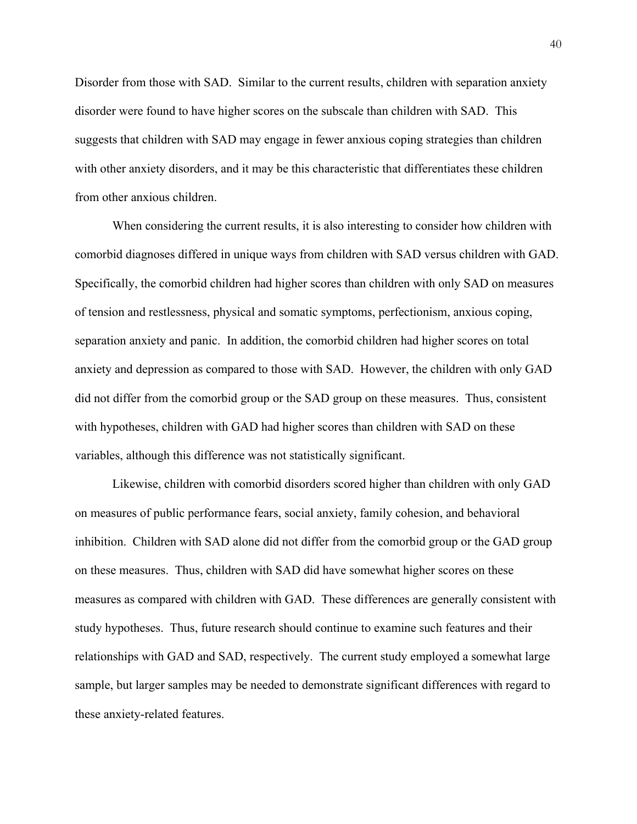Disorder from those with SAD. Similar to the current results, children with separation anxiety disorder were found to have higher scores on the subscale than children with SAD. This suggests that children with SAD may engage in fewer anxious coping strategies than children with other anxiety disorders, and it may be this characteristic that differentiates these children from other anxious children.

When considering the current results, it is also interesting to consider how children with comorbid diagnoses differed in unique ways from children with SAD versus children with GAD. Specifically, the comorbid children had higher scores than children with only SAD on measures of tension and restlessness, physical and somatic symptoms, perfectionism, anxious coping, separation anxiety and panic. In addition, the comorbid children had higher scores on total anxiety and depression as compared to those with SAD. However, the children with only GAD did not differ from the comorbid group or the SAD group on these measures. Thus, consistent with hypotheses, children with GAD had higher scores than children with SAD on these variables, although this difference was not statistically significant.

Likewise, children with comorbid disorders scored higher than children with only GAD on measures of public performance fears, social anxiety, family cohesion, and behavioral inhibition. Children with SAD alone did not differ from the comorbid group or the GAD group on these measures. Thus, children with SAD did have somewhat higher scores on these measures as compared with children with GAD. These differences are generally consistent with study hypotheses. Thus, future research should continue to examine such features and their relationships with GAD and SAD, respectively. The current study employed a somewhat large sample, but larger samples may be needed to demonstrate significant differences with regard to these anxiety-related features.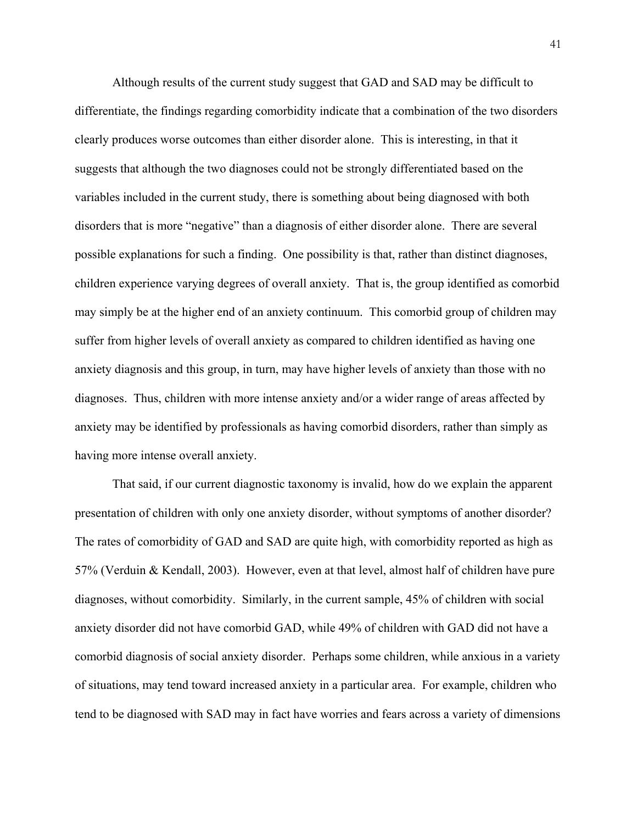Although results of the current study suggest that GAD and SAD may be difficult to differentiate, the findings regarding comorbidity indicate that a combination of the two disorders clearly produces worse outcomes than either disorder alone. This is interesting, in that it suggests that although the two diagnoses could not be strongly differentiated based on the variables included in the current study, there is something about being diagnosed with both disorders that is more "negative" than a diagnosis of either disorder alone. There are several possible explanations for such a finding. One possibility is that, rather than distinct diagnoses, children experience varying degrees of overall anxiety. That is, the group identified as comorbid may simply be at the higher end of an anxiety continuum. This comorbid group of children may suffer from higher levels of overall anxiety as compared to children identified as having one anxiety diagnosis and this group, in turn, may have higher levels of anxiety than those with no diagnoses. Thus, children with more intense anxiety and/or a wider range of areas affected by anxiety may be identified by professionals as having comorbid disorders, rather than simply as having more intense overall anxiety.

That said, if our current diagnostic taxonomy is invalid, how do we explain the apparent presentation of children with only one anxiety disorder, without symptoms of another disorder? The rates of comorbidity of GAD and SAD are quite high, with comorbidity reported as high as 57% (Verduin & Kendall, 2003). However, even at that level, almost half of children have pure diagnoses, without comorbidity. Similarly, in the current sample, 45% of children with social anxiety disorder did not have comorbid GAD, while 49% of children with GAD did not have a comorbid diagnosis of social anxiety disorder. Perhaps some children, while anxious in a variety of situations, may tend toward increased anxiety in a particular area. For example, children who tend to be diagnosed with SAD may in fact have worries and fears across a variety of dimensions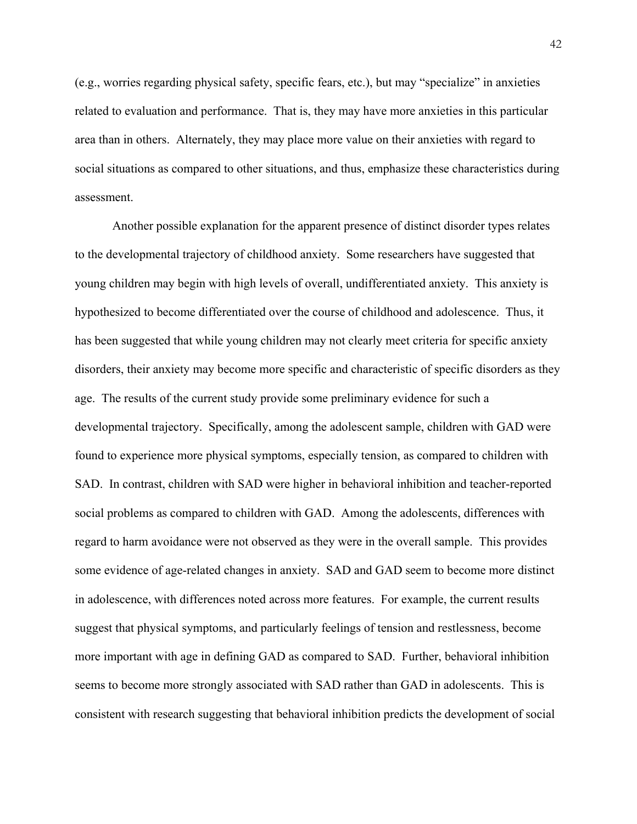(e.g., worries regarding physical safety, specific fears, etc.), but may "specialize" in anxieties related to evaluation and performance. That is, they may have more anxieties in this particular area than in others. Alternately, they may place more value on their anxieties with regard to social situations as compared to other situations, and thus, emphasize these characteristics during assessment.

Another possible explanation for the apparent presence of distinct disorder types relates to the developmental trajectory of childhood anxiety. Some researchers have suggested that young children may begin with high levels of overall, undifferentiated anxiety. This anxiety is hypothesized to become differentiated over the course of childhood and adolescence. Thus, it has been suggested that while young children may not clearly meet criteria for specific anxiety disorders, their anxiety may become more specific and characteristic of specific disorders as they age. The results of the current study provide some preliminary evidence for such a developmental trajectory. Specifically, among the adolescent sample, children with GAD were found to experience more physical symptoms, especially tension, as compared to children with SAD. In contrast, children with SAD were higher in behavioral inhibition and teacher-reported social problems as compared to children with GAD. Among the adolescents, differences with regard to harm avoidance were not observed as they were in the overall sample. This provides some evidence of age-related changes in anxiety. SAD and GAD seem to become more distinct in adolescence, with differences noted across more features. For example, the current results suggest that physical symptoms, and particularly feelings of tension and restlessness, become more important with age in defining GAD as compared to SAD. Further, behavioral inhibition seems to become more strongly associated with SAD rather than GAD in adolescents. This is consistent with research suggesting that behavioral inhibition predicts the development of social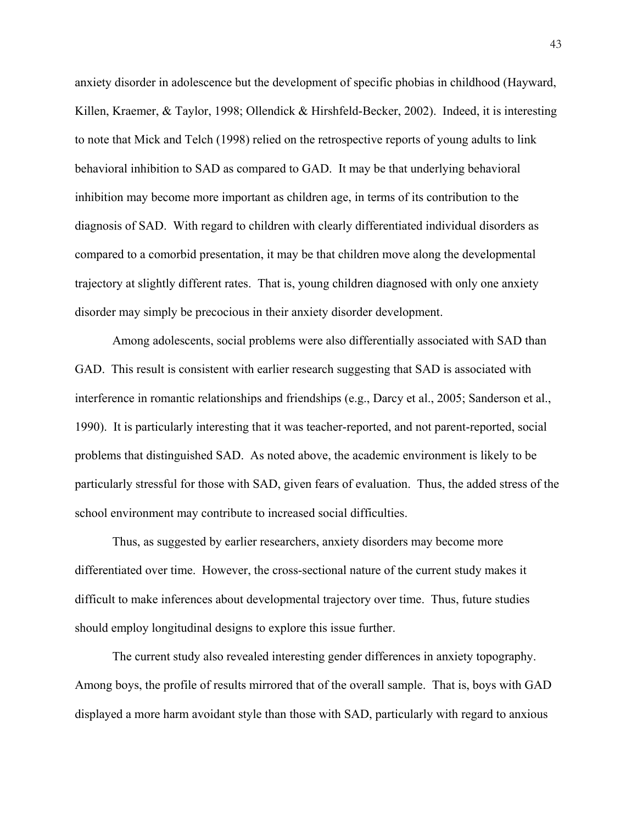anxiety disorder in adolescence but the development of specific phobias in childhood (Hayward, Killen, Kraemer, & Taylor, 1998; Ollendick & Hirshfeld-Becker, 2002). Indeed, it is interesting to note that Mick and Telch (1998) relied on the retrospective reports of young adults to link behavioral inhibition to SAD as compared to GAD. It may be that underlying behavioral inhibition may become more important as children age, in terms of its contribution to the diagnosis of SAD. With regard to children with clearly differentiated individual disorders as compared to a comorbid presentation, it may be that children move along the developmental trajectory at slightly different rates. That is, young children diagnosed with only one anxiety disorder may simply be precocious in their anxiety disorder development.

Among adolescents, social problems were also differentially associated with SAD than GAD. This result is consistent with earlier research suggesting that SAD is associated with interference in romantic relationships and friendships (e.g., Darcy et al., 2005; Sanderson et al., 1990). It is particularly interesting that it was teacher-reported, and not parent-reported, social problems that distinguished SAD. As noted above, the academic environment is likely to be particularly stressful for those with SAD, given fears of evaluation. Thus, the added stress of the school environment may contribute to increased social difficulties.

Thus, as suggested by earlier researchers, anxiety disorders may become more differentiated over time. However, the cross-sectional nature of the current study makes it difficult to make inferences about developmental trajectory over time. Thus, future studies should employ longitudinal designs to explore this issue further.

The current study also revealed interesting gender differences in anxiety topography. Among boys, the profile of results mirrored that of the overall sample. That is, boys with GAD displayed a more harm avoidant style than those with SAD, particularly with regard to anxious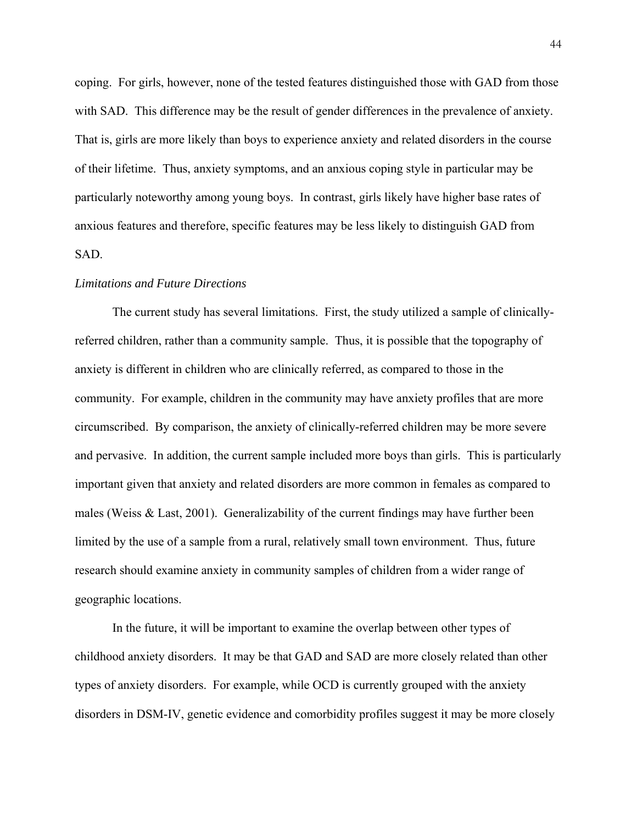coping. For girls, however, none of the tested features distinguished those with GAD from those with SAD. This difference may be the result of gender differences in the prevalence of anxiety. That is, girls are more likely than boys to experience anxiety and related disorders in the course of their lifetime. Thus, anxiety symptoms, and an anxious coping style in particular may be particularly noteworthy among young boys. In contrast, girls likely have higher base rates of anxious features and therefore, specific features may be less likely to distinguish GAD from SAD.

#### *Limitations and Future Directions*

The current study has several limitations. First, the study utilized a sample of clinicallyreferred children, rather than a community sample. Thus, it is possible that the topography of anxiety is different in children who are clinically referred, as compared to those in the community. For example, children in the community may have anxiety profiles that are more circumscribed. By comparison, the anxiety of clinically-referred children may be more severe and pervasive. In addition, the current sample included more boys than girls. This is particularly important given that anxiety and related disorders are more common in females as compared to males (Weiss & Last, 2001). Generalizability of the current findings may have further been limited by the use of a sample from a rural, relatively small town environment. Thus, future research should examine anxiety in community samples of children from a wider range of geographic locations.

In the future, it will be important to examine the overlap between other types of childhood anxiety disorders. It may be that GAD and SAD are more closely related than other types of anxiety disorders. For example, while OCD is currently grouped with the anxiety disorders in DSM-IV, genetic evidence and comorbidity profiles suggest it may be more closely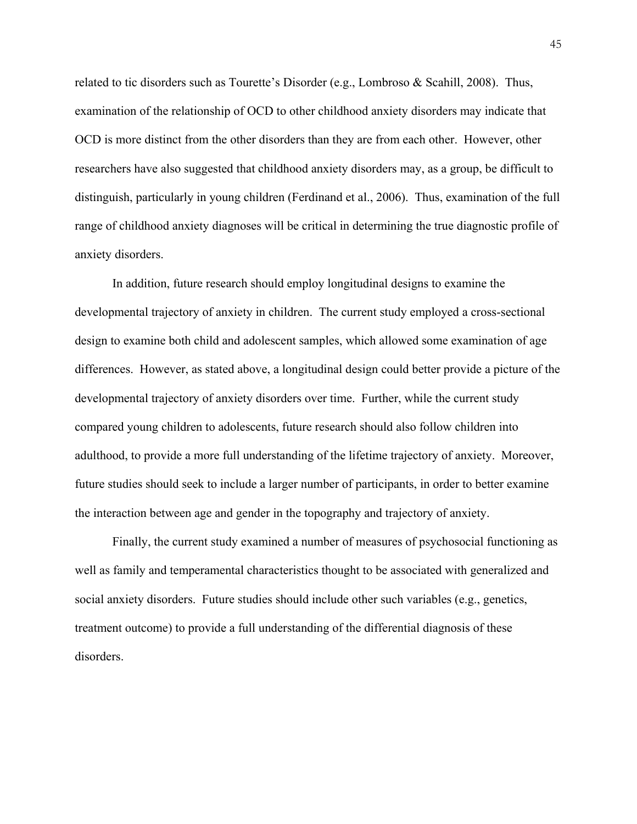related to tic disorders such as Tourette's Disorder (e.g., Lombroso & Scahill, 2008). Thus, examination of the relationship of OCD to other childhood anxiety disorders may indicate that OCD is more distinct from the other disorders than they are from each other. However, other researchers have also suggested that childhood anxiety disorders may, as a group, be difficult to distinguish, particularly in young children (Ferdinand et al., 2006). Thus, examination of the full range of childhood anxiety diagnoses will be critical in determining the true diagnostic profile of anxiety disorders.

 In addition, future research should employ longitudinal designs to examine the developmental trajectory of anxiety in children. The current study employed a cross-sectional design to examine both child and adolescent samples, which allowed some examination of age differences. However, as stated above, a longitudinal design could better provide a picture of the developmental trajectory of anxiety disorders over time. Further, while the current study compared young children to adolescents, future research should also follow children into adulthood, to provide a more full understanding of the lifetime trajectory of anxiety. Moreover, future studies should seek to include a larger number of participants, in order to better examine the interaction between age and gender in the topography and trajectory of anxiety.

 Finally, the current study examined a number of measures of psychosocial functioning as well as family and temperamental characteristics thought to be associated with generalized and social anxiety disorders. Future studies should include other such variables (e.g., genetics, treatment outcome) to provide a full understanding of the differential diagnosis of these disorders.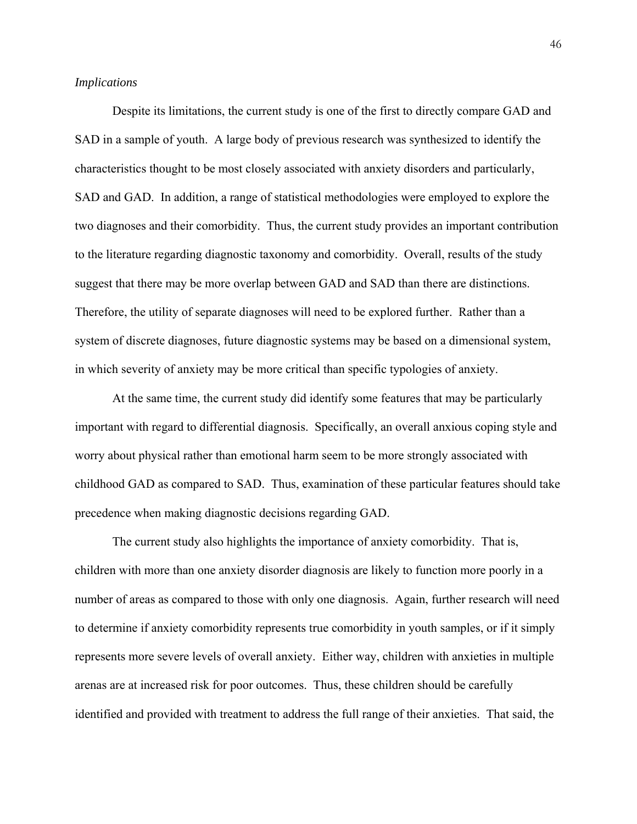# *Implications*

 Despite its limitations, the current study is one of the first to directly compare GAD and SAD in a sample of youth. A large body of previous research was synthesized to identify the characteristics thought to be most closely associated with anxiety disorders and particularly, SAD and GAD. In addition, a range of statistical methodologies were employed to explore the two diagnoses and their comorbidity. Thus, the current study provides an important contribution to the literature regarding diagnostic taxonomy and comorbidity. Overall, results of the study suggest that there may be more overlap between GAD and SAD than there are distinctions. Therefore, the utility of separate diagnoses will need to be explored further. Rather than a system of discrete diagnoses, future diagnostic systems may be based on a dimensional system, in which severity of anxiety may be more critical than specific typologies of anxiety.

 At the same time, the current study did identify some features that may be particularly important with regard to differential diagnosis. Specifically, an overall anxious coping style and worry about physical rather than emotional harm seem to be more strongly associated with childhood GAD as compared to SAD. Thus, examination of these particular features should take precedence when making diagnostic decisions regarding GAD.

The current study also highlights the importance of anxiety comorbidity. That is, children with more than one anxiety disorder diagnosis are likely to function more poorly in a number of areas as compared to those with only one diagnosis. Again, further research will need to determine if anxiety comorbidity represents true comorbidity in youth samples, or if it simply represents more severe levels of overall anxiety. Either way, children with anxieties in multiple arenas are at increased risk for poor outcomes. Thus, these children should be carefully identified and provided with treatment to address the full range of their anxieties. That said, the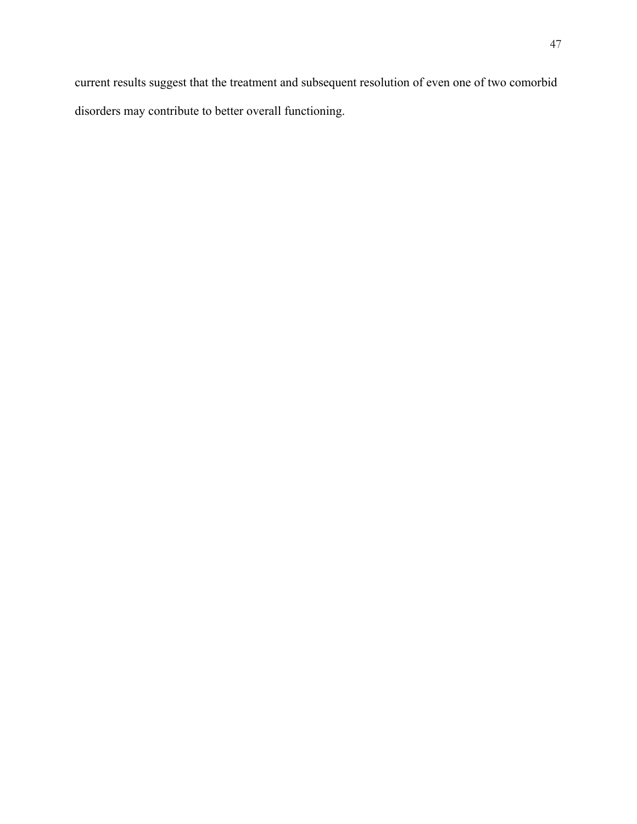current results suggest that the treatment and subsequent resolution of even one of two comorbid disorders may contribute to better overall functioning.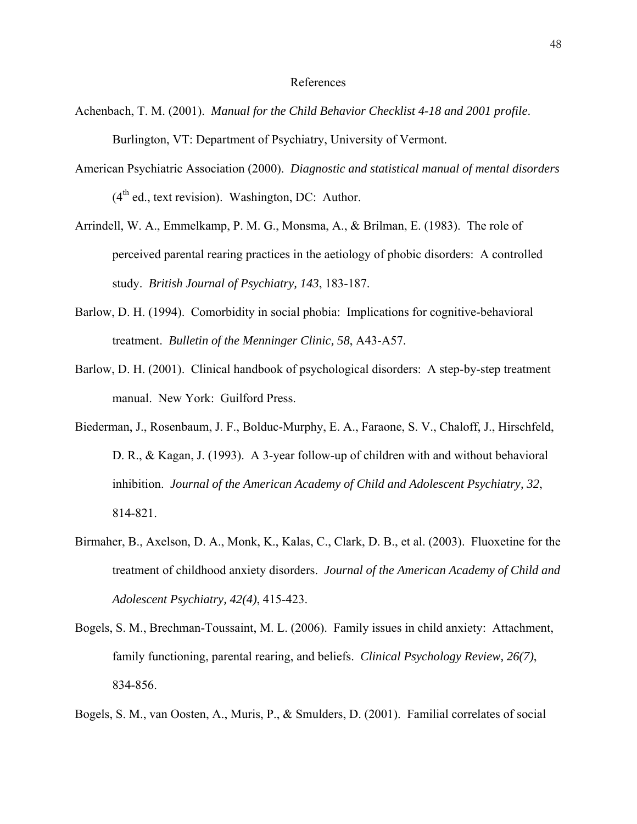#### References

- Achenbach, T. M. (2001). *Manual for the Child Behavior Checklist 4-18 and 2001 profile*. Burlington, VT: Department of Psychiatry, University of Vermont.
- American Psychiatric Association (2000). *Diagnostic and statistical manual of mental disorders*  $(4<sup>th</sup>$  ed., text revision). Washington, DC: Author.
- Arrindell, W. A., Emmelkamp, P. M. G., Monsma, A., & Brilman, E. (1983). The role of perceived parental rearing practices in the aetiology of phobic disorders: A controlled study. *British Journal of Psychiatry, 143*, 183-187.
- Barlow, D. H. (1994). Comorbidity in social phobia: Implications for cognitive-behavioral treatment. *Bulletin of the Menninger Clinic, 58*, A43-A57.
- Barlow, D. H. (2001). Clinical handbook of psychological disorders: A step-by-step treatment manual. New York: Guilford Press.
- Biederman, J., Rosenbaum, J. F., Bolduc-Murphy, E. A., Faraone, S. V., Chaloff, J., Hirschfeld, D. R., & Kagan, J. (1993). A 3-year follow-up of children with and without behavioral inhibition. *Journal of the American Academy of Child and Adolescent Psychiatry, 32*, 814-821.
- Birmaher, B., Axelson, D. A., Monk, K., Kalas, C., Clark, D. B., et al. (2003). Fluoxetine for the treatment of childhood anxiety disorders. *Journal of the American Academy of Child and Adolescent Psychiatry, 42(4)*, 415-423.
- Bogels, S. M., Brechman-Toussaint, M. L. (2006). Family issues in child anxiety: Attachment, family functioning, parental rearing, and beliefs. *Clinical Psychology Review, 26(7)*, 834-856.

Bogels, S. M., van Oosten, A., Muris, P., & Smulders, D. (2001). Familial correlates of social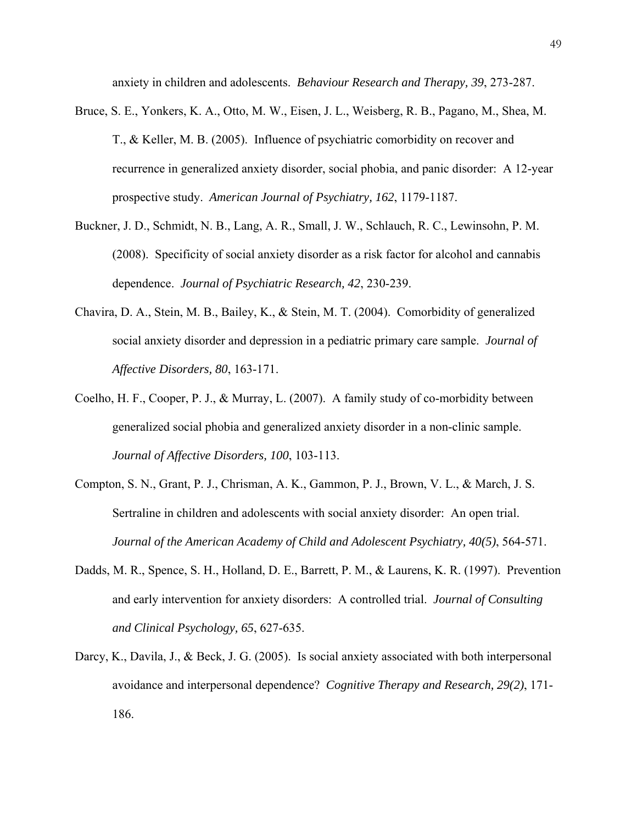anxiety in children and adolescents. *Behaviour Research and Therapy, 39*, 273-287.

- Bruce, S. E., Yonkers, K. A., Otto, M. W., Eisen, J. L., Weisberg, R. B., Pagano, M., Shea, M. T., & Keller, M. B. (2005). Influence of psychiatric comorbidity on recover and recurrence in generalized anxiety disorder, social phobia, and panic disorder: A 12-year prospective study. *American Journal of Psychiatry, 162*, 1179-1187.
- Buckner, J. D., Schmidt, N. B., Lang, A. R., Small, J. W., Schlauch, R. C., Lewinsohn, P. M. (2008). Specificity of social anxiety disorder as a risk factor for alcohol and cannabis dependence. *Journal of Psychiatric Research, 42*, 230-239.
- Chavira, D. A., Stein, M. B., Bailey, K., & Stein, M. T. (2004). Comorbidity of generalized social anxiety disorder and depression in a pediatric primary care sample. *Journal of Affective Disorders, 80*, 163-171.
- Coelho, H. F., Cooper, P. J., & Murray, L. (2007). A family study of co-morbidity between generalized social phobia and generalized anxiety disorder in a non-clinic sample. *Journal of Affective Disorders, 100*, 103-113.
- Compton, S. N., Grant, P. J., Chrisman, A. K., Gammon, P. J., Brown, V. L., & March, J. S. Sertraline in children and adolescents with social anxiety disorder: An open trial. *Journal of the American Academy of Child and Adolescent Psychiatry, 40(5)*, 564-571.
- Dadds, M. R., Spence, S. H., Holland, D. E., Barrett, P. M., & Laurens, K. R. (1997). Prevention and early intervention for anxiety disorders: A controlled trial. *Journal of Consulting and Clinical Psychology, 65*, 627-635.
- Darcy, K., Davila, J., & Beck, J. G. (2005). Is social anxiety associated with both interpersonal avoidance and interpersonal dependence? *Cognitive Therapy and Research, 29(2)*, 171- 186.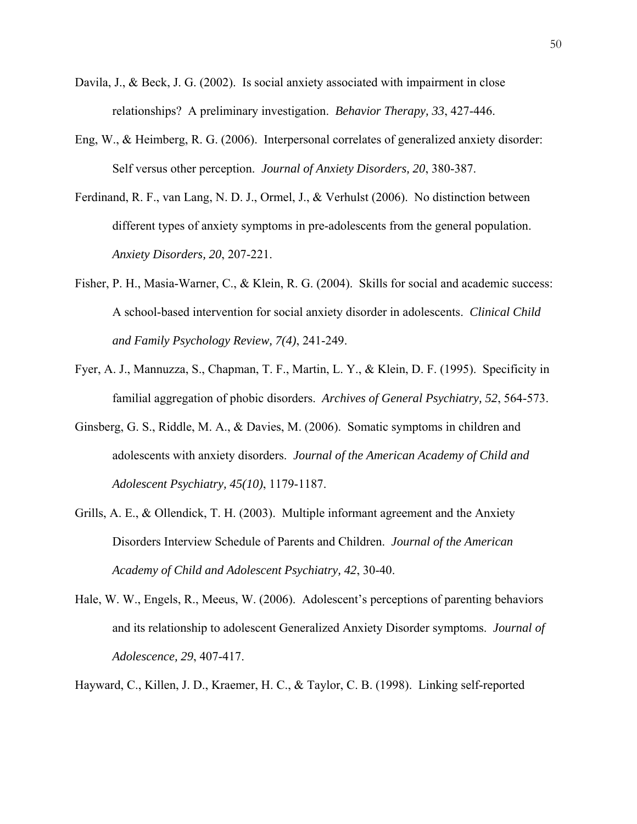- Davila, J., & Beck, J. G. (2002). Is social anxiety associated with impairment in close relationships? A preliminary investigation. *Behavior Therapy, 33*, 427-446.
- Eng, W., & Heimberg, R. G. (2006). Interpersonal correlates of generalized anxiety disorder: Self versus other perception. *Journal of Anxiety Disorders, 20*, 380-387.
- Ferdinand, R. F., van Lang, N. D. J., Ormel, J., & Verhulst (2006). No distinction between different types of anxiety symptoms in pre-adolescents from the general population. *Anxiety Disorders, 20*, 207-221.
- Fisher, P. H., Masia-Warner, C., & Klein, R. G. (2004). Skills for social and academic success: A school-based intervention for social anxiety disorder in adolescents. *Clinical Child and Family Psychology Review, 7(4)*, 241-249.
- Fyer, A. J., Mannuzza, S., Chapman, T. F., Martin, L. Y., & Klein, D. F. (1995). Specificity in familial aggregation of phobic disorders. *Archives of General Psychiatry, 52*, 564-573.
- Ginsberg, G. S., Riddle, M. A., & Davies, M. (2006). Somatic symptoms in children and adolescents with anxiety disorders. *Journal of the American Academy of Child and Adolescent Psychiatry, 45(10)*, 1179-1187.
- Grills, A. E., & Ollendick, T. H. (2003). Multiple informant agreement and the Anxiety Disorders Interview Schedule of Parents and Children. *Journal of the American Academy of Child and Adolescent Psychiatry, 42*, 30-40.
- Hale, W. W., Engels, R., Meeus, W. (2006). Adolescent's perceptions of parenting behaviors and its relationship to adolescent Generalized Anxiety Disorder symptoms. *Journal of Adolescence, 29*, 407-417.
- Hayward, C., Killen, J. D., Kraemer, H. C., & Taylor, C. B. (1998). Linking self-reported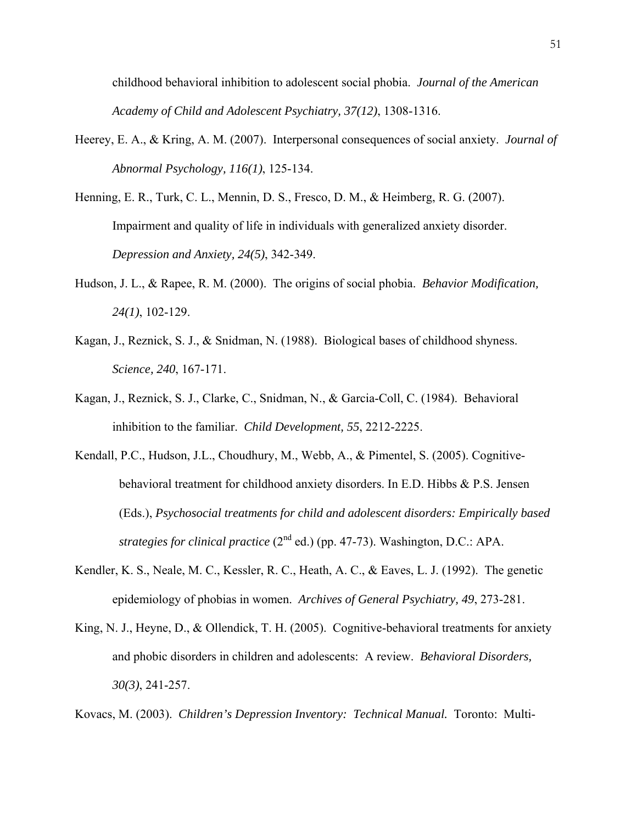childhood behavioral inhibition to adolescent social phobia. *Journal of the American Academy of Child and Adolescent Psychiatry, 37(12)*, 1308-1316.

- Heerey, E. A., & Kring, A. M. (2007). Interpersonal consequences of social anxiety. *Journal of Abnormal Psychology, 116(1)*, 125-134.
- Henning, E. R., Turk, C. L., Mennin, D. S., Fresco, D. M., & Heimberg, R. G. (2007). Impairment and quality of life in individuals with generalized anxiety disorder. *Depression and Anxiety, 24(5)*, 342-349.
- Hudson, J. L., & Rapee, R. M. (2000). The origins of social phobia. *Behavior Modification, 24(1)*, 102-129.
- Kagan, J., Reznick, S. J., & Snidman, N. (1988). Biological bases of childhood shyness. *Science, 240*, 167-171.
- Kagan, J., Reznick, S. J., Clarke, C., Snidman, N., & Garcia-Coll, C. (1984). Behavioral inhibition to the familiar. *Child Development, 55*, 2212-2225.
- Kendall, P.C., Hudson, J.L., Choudhury, M., Webb, A., & Pimentel, S. (2005). Cognitivebehavioral treatment for childhood anxiety disorders. In E.D. Hibbs & P.S. Jensen (Eds.), *Psychosocial treatments for child and adolescent disorders: Empirically based strategies for clinical practice* (2nd ed.) (pp. 47-73). Washington, D.C.: APA.
- Kendler, K. S., Neale, M. C., Kessler, R. C., Heath, A. C., & Eaves, L. J. (1992). The genetic epidemiology of phobias in women. *Archives of General Psychiatry, 49*, 273-281.
- King, N. J., Heyne, D., & Ollendick, T. H. (2005). Cognitive-behavioral treatments for anxiety and phobic disorders in children and adolescents: A review. *Behavioral Disorders, 30(3)*, 241-257.

Kovacs, M. (2003). *Children's Depression Inventory: Technical Manual.* Toronto: Multi-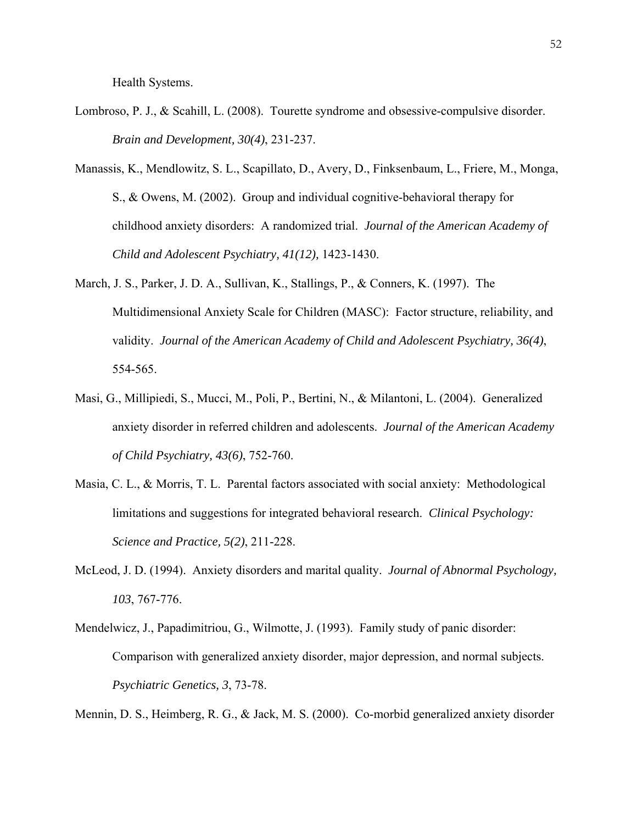Health Systems.

- Lombroso, P. J., & Scahill, L. (2008). Tourette syndrome and obsessive-compulsive disorder. *Brain and Development, 30(4)*, 231-237.
- Manassis, K., Mendlowitz, S. L., Scapillato, D., Avery, D., Finksenbaum, L., Friere, M., Monga, S., & Owens, M. (2002). Group and individual cognitive-behavioral therapy for childhood anxiety disorders: A randomized trial. *Journal of the American Academy of Child and Adolescent Psychiatry, 41(12),* 1423-1430.
- March, J. S., Parker, J. D. A., Sullivan, K., Stallings, P., & Conners, K. (1997). The Multidimensional Anxiety Scale for Children (MASC): Factor structure, reliability, and validity. *Journal of the American Academy of Child and Adolescent Psychiatry, 36(4)*, 554-565.
- Masi, G., Millipiedi, S., Mucci, M., Poli, P., Bertini, N., & Milantoni, L. (2004). Generalized anxiety disorder in referred children and adolescents. *Journal of the American Academy of Child Psychiatry, 43(6)*, 752-760.
- Masia, C. L., & Morris, T. L. Parental factors associated with social anxiety: Methodological limitations and suggestions for integrated behavioral research. *Clinical Psychology: Science and Practice, 5(2)*, 211-228.
- McLeod, J. D. (1994). Anxiety disorders and marital quality. *Journal of Abnormal Psychology, 103*, 767-776.
- Mendelwicz, J., Papadimitriou, G., Wilmotte, J. (1993). Family study of panic disorder: Comparison with generalized anxiety disorder, major depression, and normal subjects. *Psychiatric Genetics, 3*, 73-78.

Mennin, D. S., Heimberg, R. G., & Jack, M. S. (2000). Co-morbid generalized anxiety disorder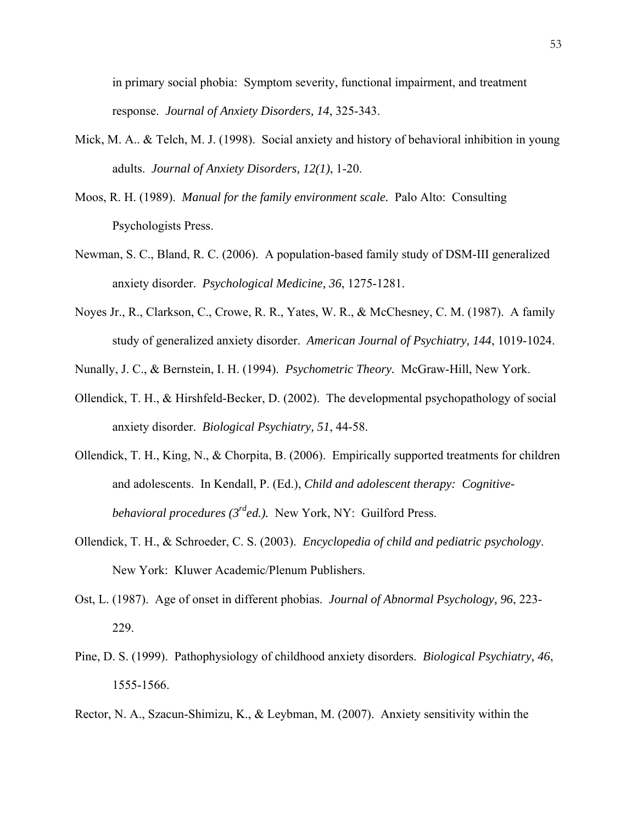in primary social phobia: Symptom severity, functional impairment, and treatment response. *Journal of Anxiety Disorders, 14*, 325-343.

- Mick, M. A.. & Telch, M. J. (1998). Social anxiety and history of behavioral inhibition in young adults. *Journal of Anxiety Disorders, 12(1)*, 1-20.
- Moos, R. H. (1989). *Manual for the family environment scale.* Palo Alto: Consulting Psychologists Press.
- Newman, S. C., Bland, R. C. (2006). A population-based family study of DSM-III generalized anxiety disorder. *Psychological Medicine, 36*, 1275-1281.
- Noyes Jr., R., Clarkson, C., Crowe, R. R., Yates, W. R., & McChesney, C. M. (1987). A family study of generalized anxiety disorder. *American Journal of Psychiatry, 144*, 1019-1024.
- Nunally, J. C., & Bernstein, I. H. (1994). *Psychometric Theory.* McGraw-Hill, New York.
- Ollendick, T. H., & Hirshfeld-Becker, D. (2002). The developmental psychopathology of social anxiety disorder. *Biological Psychiatry, 51*, 44-58.
- Ollendick, T. H., King, N., & Chorpita, B. (2006). Empirically supported treatments for children and adolescents. In Kendall, P. (Ed.), *Child and adolescent therapy: Cognitivebehavioral procedures (3rded.).* New York, NY: Guilford Press.
- Ollendick, T. H., & Schroeder, C. S. (2003). *Encyclopedia of child and pediatric psychology*. New York: Kluwer Academic/Plenum Publishers.
- Ost, L. (1987). Age of onset in different phobias. *Journal of Abnormal Psychology, 96*, 223- 229.
- Pine, D. S. (1999). Pathophysiology of childhood anxiety disorders. *Biological Psychiatry, 46*, 1555-1566.
- Rector, N. A., Szacun-Shimizu, K., & Leybman, M. (2007). Anxiety sensitivity within the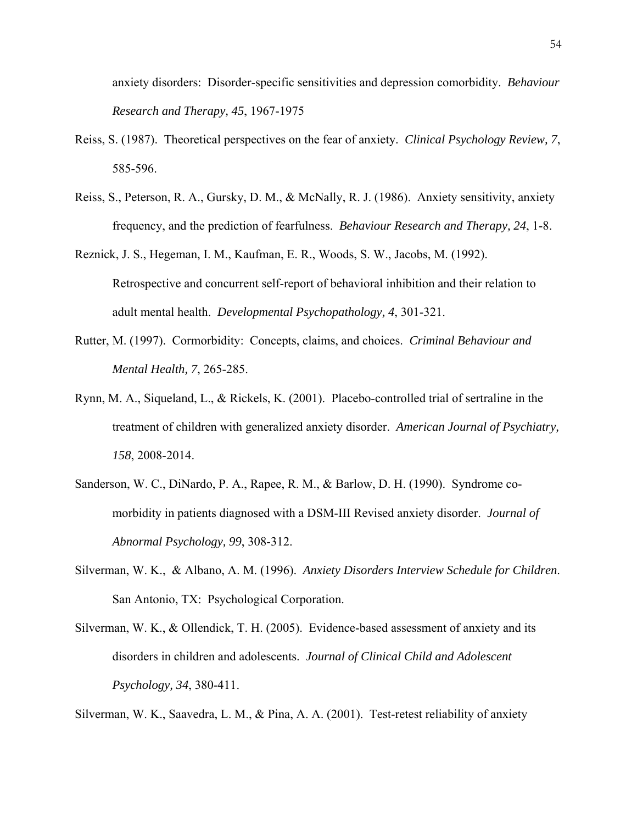anxiety disorders: Disorder-specific sensitivities and depression comorbidity. *Behaviour Research and Therapy, 45*, 1967-1975

- Reiss, S. (1987). Theoretical perspectives on the fear of anxiety. *Clinical Psychology Review, 7*, 585-596.
- Reiss, S., Peterson, R. A., Gursky, D. M., & McNally, R. J. (1986). Anxiety sensitivity, anxiety frequency, and the prediction of fearfulness. *Behaviour Research and Therapy, 24*, 1-8.
- Reznick, J. S., Hegeman, I. M., Kaufman, E. R., Woods, S. W., Jacobs, M. (1992). Retrospective and concurrent self-report of behavioral inhibition and their relation to adult mental health. *Developmental Psychopathology, 4*, 301-321.
- Rutter, M. (1997). Cormorbidity: Concepts, claims, and choices. *Criminal Behaviour and Mental Health, 7*, 265-285.
- Rynn, M. A., Siqueland, L., & Rickels, K. (2001). Placebo-controlled trial of sertraline in the treatment of children with generalized anxiety disorder. *American Journal of Psychiatry, 158*, 2008-2014.
- Sanderson, W. C., DiNardo, P. A., Rapee, R. M., & Barlow, D. H. (1990). Syndrome comorbidity in patients diagnosed with a DSM-III Revised anxiety disorder. *Journal of Abnormal Psychology, 99*, 308-312.
- Silverman, W. K., & Albano, A. M. (1996). *Anxiety Disorders Interview Schedule for Children*. San Antonio, TX: Psychological Corporation.
- Silverman, W. K., & Ollendick, T. H. (2005). Evidence-based assessment of anxiety and its disorders in children and adolescents. *Journal of Clinical Child and Adolescent Psychology, 34*, 380-411.

Silverman, W. K., Saavedra, L. M., & Pina, A. A. (2001). Test-retest reliability of anxiety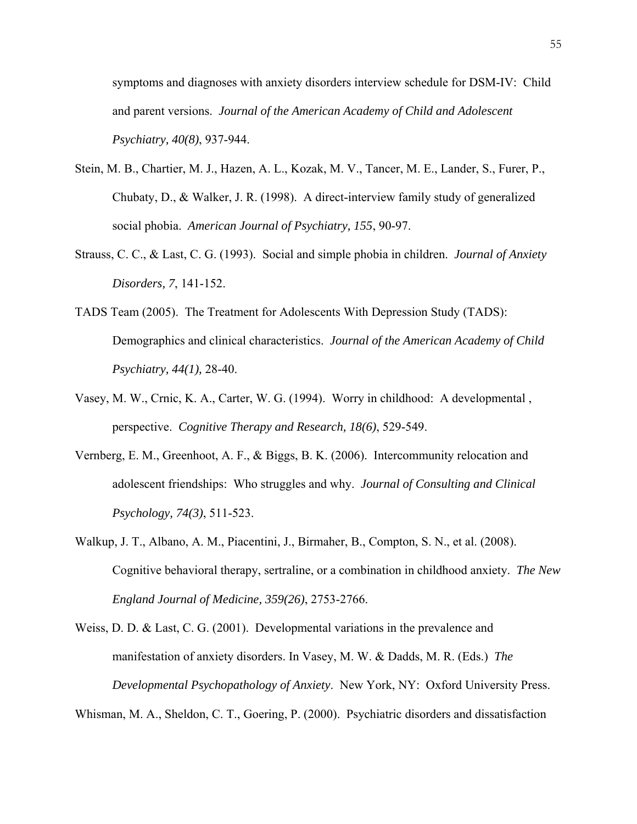symptoms and diagnoses with anxiety disorders interview schedule for DSM-IV: Child and parent versions. *Journal of the American Academy of Child and Adolescent Psychiatry, 40(8)*, 937-944.

- Stein, M. B., Chartier, M. J., Hazen, A. L., Kozak, M. V., Tancer, M. E., Lander, S., Furer, P., Chubaty, D., & Walker, J. R. (1998). A direct-interview family study of generalized social phobia. *American Journal of Psychiatry, 155*, 90-97.
- Strauss, C. C., & Last, C. G. (1993). Social and simple phobia in children. *Journal of Anxiety Disorders, 7*, 141-152.
- TADS Team (2005). The Treatment for Adolescents With Depression Study (TADS): Demographics and clinical characteristics. *Journal of the American Academy of Child Psychiatry, 44(1),* 28-40.
- Vasey, M. W., Crnic, K. A., Carter, W. G. (1994). Worry in childhood: A developmental , perspective. *Cognitive Therapy and Research, 18(6)*, 529-549.
- Vernberg, E. M., Greenhoot, A. F., & Biggs, B. K. (2006). Intercommunity relocation and adolescent friendships: Who struggles and why. *Journal of Consulting and Clinical Psychology, 74(3)*, 511-523.
- Walkup, J. T., Albano, A. M., Piacentini, J., Birmaher, B., Compton, S. N., et al. (2008). Cognitive behavioral therapy, sertraline, or a combination in childhood anxiety. *The New England Journal of Medicine, 359(26)*, 2753-2766.
- Weiss, D. D. & Last, C. G. (2001). Developmental variations in the prevalence and manifestation of anxiety disorders. In Vasey, M. W. & Dadds, M. R. (Eds.) *The Developmental Psychopathology of Anxiety*. New York, NY: Oxford University Press.

Whisman, M. A., Sheldon, C. T., Goering, P. (2000). Psychiatric disorders and dissatisfaction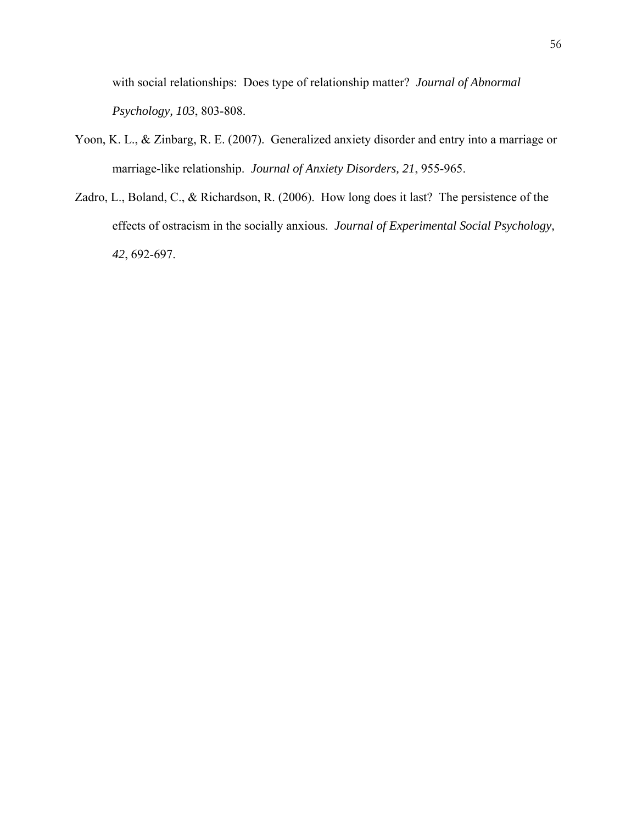with social relationships: Does type of relationship matter? *Journal of Abnormal Psychology, 103*, 803-808.

- Yoon, K. L., & Zinbarg, R. E. (2007). Generalized anxiety disorder and entry into a marriage or marriage-like relationship. *Journal of Anxiety Disorders, 21*, 955-965.
- Zadro, L., Boland, C., & Richardson, R. (2006). How long does it last? The persistence of the effects of ostracism in the socially anxious. *Journal of Experimental Social Psychology, 42*, 692-697.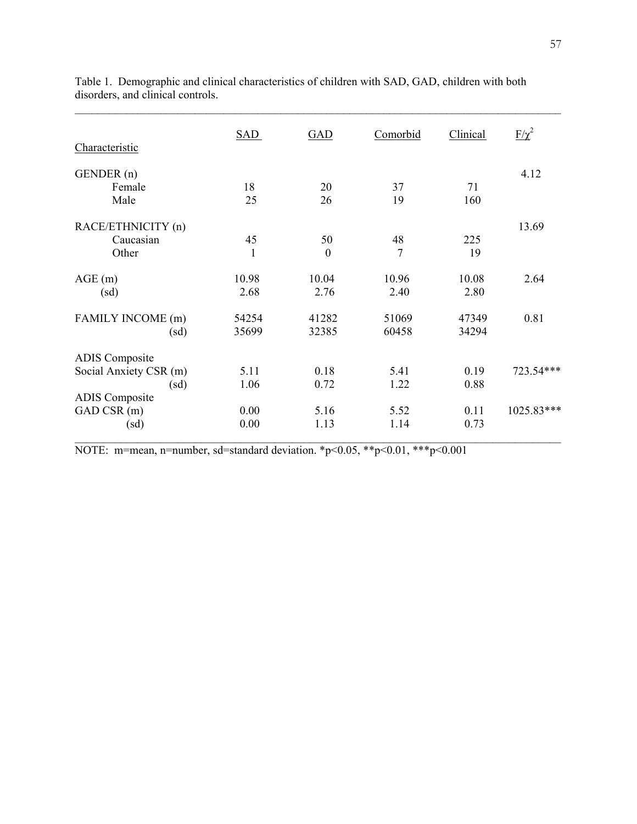| Characteristic         | SAD   | GAD      | Comorbid       | Clinical | $F/\chi^2$ |
|------------------------|-------|----------|----------------|----------|------------|
| GENDER (n)             |       |          |                |          | 4.12       |
| Female                 | 18    | 20       | 37             | 71       |            |
| Male                   | 25    | 26       | 19             | 160      |            |
| RACE/ETHNICITY (n)     |       |          |                |          | 13.69      |
| Caucasian              | 45    | 50       | 48             | 225      |            |
| Other                  | 1     | $\theta$ | $\overline{7}$ | 19       |            |
| AGE(m)                 | 10.98 | 10.04    | 10.96          | 10.08    | 2.64       |
| (sd)                   | 2.68  | 2.76     | 2.40           | 2.80     |            |
| FAMILY INCOME (m)      | 54254 | 41282    | 51069          | 47349    | 0.81       |
| (sd)                   | 35699 | 32385    | 60458          | 34294    |            |
| <b>ADIS</b> Composite  |       |          |                |          |            |
| Social Anxiety CSR (m) | 5.11  | 0.18     | 5.41           | 0.19     | 723.54***  |
| (sd)                   | 1.06  | 0.72     | 1.22           | 0.88     |            |
| <b>ADIS</b> Composite  |       |          |                |          |            |
| GAD CSR (m)            | 0.00  | 5.16     | 5.52           | 0.11     | 1025.83*** |
| (sd)                   | 0.00  | 1.13     | 1.14           | 0.73     |            |

Table 1. Demographic and clinical characteristics of children with SAD, GAD, children with both disorders, and clinical controls.

 $\mathcal{L}_\text{max} = \mathcal{L}_\text{max} = \mathcal{L}_\text{max} = \mathcal{L}_\text{max} = \mathcal{L}_\text{max} = \mathcal{L}_\text{max} = \mathcal{L}_\text{max} = \mathcal{L}_\text{max} = \mathcal{L}_\text{max} = \mathcal{L}_\text{max} = \mathcal{L}_\text{max} = \mathcal{L}_\text{max} = \mathcal{L}_\text{max} = \mathcal{L}_\text{max} = \mathcal{L}_\text{max} = \mathcal{L}_\text{max} = \mathcal{L}_\text{max} = \mathcal{L}_\text{max} = \mathcal{$ 

NOTE: m=mean, n=number, sd=standard deviation. \*p<0.05, \*\*p<0.01, \*\*\*p<0.001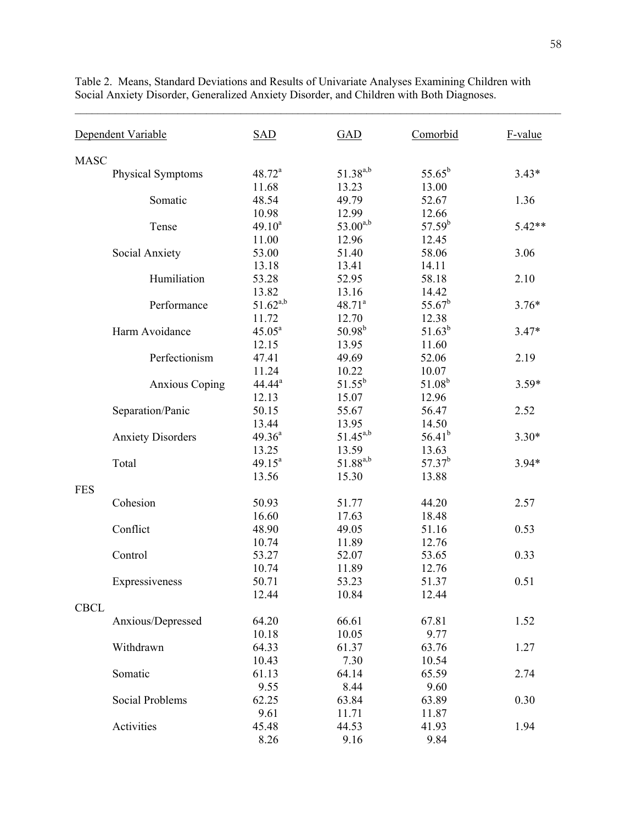|             | Dependent Variable       | <b>SAD</b>    | <b>GAD</b>           | Comorbid    | F-value  |
|-------------|--------------------------|---------------|----------------------|-------------|----------|
| <b>MASC</b> |                          |               |                      |             |          |
|             | Physical Symptoms        | $48.72^a$     | $51.38^{a,b}$        | $55.65^b$   | $3.43*$  |
|             |                          | 11.68         | 13.23                | 13.00       |          |
|             | Somatic                  | 48.54         | 49.79                | 52.67       | 1.36     |
|             |                          | 10.98         | 12.99                | 12.66       |          |
|             | Tense                    | $49.10^{a}$   | $53.00^{a,b}$        | $57.59^{b}$ | $5.42**$ |
|             |                          | 11.00         | 12.96                | 12.45       |          |
|             | Social Anxiety           | 53.00         | 51.40                | 58.06       | 3.06     |
|             |                          | 13.18         | 13.41                | 14.11       |          |
|             | Humiliation              | 53.28         | 52.95                | 58.18       | 2.10     |
|             |                          | 13.82         | 13.16                | 14.42       |          |
|             | Performance              | $51.62^{a,b}$ | 48.71 <sup>a</sup>   | $55.67^b$   | $3.76*$  |
|             |                          | 11.72         | 12.70                | 12.38       |          |
|             | Harm Avoidance           | $45.05^a$     | $50.98^{b}$          | $51.63^{b}$ | $3.47*$  |
|             |                          | 12.15         | 13.95                | 11.60       |          |
|             | Perfectionism            | 47.41         | 49.69                | 52.06       | 2.19     |
|             |                          | 11.24         | 10.22                | 10.07       |          |
|             | <b>Anxious Coping</b>    | $44.44^a$     | $51.55^{b}$          | $51.08^{b}$ | $3.59*$  |
|             |                          | 12.13         | 15.07                | 12.96       |          |
|             | Separation/Panic         | 50.15         | 55.67                | 56.47       | 2.52     |
|             |                          | 13.44         | 13.95                | 14.50       |          |
|             | <b>Anxiety Disorders</b> | $49.36^{a}$   | $51.45^{a,b}$        | $56.41^{b}$ | $3.30*$  |
|             |                          | 13.25         | 13.59                | 13.63       |          |
|             | Total                    | $49.15^a$     | 51.88 <sup>a,b</sup> | $57.37^{b}$ | $3.94*$  |
|             |                          | 13.56         | 15.30                | 13.88       |          |
| <b>FES</b>  |                          |               |                      |             |          |
|             | Cohesion                 | 50.93         | 51.77                | 44.20       | 2.57     |
|             |                          | 16.60         | 17.63                | 18.48       |          |
|             | Conflict                 | 48.90         | 49.05                | 51.16       | 0.53     |
|             |                          | 10.74         | 11.89                | 12.76       |          |
|             | Control                  | 53.27         | 52.07                | 53.65       | 0.33     |
|             |                          | 10.74         | 11.89                | 12.76       |          |
|             | Expressiveness           | 50.71         | 53.23                | 51.37       | 0.51     |
|             |                          | 12.44         | 10.84                | 12.44       |          |
| <b>CBCL</b> |                          |               |                      |             |          |
|             | Anxious/Depressed        | 64.20         | 66.61                | 67.81       | 1.52     |
|             |                          | 10.18         | 10.05                | 9.77        |          |
|             | Withdrawn                | 64.33         | 61.37                | 63.76       | 1.27     |
|             |                          | 10.43         | 7.30                 | 10.54       |          |
|             | Somatic                  | 61.13         | 64.14                | 65.59       | 2.74     |
|             |                          | 9.55          | 8.44                 | 9.60        |          |
|             | Social Problems          | 62.25         | 63.84                | 63.89       | 0.30     |
|             |                          | 9.61          | 11.71                | 11.87       |          |
|             | Activities               | 45.48         | 44.53                | 41.93       | 1.94     |
|             |                          | 8.26          | 9.16                 | 9.84        |          |

Table 2. Means, Standard Deviations and Results of Univariate Analyses Examining Children with Social Anxiety Disorder, Generalized Anxiety Disorder, and Children with Both Diagnoses.

 $\mathcal{L}_\text{max} = \mathcal{L}_\text{max} = \mathcal{L}_\text{max} = \mathcal{L}_\text{max} = \mathcal{L}_\text{max} = \mathcal{L}_\text{max} = \mathcal{L}_\text{max} = \mathcal{L}_\text{max} = \mathcal{L}_\text{max} = \mathcal{L}_\text{max} = \mathcal{L}_\text{max} = \mathcal{L}_\text{max} = \mathcal{L}_\text{max} = \mathcal{L}_\text{max} = \mathcal{L}_\text{max} = \mathcal{L}_\text{max} = \mathcal{L}_\text{max} = \mathcal{L}_\text{max} = \mathcal{$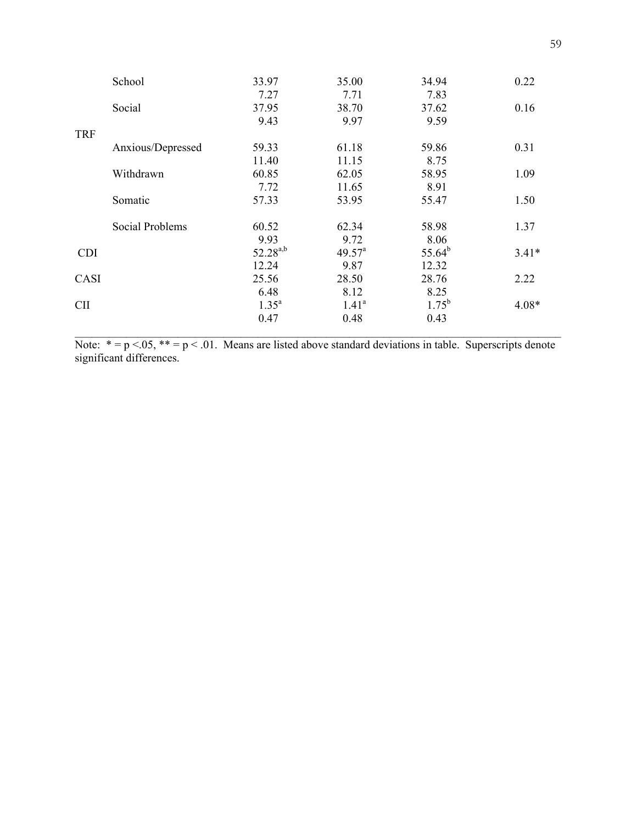|            | School                 | 33.97         | 35.00             | 34.94       | 0.22    |
|------------|------------------------|---------------|-------------------|-------------|---------|
|            |                        | 7.27          | 7.71              | 7.83        |         |
|            | Social                 | 37.95         | 38.70             | 37.62       | 0.16    |
|            |                        | 9.43          | 9.97              | 9.59        |         |
| <b>TRF</b> |                        |               |                   |             |         |
|            | Anxious/Depressed      | 59.33         | 61.18             | 59.86       | 0.31    |
|            |                        | 11.40         | 11.15             | 8.75        |         |
|            | Withdrawn              | 60.85         | 62.05             | 58.95       | 1.09    |
|            |                        | 7.72          | 11.65             | 8.91        |         |
|            | Somatic                | 57.33         | 53.95             | 55.47       | 1.50    |
|            | <b>Social Problems</b> | 60.52         | 62.34             | 58.98       | 1.37    |
|            |                        | 9.93          | 9.72              | 8.06        |         |
| <b>CDI</b> |                        | $52.28^{a,b}$ | $49.57^{\circ}$   | $55.64^{b}$ | $3.41*$ |
|            |                        | 12.24         | 9.87              | 12.32       |         |
| CASI       |                        | 25.56         | 28.50             | 28.76       | 2.22    |
|            |                        | 6.48          | 8.12              | 8.25        |         |
| <b>CII</b> |                        | $1.35^{a}$    | 1.41 <sup>a</sup> | $1.75^{b}$  | $4.08*$ |
|            |                        | 0.47          | 0.48              | 0.43        |         |
|            |                        |               |                   |             |         |

Note:  $* = p < .05$ ,  $** = p < .01$ . Means are listed above standard deviations in table. Superscripts denote significant differences.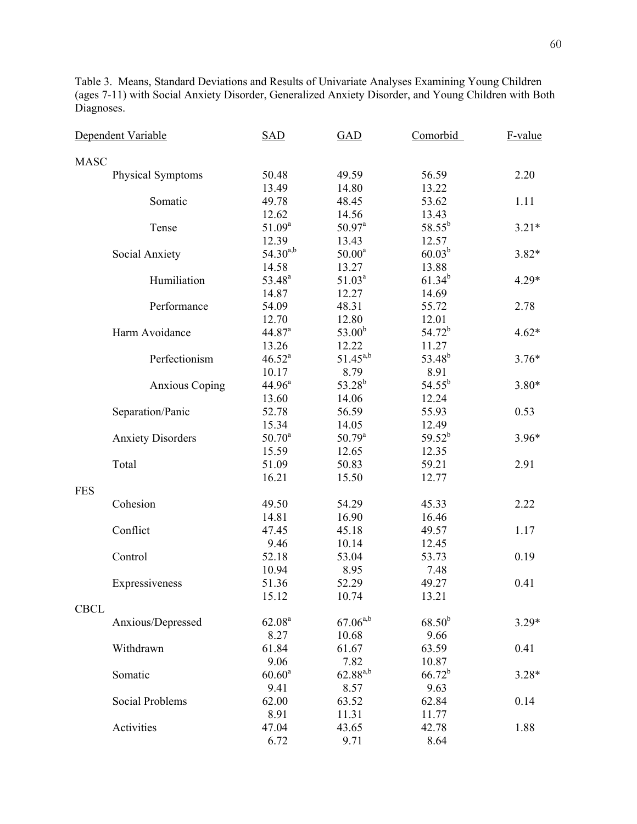Table 3. Means, Standard Deviations and Results of Univariate Analyses Examining Young Children (ages 7-11) with Social Anxiety Disorder, Generalized Anxiety Disorder, and Young Children with Both Diagnoses.

|             | Dependent Variable       | <b>SAD</b>         | <b>GAD</b>         | Comorbid           | F-value |
|-------------|--------------------------|--------------------|--------------------|--------------------|---------|
| <b>MASC</b> |                          |                    |                    |                    |         |
|             | Physical Symptoms        | 50.48              | 49.59              | 56.59              | 2.20    |
|             |                          | 13.49              | 14.80              | 13.22              |         |
|             | Somatic                  | 49.78              | 48.45              | 53.62              | 1.11    |
|             |                          | 12.62              | 14.56              | 13.43              |         |
|             | Tense                    | $51.09^a$          | $50.97^{\text{a}}$ | $58.55^{b}$        | $3.21*$ |
|             |                          | 12.39              | 13.43              | 12.57              |         |
|             | Social Anxiety           | $54.30^{a,b}$      | $50.00^a$          | $60.03^{b}$        | $3.82*$ |
|             |                          | 14.58              | 13.27              | 13.88              |         |
|             | Humiliation              | 53.48 <sup>a</sup> | $51.03^a$          | $61.34^{b}$        | $4.29*$ |
|             |                          | 14.87              | 12.27              | 14.69              |         |
|             | Performance              | 54.09              | 48.31              | 55.72              | 2.78    |
|             |                          | 12.70              | 12.80              | 12.01              |         |
|             | Harm Avoidance           | 44.87 <sup>a</sup> | 53.00 <sup>b</sup> | $54.72^{b}$        | $4.62*$ |
|             |                          | 13.26              | 12.22              | 11.27              |         |
|             | Perfectionism            | $46.52^a$          | $51.45^{a,b}$      | 53.48 <sup>b</sup> | $3.76*$ |
|             |                          | 10.17              | 8.79               | 8.91               |         |
|             | <b>Anxious Coping</b>    | $44.96^a$          | $53.28^{b}$        | $54.55^{b}$        | $3.80*$ |
|             |                          | 13.60              | 14.06              | 12.24              |         |
|             | Separation/Panic         | 52.78              | 56.59              | 55.93              | 0.53    |
|             |                          | 15.34              | 14.05              | 12.49              |         |
|             | <b>Anxiety Disorders</b> | $50.70^a$          | $50.79^{\rm a}$    | $59.52^{b}$        | $3.96*$ |
|             |                          | 15.59              | 12.65              | 12.35              |         |
|             | Total                    | 51.09              | 50.83              | 59.21              | 2.91    |
|             |                          | 16.21              | 15.50              | 12.77              |         |
| <b>FES</b>  |                          |                    |                    |                    |         |
|             | Cohesion                 | 49.50              | 54.29              | 45.33              | 2.22    |
|             |                          | 14.81              | 16.90              | 16.46              |         |
|             | Conflict                 | 47.45              | 45.18              | 49.57              | 1.17    |
|             |                          | 9.46               | 10.14              | 12.45              |         |
|             | Control                  | 52.18              | 53.04              | 53.73              | 0.19    |
|             |                          | 10.94              | 8.95               | 7.48               |         |
|             | Expressiveness           | 51.36              | 52.29              | 49.27              | 0.41    |
|             |                          | 15.12              | 10.74              | 13.21              |         |
| <b>CBCL</b> |                          |                    |                    |                    |         |
|             | Anxious/Depressed        | 62.08 <sup>a</sup> | $67.06^{a,b}$      | $68.50^{b}$        | $3.29*$ |
|             |                          | 8.27               | 10.68              | 9.66               |         |
|             | Withdrawn                | 61.84              | 61.67              | 63.59              | 0.41    |
|             |                          | 9.06               | 7.82               | 10.87              |         |
|             | Somatic                  | $60.60^a$          | $62.88^{a,b}$      | $66.72^{b}$        | $3.28*$ |
|             |                          | 9.41               | 8.57               | 9.63               |         |
|             | Social Problems          | 62.00              | 63.52              | 62.84              | 0.14    |
|             |                          | 8.91               | 11.31              | 11.77              |         |
|             | Activities               | 47.04              | 43.65              | 42.78              | 1.88    |
|             |                          | 6.72               | 9.71               | 8.64               |         |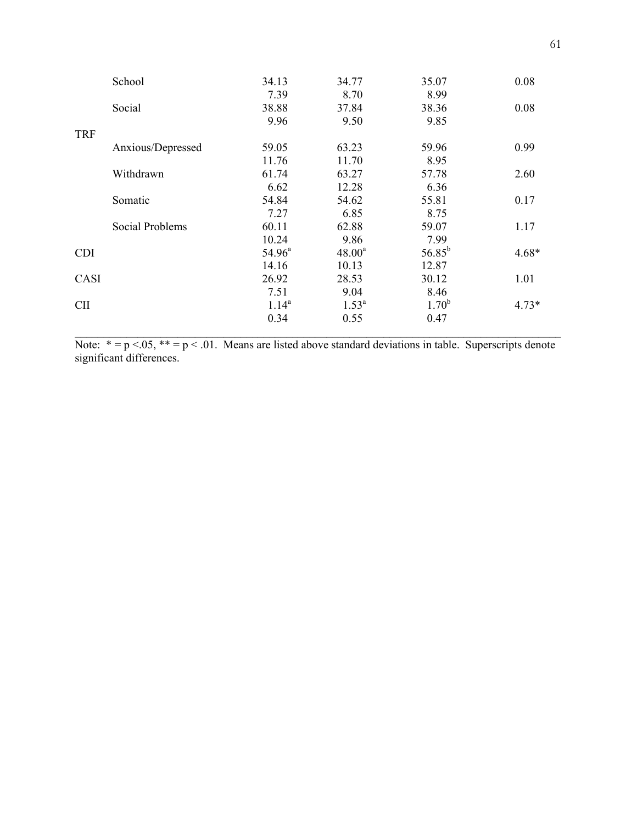|            | School            | 34.13           | 34.77     | 35.07       | 0.08    |
|------------|-------------------|-----------------|-----------|-------------|---------|
|            |                   | 7.39            | 8.70      | 8.99        |         |
|            | Social            | 38.88           | 37.84     | 38.36       | 0.08    |
|            |                   | 9.96            | 9.50      | 9.85        |         |
| <b>TRF</b> |                   |                 |           |             |         |
|            | Anxious/Depressed | 59.05           | 63.23     | 59.96       | 0.99    |
|            |                   | 11.76           | 11.70     | 8.95        |         |
|            | Withdrawn         | 61.74           | 63.27     | 57.78       | 2.60    |
|            |                   | 6.62            | 12.28     | 6.36        |         |
|            | Somatic           | 54.84           | 54.62     | 55.81       | 0.17    |
|            |                   | 7.27            | 6.85      | 8.75        |         |
|            | Social Problems   | 60.11           | 62.88     | 59.07       | 1.17    |
|            |                   | 10.24           | 9.86      | 7.99        |         |
| <b>CDI</b> |                   | $54.96^{\circ}$ | $48.00^a$ | $56.85^{b}$ | $4.68*$ |
|            |                   | 14.16           | 10.13     | 12.87       |         |
| CASI       |                   | 26.92           | 28.53     | 30.12       | 1.01    |
|            |                   | 7.51            | 9.04      | 8.46        |         |
| <b>CII</b> |                   | $1.14^{a}$      | $1.53^a$  | $1.70^{b}$  | $4.73*$ |
|            |                   | 0.34            | 0.55      | 0.47        |         |
|            |                   |                 |           |             |         |

Note:  $* = p < .05$ ,  $** = p < .01$ . Means are listed above standard deviations in table. Superscripts denote significant differences.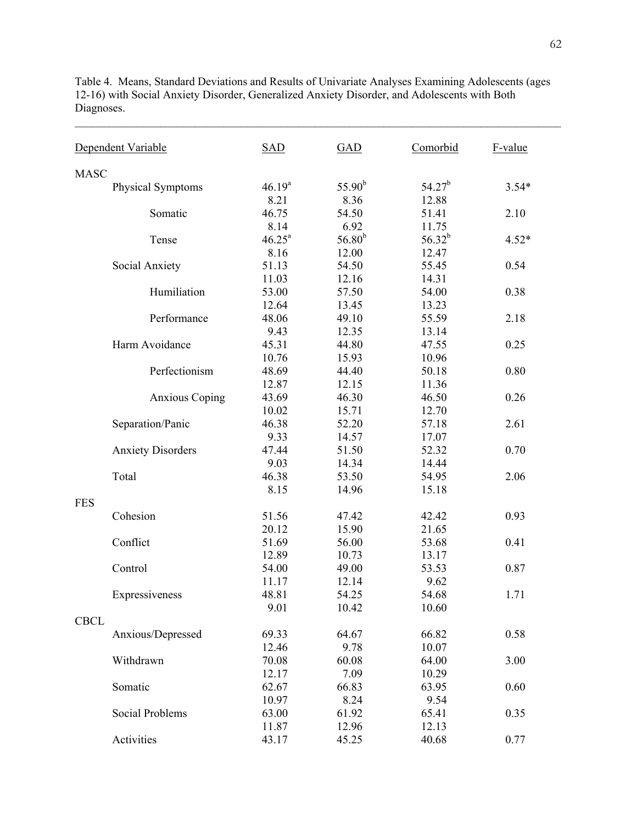Table 4. Means, Standard Deviations and Results of Univariate Analyses Examining Adolescents (ages 12-16) with Social Anxiety Disorder, Generalized Anxiety Disorder, and Adolescents with Both Diagnoses.

 $\mathcal{L}_\text{max} = \mathcal{L}_\text{max} = \mathcal{L}_\text{max} = \mathcal{L}_\text{max} = \mathcal{L}_\text{max} = \mathcal{L}_\text{max} = \mathcal{L}_\text{max} = \mathcal{L}_\text{max} = \mathcal{L}_\text{max} = \mathcal{L}_\text{max} = \mathcal{L}_\text{max} = \mathcal{L}_\text{max} = \mathcal{L}_\text{max} = \mathcal{L}_\text{max} = \mathcal{L}_\text{max} = \mathcal{L}_\text{max} = \mathcal{L}_\text{max} = \mathcal{L}_\text{max} = \mathcal{$ 

|             | Dependent Variable       | <b>SAD</b>         | <b>GAD</b>  | Comorbid    | F-value |
|-------------|--------------------------|--------------------|-------------|-------------|---------|
| <b>MASC</b> |                          |                    |             |             |         |
|             | Physical Symptoms        | $46.19^{a}$        | $55.90^{b}$ | $54.27^{b}$ | $3.54*$ |
|             |                          | 8.21               | 8.36        | 12.88       |         |
|             | Somatic                  | 46.75              | 54.50       | 51.41       | 2.10    |
|             |                          | 8.14               | 6.92        | 11.75       |         |
|             | Tense                    | $46.25^{\text{a}}$ | $56.80^{b}$ | $56.32^{b}$ | $4.52*$ |
|             |                          | 8.16               | 12.00       | 12.47       |         |
|             | Social Anxiety           | 51.13              | 54.50       | 55.45       | 0.54    |
|             |                          | 11.03              | 12.16       | 14.31       |         |
|             | Humiliation              | 53.00              | 57.50       | 54.00       | 0.38    |
|             |                          | 12.64              | 13.45       | 13.23       |         |
|             | Performance              | 48.06              | 49.10       | 55.59       | 2.18    |
|             |                          | 9.43               | 12.35       | 13.14       |         |
|             | Harm Avoidance           | 45.31              | 44.80       | 47.55       | 0.25    |
|             |                          | 10.76              | 15.93       | 10.96       |         |
|             | Perfectionism            | 48.69              | 44.40       | 50.18       | 0.80    |
|             |                          | 12.87              | 12.15       | 11.36       |         |
|             | <b>Anxious Coping</b>    | 43.69              | 46.30       | 46.50       | 0.26    |
|             |                          | 10.02              | 15.71       | 12.70       |         |
|             | Separation/Panic         | 46.38              | 52.20       | 57.18       | 2.61    |
|             |                          | 9.33               | 14.57       | 17.07       |         |
|             | <b>Anxiety Disorders</b> | 47.44              | 51.50       | 52.32       | 0.70    |
|             |                          | 9.03               | 14.34       | 14.44       |         |
|             | Total                    | 46.38              | 53.50       | 54.95       | 2.06    |
|             |                          | 8.15               | 14.96       | 15.18       |         |
| <b>FES</b>  |                          |                    |             |             |         |
|             | Cohesion                 | 51.56              | 47.42       | 42.42       | 0.93    |
|             |                          | 20.12              | 15.90       | 21.65       |         |
|             | Conflict                 | 51.69              | 56.00       | 53.68       | 0.41    |
|             |                          | 12.89              | 10.73       | 13.17       |         |
|             | Control                  | 54.00              | 49.00       | 53.53       | 0.87    |
|             |                          | 11.17              | 12.14       | 9.62        |         |
|             | Expressiveness           | 48.81              | 54.25       | 54.68       | 1.71    |
|             |                          | 9.01               | 10.42       | 10.60       |         |
| <b>CBCL</b> |                          |                    |             |             |         |
|             | Anxious/Depressed        | 69.33              | 64.67       | 66.82       | 0.58    |
|             |                          | 12.46              | 9.78        | 10.07       |         |
|             | Withdrawn                | 70.08              | 60.08       | 64.00       | 3.00    |
|             |                          | 12.17              | 7.09        | 10.29       |         |
|             | Somatic                  | 62.67              | 66.83       | 63.95       | 0.60    |
|             |                          | 10.97              | 8.24        | 9.54        |         |
|             | Social Problems          | 63.00              | 61.92       | 65.41       | 0.35    |
|             |                          | 11.87              | 12.96       | 12.13       |         |
|             | Activities               | 43.17              | 45.25       | 40.68       | 0.77    |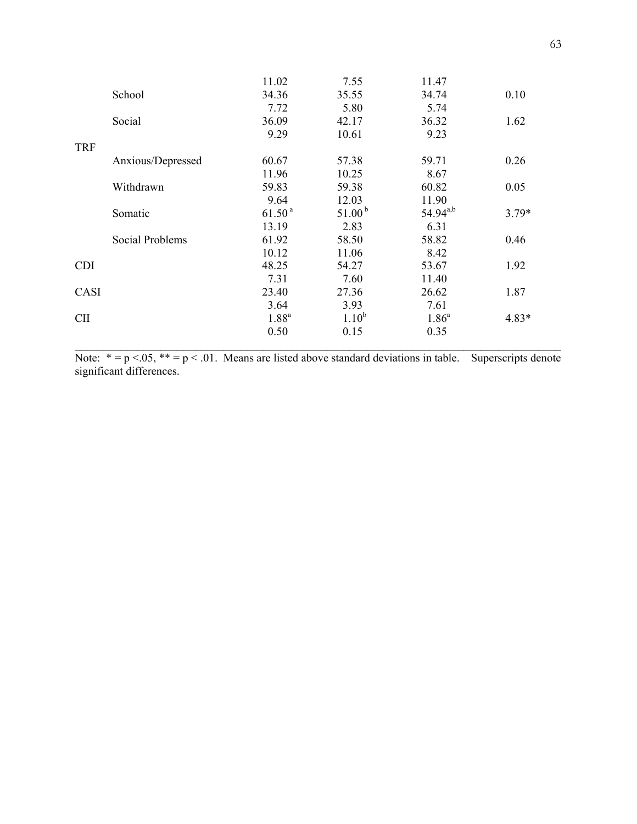|            |                   | 11.02              | 7.55               | 11.47         |         |
|------------|-------------------|--------------------|--------------------|---------------|---------|
|            | School            | 34.36              | 35.55              | 34.74         | 0.10    |
|            |                   | 7.72               | 5.80               | 5.74          |         |
|            | Social            | 36.09              | 42.17              | 36.32         | 1.62    |
|            |                   | 9.29               | 10.61              | 9.23          |         |
| <b>TRF</b> |                   |                    |                    |               |         |
|            | Anxious/Depressed | 60.67              | 57.38              | 59.71         | 0.26    |
|            |                   | 11.96              | 10.25              | 8.67          |         |
|            | Withdrawn         | 59.83              | 59.38              | 60.82         | 0.05    |
|            |                   | 9.64               | 12.03              | 11.90         |         |
|            | Somatic           | 61.50 <sup>a</sup> | 51.00 <sup>b</sup> | $54.94^{a,b}$ | $3.79*$ |
|            |                   | 13.19              | 2.83               | 6.31          |         |
|            | Social Problems   | 61.92              | 58.50              | 58.82         | 0.46    |
|            |                   | 10.12              | 11.06              | 8.42          |         |
| <b>CDI</b> |                   | 48.25              | 54.27              | 53.67         | 1.92    |
|            |                   | 7.31               | 7.60               | 11.40         |         |
| CASI       |                   | 23.40              | 27.36              | 26.62         | 1.87    |
|            |                   | 3.64               | 3.93               | 7.61          |         |
| <b>CII</b> |                   | $1.88^{a}$         | $1.10^{b}$         | $1.86^a$      | $4.83*$ |
|            |                   | 0.50               | 0.15               | 0.35          |         |
|            |                   |                    |                    |               |         |

Note:  $* = p < .05$ ,  $** = p < .01$ . Means are listed above standard deviations in table. Superscripts denote significant differences.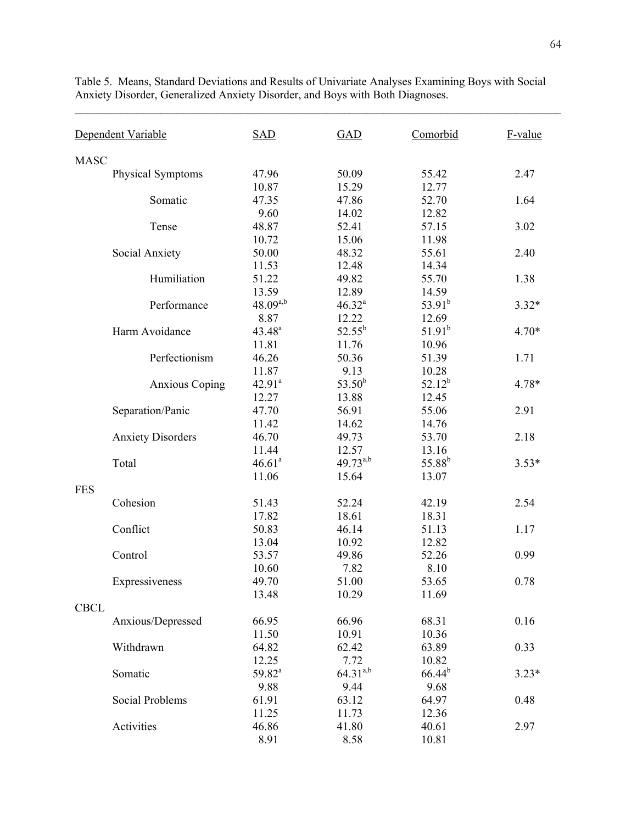Dependent Variable SAD GAD Comorbid F-value MASC Physical Symptoms 47.96 50.09 55.42 2.47 10.87 15.29 12.77 Somatic 47.35 47.86 52.70 1.64 9.60 14.02 12.82 Tense 48.87 52.41 57.15 3.02 10.72 15.06 11.98 Social Anxiety 50.00 48.32 55.61 2.40 11.53 12.48 14.34 Humiliation 51.22 49.82 55.70 1.38 13.59 12.89 14.59 Performance  $48.09^{a,b}$   $46.32^a$  $53.91^b$  3.32\* 8.87 12.22 12.69 Harm Avoidance 43.48<sup>a</sup>  $52.55^b$  $51.91<sup>b</sup>$  4.70\* 11.81 11.76 10.96 Perfectionism  $46.26$   $50.36$   $51.39$   $1.71$ 11.87 9.13 10.28 Anxious Coping 42.91<sup>a</sup>  $53.50<sup>b</sup>$  $52.12^b$  4.78\* 12.27 13.88 12.45 Separation/Panic 47.70 56.91 55.06 2.91 11.42 14.62 14.76 Anxiety Disorders 46.70 49.73 53.70 2.18 11.44 12.57 13.16 Total 46.61<sup>a</sup> 49.73<sup>a,b</sup> 55.88<sup>b</sup> 3.53\* 11.06 15.64 13.07 **FES** Cohesion 51.43 52.24 42.19 2.54 17.82 18.61 18.31 Conflict 50.83 46.14 51.13 1.17 13.04 10.92 12.82 Control 53.57 49.86 52.26 0.99 10.60 7.82 8.10 Expressiveness 49.70 51.00 53.65 0.78 13.48 10.29 11.69 CBCL Anxious/Depressed 66.95 66.96 68.31 0.16 11.50 10.91 10.36 Withdrawn 64.82 62.42 63.89 0.33 12.25 7.72 10.82 Somatic 59.82<sup>a</sup>  $64.31^{a,b}$  66.44<sup>b</sup> 3.23\* 9.88 9.44 9.68 Social Problems 61.91 63.12 64.97 64.97 64.98 11.25 11.73 12.36 Activities 46.86 41.80 40.61 2.97 8.91 8.58 10.81

Table 5. Means, Standard Deviations and Results of Univariate Analyses Examining Boys with Social Anxiety Disorder, Generalized Anxiety Disorder, and Boys with Both Diagnoses.

 $\mathcal{L}_\text{max} = \mathcal{L}_\text{max} = \mathcal{L}_\text{max} = \mathcal{L}_\text{max} = \mathcal{L}_\text{max} = \mathcal{L}_\text{max} = \mathcal{L}_\text{max} = \mathcal{L}_\text{max} = \mathcal{L}_\text{max} = \mathcal{L}_\text{max} = \mathcal{L}_\text{max} = \mathcal{L}_\text{max} = \mathcal{L}_\text{max} = \mathcal{L}_\text{max} = \mathcal{L}_\text{max} = \mathcal{L}_\text{max} = \mathcal{L}_\text{max} = \mathcal{L}_\text{max} = \mathcal{$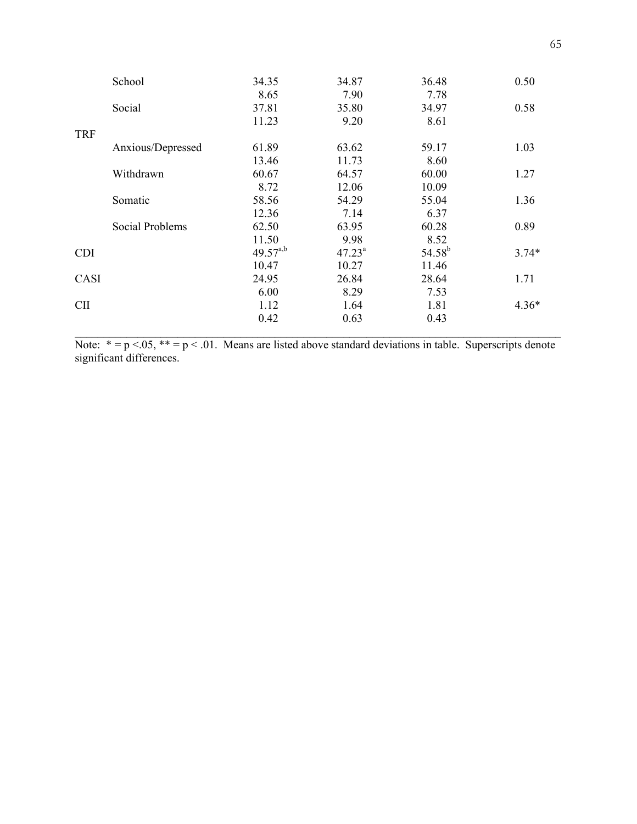| School            | 34.35         | 34.87     | 36.48       | 0.50    |
|-------------------|---------------|-----------|-------------|---------|
|                   | 8.65          | 7.90      | 7.78        |         |
| Social            | 37.81         | 35.80     | 34.97       | 0.58    |
|                   | 11.23         | 9.20      | 8.61        |         |
| <b>TRF</b>        |               |           |             |         |
| Anxious/Depressed | 61.89         | 63.62     | 59.17       | 1.03    |
|                   | 13.46         | 11.73     | 8.60        |         |
| Withdrawn         | 60.67         | 64.57     | 60.00       | 1.27    |
|                   | 8.72          | 12.06     | 10.09       |         |
| Somatic           | 58.56         | 54.29     | 55.04       | 1.36    |
|                   | 12.36         | 7.14      | 6.37        |         |
| Social Problems   | 62.50         | 63.95     | 60.28       | 0.89    |
|                   | 11.50         | 9.98      | 8.52        |         |
| <b>CDI</b>        | $49.57^{a,b}$ | $47.23^a$ | $54.58^{b}$ | $3.74*$ |
|                   | 10.47         | 10.27     | 11.46       |         |
| CASI              | 24.95         | 26.84     | 28.64       | 1.71    |
|                   | 6.00          | 8.29      | 7.53        |         |
| <b>CII</b>        | 1.12          | 1.64      | 1.81        | $4.36*$ |
|                   | 0.42          | 0.63      | 0.43        |         |
|                   |               |           |             |         |

Note:  $* = p < .05$ ,  $** = p < .01$ . Means are listed above standard deviations in table. Superscripts denote significant differences.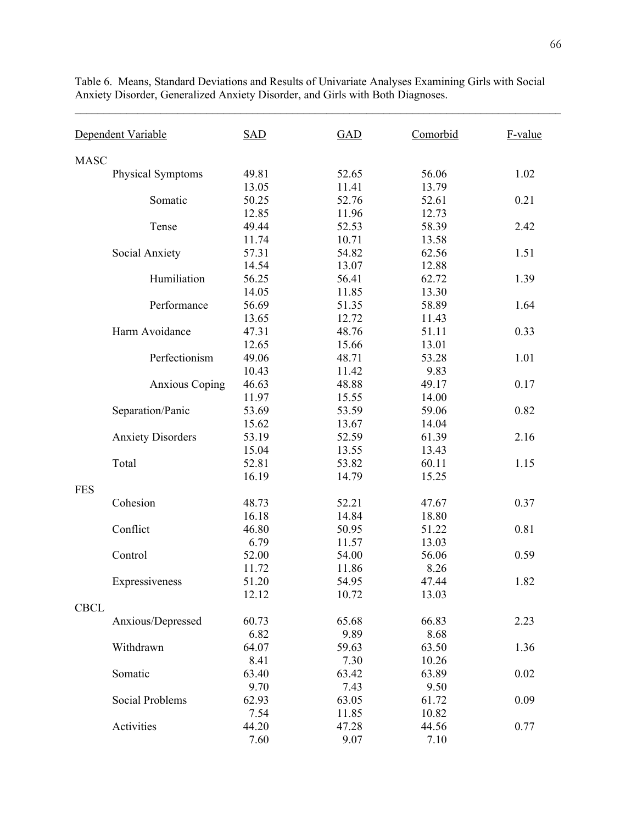Dependent Variable SAD GAD Comorbid F-value MASC Physical Symptoms 49.81 52.65 56.06 1.02 13.05 11.41 13.79 Somatic 50.25 52.76 52.61 0.21 12.85 11.96 12.73 Tense 49.44 52.53 58.39 2.42 11.74 10.71 13.58 Social Anxiety 57.31 54.82 62.56 1.51 14.54 13.07 12.88 Humiliation 56.25 56.41 62.72 1.39 14.05 11.85 13.30 Performance 56.69 51.35 58.89 1.64 13.65 12.72 11.43 Harm Avoidance 47.31 48.76 51.11 0.33 12.65 15.66 13.01 Perfectionism 49.06 48.71 53.28 1.01 10.43 11.42 9.83 Anxious Coping 46.63 48.88 49.17 0.17 11.97 15.55 14.00 Separation/Panic 53.69 53.59 59.06 0.82 15.62 13.67 14.04 Anxiety Disorders 53.19 52.59 61.39 2.16 15.04 13.55 13.43 Total 52.81 53.82 60.11 1.15 16.19 14.79 15.25 FES Cohesion 48.73 52.21 47.67 0.37 16.18 14.84 18.80 Conflict 46.80 50.95 51.22 0.81 6.79 11.57 13.03 Control 52.00 54.00 56.06 0.59 11.72 11.86 8.26 Expressiveness 51.20 54.95 47.44 1.82 12.12 10.72 13.03 CBCL Anxious/Depressed 60.73 65.68 66.83 2.23 6.82 9.89 8.68 Withdrawn 64.07 59.63 63.50 1.36 8.41 7.30 10.26 Somatic 63.40 63.42 63.89 0.02 9.70 7.43 9.50 Social Problems 62.93 63.05 61.72 0.09 7.54 11.85 10.82 Activities 44.20 47.28 44.56 0.77 7.60 9.07 7.10

Table 6. Means, Standard Deviations and Results of Univariate Analyses Examining Girls with Social Anxiety Disorder, Generalized Anxiety Disorder, and Girls with Both Diagnoses.

 $\mathcal{L}_\text{max} = \mathcal{L}_\text{max} = \mathcal{L}_\text{max} = \mathcal{L}_\text{max} = \mathcal{L}_\text{max} = \mathcal{L}_\text{max} = \mathcal{L}_\text{max} = \mathcal{L}_\text{max} = \mathcal{L}_\text{max} = \mathcal{L}_\text{max} = \mathcal{L}_\text{max} = \mathcal{L}_\text{max} = \mathcal{L}_\text{max} = \mathcal{L}_\text{max} = \mathcal{L}_\text{max} = \mathcal{L}_\text{max} = \mathcal{L}_\text{max} = \mathcal{L}_\text{max} = \mathcal{$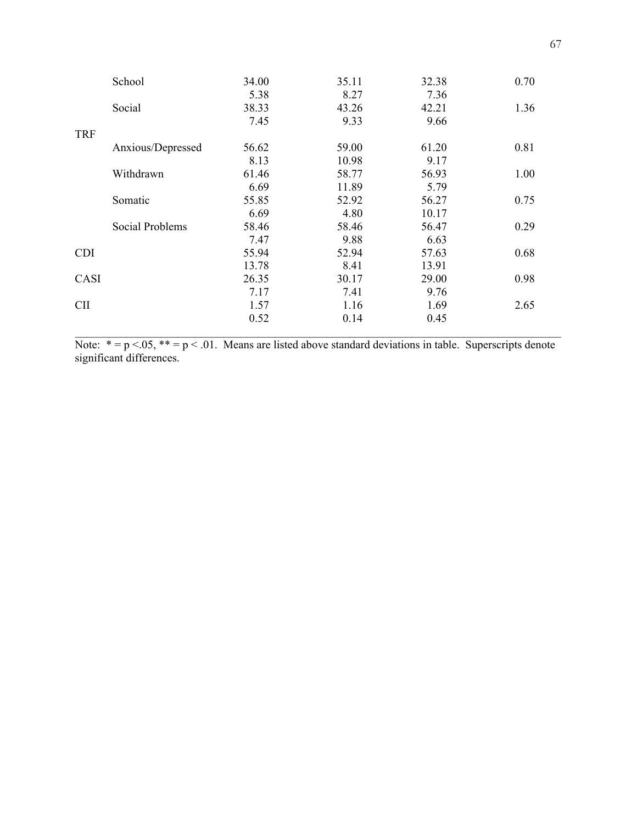|            | School            | 34.00 | 35.11 | 32.38 | 0.70 |
|------------|-------------------|-------|-------|-------|------|
|            |                   | 5.38  | 8.27  | 7.36  |      |
|            | Social            | 38.33 | 43.26 | 42.21 | 1.36 |
|            |                   | 7.45  | 9.33  | 9.66  |      |
| <b>TRF</b> |                   |       |       |       |      |
|            | Anxious/Depressed | 56.62 | 59.00 | 61.20 | 0.81 |
|            |                   | 8.13  | 10.98 | 9.17  |      |
|            | Withdrawn         | 61.46 | 58.77 | 56.93 | 1.00 |
|            |                   | 6.69  | 11.89 | 5.79  |      |
|            | Somatic           | 55.85 | 52.92 | 56.27 | 0.75 |
|            |                   | 6.69  | 4.80  | 10.17 |      |
|            | Social Problems   | 58.46 | 58.46 | 56.47 | 0.29 |
|            |                   | 7.47  | 9.88  | 6.63  |      |
| <b>CDI</b> |                   | 55.94 | 52.94 | 57.63 | 0.68 |
|            |                   | 13.78 | 8.41  | 13.91 |      |
| CASI       |                   | 26.35 | 30.17 | 29.00 | 0.98 |
|            |                   | 7.17  | 7.41  | 9.76  |      |
| <b>CII</b> |                   | 1.57  | 1.16  | 1.69  | 2.65 |
|            |                   | 0.52  | 0.14  | 0.45  |      |
|            |                   |       |       |       |      |

Note:  $* = p < .05$ ,  $** = p < .01$ . Means are listed above standard deviations in table. Superscripts denote significant differences.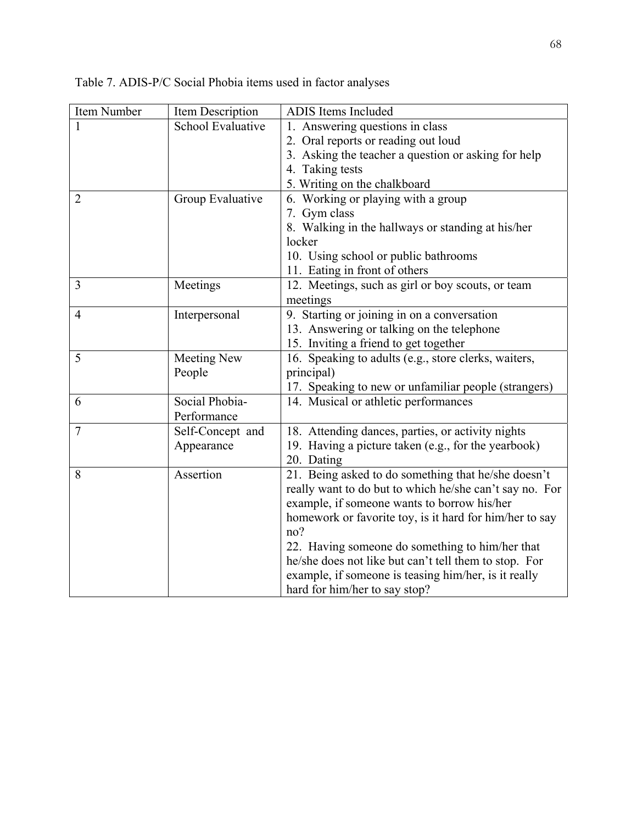| Item Number    | Item Description   | <b>ADIS</b> Items Included                                                                               |
|----------------|--------------------|----------------------------------------------------------------------------------------------------------|
|                | School Evaluative  | 1. Answering questions in class                                                                          |
|                |                    | 2. Oral reports or reading out loud                                                                      |
|                |                    | 3. Asking the teacher a question or asking for help                                                      |
|                |                    | 4. Taking tests                                                                                          |
|                |                    | 5. Writing on the chalkboard                                                                             |
| $\overline{2}$ | Group Evaluative   | 6. Working or playing with a group                                                                       |
|                |                    | 7. Gym class                                                                                             |
|                |                    | 8. Walking in the hallways or standing at his/her                                                        |
|                |                    | locker                                                                                                   |
|                |                    | 10. Using school or public bathrooms                                                                     |
|                |                    | 11. Eating in front of others                                                                            |
| 3              | Meetings           | 12. Meetings, such as girl or boy scouts, or team                                                        |
|                |                    | meetings                                                                                                 |
| $\overline{4}$ | Interpersonal      | 9. Starting or joining in on a conversation                                                              |
|                |                    | 13. Answering or talking on the telephone                                                                |
|                |                    | 15. Inviting a friend to get together                                                                    |
| 5              | <b>Meeting New</b> | 16. Speaking to adults (e.g., store clerks, waiters,                                                     |
|                | People             | principal)                                                                                               |
|                |                    | 17. Speaking to new or unfamiliar people (strangers)                                                     |
| 6              | Social Phobia-     | 14. Musical or athletic performances                                                                     |
|                | Performance        |                                                                                                          |
| 7              | Self-Concept and   | 18. Attending dances, parties, or activity nights                                                        |
|                | Appearance         | 19. Having a picture taken (e.g., for the yearbook)                                                      |
|                |                    | 20. Dating                                                                                               |
| 8              | Assertion          | 21. Being asked to do something that he/she doesn't                                                      |
|                |                    | really want to do but to which he/she can't say no. For                                                  |
|                |                    | example, if someone wants to borrow his/her                                                              |
|                |                    | homework or favorite toy, is it hard for him/her to say<br>no?                                           |
|                |                    |                                                                                                          |
|                |                    | 22. Having someone do something to him/her that<br>he/she does not like but can't tell them to stop. For |
|                |                    | example, if someone is teasing him/her, is it really                                                     |
|                |                    | hard for him/her to say stop?                                                                            |
|                |                    |                                                                                                          |

Table 7. ADIS-P/C Social Phobia items used in factor analyses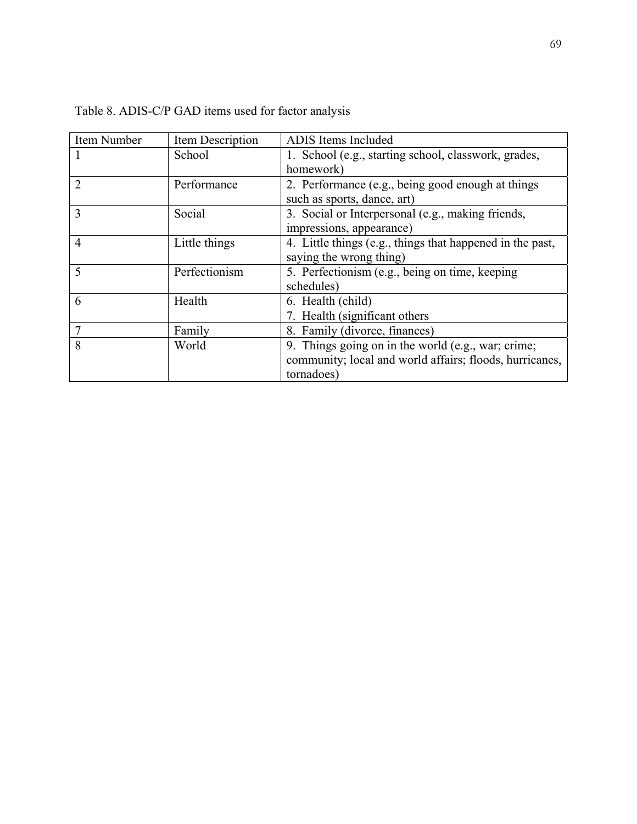| Item Number    | Item Description | ADIS Items Included                                       |
|----------------|------------------|-----------------------------------------------------------|
|                | School           | 1. School (e.g., starting school, classwork, grades,      |
|                |                  | homework)                                                 |
| 2              | Performance      | 2. Performance (e.g., being good enough at things         |
|                |                  | such as sports, dance, art)                               |
| 3              | Social           | 3. Social or Interpersonal (e.g., making friends,         |
|                |                  | impressions, appearance)                                  |
| $\overline{4}$ | Little things    | 4. Little things (e.g., things that happened in the past, |
|                |                  | saying the wrong thing)                                   |
| 5              | Perfectionism    | 5. Perfectionism (e.g., being on time, keeping            |
|                |                  | schedules)                                                |
| 6              | Health           | 6. Health (child)                                         |
|                |                  | 7. Health (significant others)                            |
|                | Family           | 8. Family (divorce, finances)                             |
| 8              | World            | 9. Things going on in the world (e.g., war; crime;        |
|                |                  | community; local and world affairs; floods, hurricanes,   |
|                |                  | tornadoes)                                                |

Table 8. ADIS-C/P GAD items used for factor analysis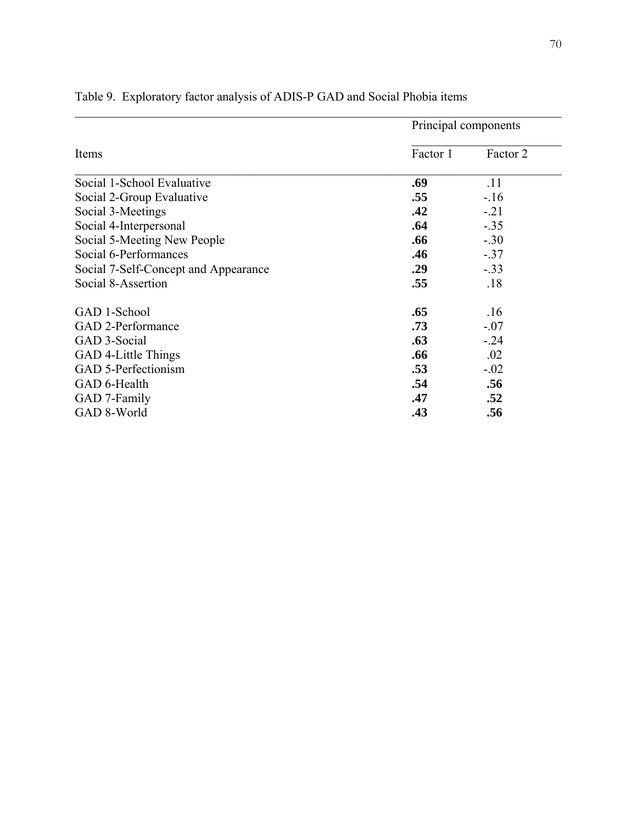|                                      | Principal components |          |
|--------------------------------------|----------------------|----------|
| Items                                | Factor 1             | Factor 2 |
| Social 1-School Evaluative           | .69                  | .11      |
| Social 2-Group Evaluative            | .55                  | $-.16$   |
| Social 3-Meetings                    | .42                  | $-21$    |
| Social 4-Interpersonal               | .64                  | $-.35$   |
| Social 5-Meeting New People          | .66                  | $-.30$   |
| Social 6-Performances                | .46                  | $-.37$   |
| Social 7-Self-Concept and Appearance | .29                  | $-.33$   |
| Social 8-Assertion                   | .55                  | .18      |
| GAD 1-School                         | .65                  | .16      |
| GAD 2-Performance                    | .73                  | $-.07$   |
| GAD 3-Social                         | .63                  | $-.24$   |
| GAD 4-Little Things                  | .66                  | .02      |
| GAD 5-Perfectionism                  | .53                  | $-.02$   |
| GAD 6-Health                         | .54                  | .56      |
| GAD 7-Family                         | .47                  | .52      |
| GAD 8-World                          | .43                  | .56      |

## Table 9. Exploratory factor analysis of ADIS-P GAD and Social Phobia items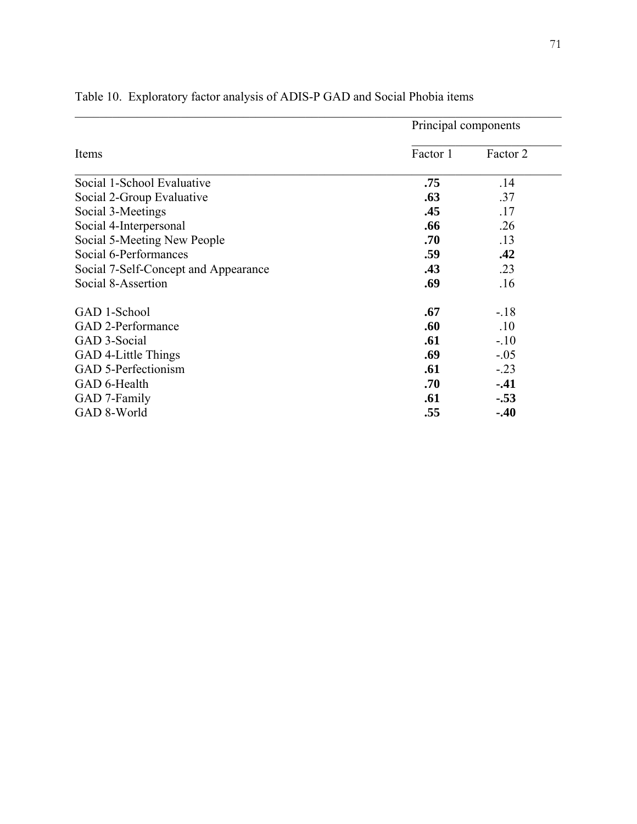|                                      | Principal components |          |  |
|--------------------------------------|----------------------|----------|--|
| Items                                | Factor 1             | Factor 2 |  |
| Social 1-School Evaluative           | .75                  | .14      |  |
| Social 2-Group Evaluative            | .63                  | .37      |  |
| Social 3-Meetings                    | .45                  | .17      |  |
| Social 4-Interpersonal               | .66                  | .26      |  |
| Social 5-Meeting New People          | .70                  | .13      |  |
| Social 6-Performances                | .59                  | .42      |  |
| Social 7-Self-Concept and Appearance | .43                  | .23      |  |
| Social 8-Assertion                   | .69                  | .16      |  |
| GAD 1-School                         | .67                  | $-.18$   |  |
| GAD 2-Performance                    | .60                  | .10      |  |
| GAD 3-Social                         | .61                  | $-.10$   |  |
| GAD 4-Little Things                  | .69                  | $-.05$   |  |
| GAD 5-Perfectionism                  | .61                  | $-.23$   |  |
| GAD 6-Health                         | .70                  | $-41$    |  |
| GAD 7-Family                         | .61                  | $-.53$   |  |
| GAD 8-World                          | .55                  | $-.40$   |  |

## Table 10. Exploratory factor analysis of ADIS-P GAD and Social Phobia items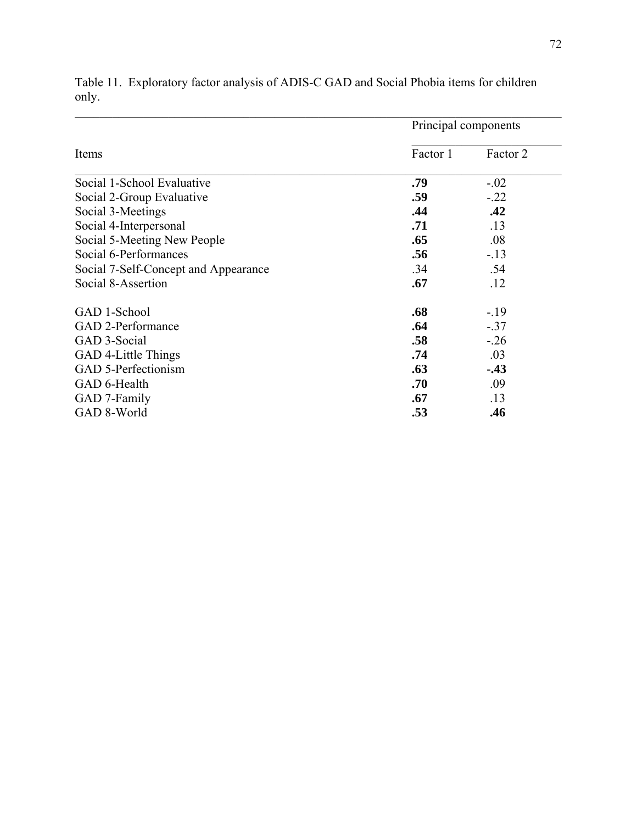|                                      | Principal components |          |  |
|--------------------------------------|----------------------|----------|--|
| Items                                | Factor 1             | Factor 2 |  |
| Social 1-School Evaluative           | .79                  | $-.02$   |  |
| Social 2-Group Evaluative            | .59                  | $-.22$   |  |
| Social 3-Meetings                    | .44                  | .42      |  |
| Social 4-Interpersonal               | .71                  | .13      |  |
| Social 5-Meeting New People          | .65                  | .08      |  |
| Social 6-Performances                | .56                  | $-13$    |  |
| Social 7-Self-Concept and Appearance | .34                  | .54      |  |
| Social 8-Assertion                   | .67                  | .12      |  |
| GAD 1-School                         | .68                  | $-.19$   |  |
| GAD 2-Performance                    | .64                  | $-.37$   |  |
| GAD 3-Social                         | .58                  | $-26$    |  |
| GAD 4-Little Things                  | .74                  | .03      |  |
| GAD 5-Perfectionism                  | .63                  | $-43$    |  |
| GAD 6-Health                         | .70                  | .09      |  |
| GAD 7-Family                         | .67                  | .13      |  |
| GAD 8-World                          | .53                  | .46      |  |

Table 11. Exploratory factor analysis of ADIS-C GAD and Social Phobia items for children only.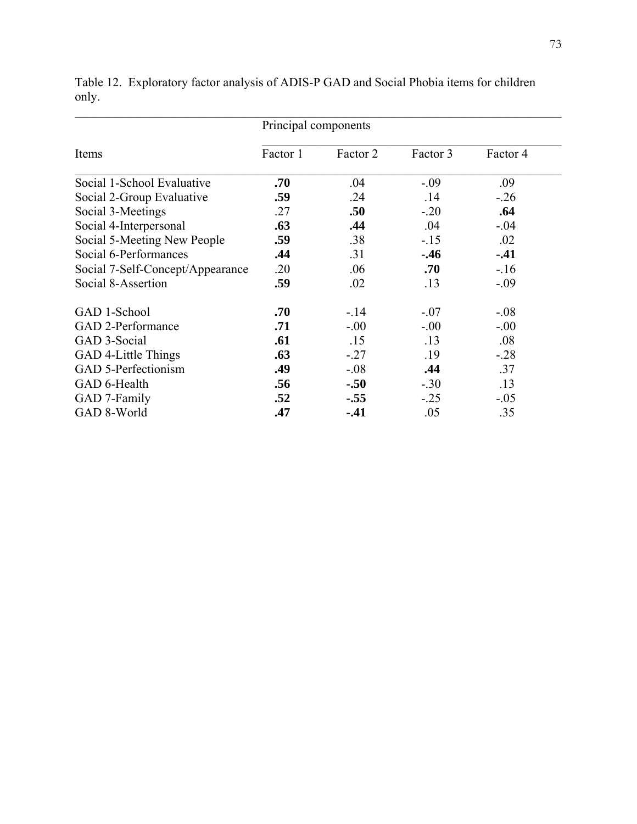|                                  | Principal components |          |          |          |  |
|----------------------------------|----------------------|----------|----------|----------|--|
| Items                            | Factor 1             | Factor 2 | Factor 3 | Factor 4 |  |
| Social 1-School Evaluative       | .70                  | .04      | $-.09$   | .09      |  |
| Social 2-Group Evaluative        | .59                  | .24      | .14      | $-.26$   |  |
| Social 3-Meetings                | .27                  | .50      | $-.20$   | .64      |  |
| Social 4-Interpersonal           | .63                  | .44      | .04      | $-.04$   |  |
| Social 5-Meeting New People      | .59                  | .38      | $-15$    | .02      |  |
| Social 6-Performances            | .44                  | .31      | $-.46$   | $-.41$   |  |
| Social 7-Self-Concept/Appearance | .20                  | .06      | .70      | $-.16$   |  |
| Social 8-Assertion               | .59                  | .02      | .13      | $-.09$   |  |
| GAD 1-School                     | .70                  | $-.14$   | $-.07$   | $-.08$   |  |
| GAD 2-Performance                | .71                  | $-.00$   | $-.00$   | $-.00$   |  |
| GAD 3-Social                     | .61                  | .15      | .13      | .08      |  |
| GAD 4-Little Things              | .63                  | $-.27$   | .19      | $-28$    |  |
| GAD 5-Perfectionism              | .49                  | $-.08$   | .44      | .37      |  |
| GAD 6-Health                     | .56                  | $-.50$   | $-.30$   | .13      |  |
| GAD 7-Family                     | .52                  | $-.55$   | $-.25$   | $-.05$   |  |
| GAD 8-World                      | .47                  | $-41$    | .05      | .35      |  |

Table 12. Exploratory factor analysis of ADIS-P GAD and Social Phobia items for children only.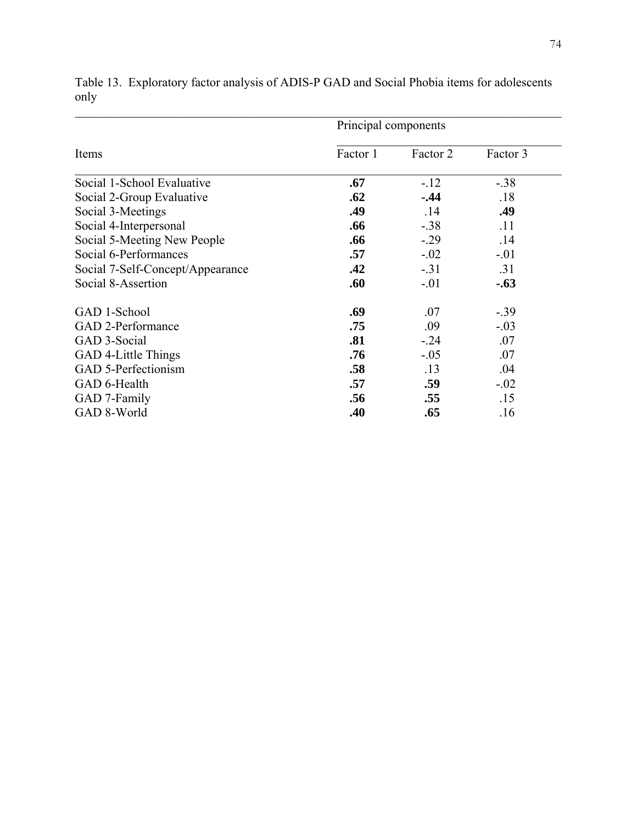|                                  | Principal components |          |          |  |
|----------------------------------|----------------------|----------|----------|--|
| Items                            | Factor 1             | Factor 2 | Factor 3 |  |
| Social 1-School Evaluative       | .67                  | $-12$    | $-.38$   |  |
| Social 2-Group Evaluative        | .62                  | $-0.44$  | .18      |  |
| Social 3-Meetings                | .49                  | .14      | .49      |  |
| Social 4-Interpersonal           | .66                  | $-.38$   | .11      |  |
| Social 5-Meeting New People      | .66                  | $-0.29$  | .14      |  |
| Social 6-Performances            | .57                  | $-.02$   | $-.01$   |  |
| Social 7-Self-Concept/Appearance | .42                  | $-.31$   | .31      |  |
| Social 8-Assertion               | .60                  | $-.01$   | $-.63$   |  |
| GAD 1-School                     | .69                  | .07      | $-0.39$  |  |
| GAD 2-Performance                | .75                  | .09      | $-.03$   |  |
| GAD 3-Social                     | .81                  | $-0.24$  | .07      |  |
| GAD 4-Little Things              | .76                  | $-.05$   | .07      |  |
| GAD 5-Perfectionism              | .58                  | .13      | .04      |  |
| GAD 6-Health                     | .57                  | .59      | $-.02$   |  |
| GAD 7-Family                     | .56                  | .55      | .15      |  |
| GAD 8-World                      | .40                  | .65      | .16      |  |

Table 13. Exploratory factor analysis of ADIS-P GAD and Social Phobia items for adolescents only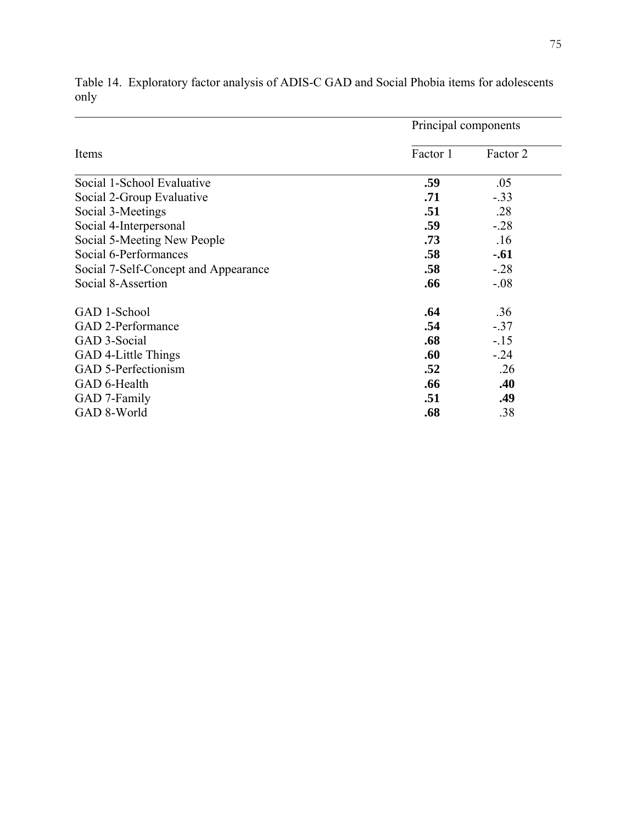|                                      | Principal components |          |  |
|--------------------------------------|----------------------|----------|--|
| Items                                | Factor 1             | Factor 2 |  |
| Social 1-School Evaluative           | .59                  | .05      |  |
| Social 2-Group Evaluative            | .71                  | $-.33$   |  |
| Social 3-Meetings                    | .51                  | .28      |  |
| Social 4-Interpersonal               | .59                  | $-.28$   |  |
| Social 5-Meeting New People          | .73                  | .16      |  |
| Social 6-Performances                | .58                  | $-.61$   |  |
| Social 7-Self-Concept and Appearance | .58                  | $-.28$   |  |
| Social 8-Assertion                   | .66                  | $-.08$   |  |
| GAD 1-School                         | .64                  | .36      |  |
| GAD 2-Performance                    | .54                  | $-.37$   |  |
| GAD 3-Social                         | .68                  | $-15$    |  |
| GAD 4-Little Things                  | .60                  | $-.24$   |  |
| GAD 5-Perfectionism                  | .52                  | .26      |  |
| GAD 6-Health                         | .66                  | .40      |  |
| GAD 7-Family                         | .51                  | .49      |  |
| GAD 8-World                          | .68                  | .38      |  |

Table 14. Exploratory factor analysis of ADIS-C GAD and Social Phobia items for adolescents only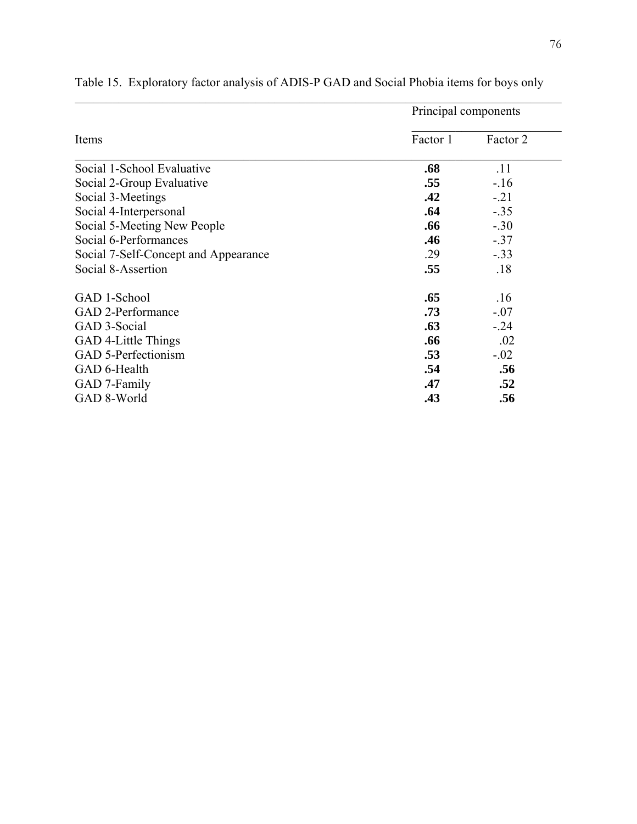|                                      | Principal components |          |  |
|--------------------------------------|----------------------|----------|--|
| Items                                | Factor 1             | Factor 2 |  |
| Social 1-School Evaluative           | .68                  | .11      |  |
| Social 2-Group Evaluative            | .55                  | $-.16$   |  |
| Social 3-Meetings                    | .42                  | $-.21$   |  |
| Social 4-Interpersonal               | .64                  | $-.35$   |  |
| Social 5-Meeting New People          | .66                  | $-.30$   |  |
| Social 6-Performances                | .46                  | $-.37$   |  |
| Social 7-Self-Concept and Appearance | .29                  | $-.33$   |  |
| Social 8-Assertion                   | .55                  | .18      |  |
| GAD 1-School                         | .65                  | .16      |  |
| <b>GAD 2-Performance</b>             | .73                  | $-.07$   |  |
| GAD 3-Social                         | .63                  | $-.24$   |  |
| GAD 4-Little Things                  | .66                  | .02      |  |
| GAD 5-Perfectionism                  | .53                  | $-.02$   |  |
| GAD 6-Health                         | .54                  | .56      |  |
| GAD 7-Family                         | .47                  | .52      |  |
| GAD 8-World                          | .43                  | .56      |  |

Table 15. Exploratory factor analysis of ADIS-P GAD and Social Phobia items for boys only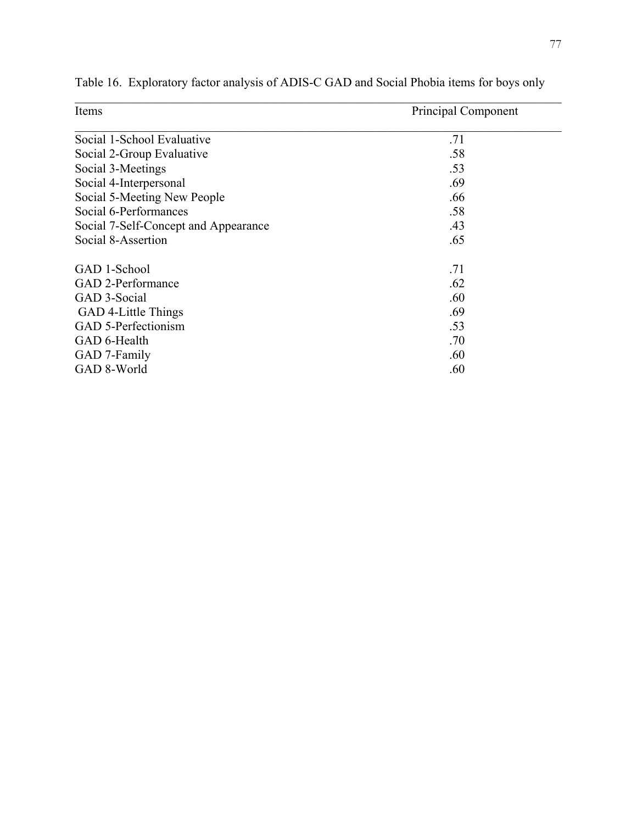| Items                                | Principal Component |
|--------------------------------------|---------------------|
| Social 1-School Evaluative           | .71                 |
| Social 2-Group Evaluative            | .58                 |
| Social 3-Meetings                    | .53                 |
| Social 4-Interpersonal               | .69                 |
| Social 5-Meeting New People          | .66                 |
| Social 6-Performances                | .58                 |
| Social 7-Self-Concept and Appearance | .43                 |
| Social 8-Assertion                   | .65                 |
| GAD 1-School                         | .71                 |
| GAD 2-Performance                    | .62                 |
| GAD 3-Social                         | .60                 |
| GAD 4-Little Things                  | .69                 |
| GAD 5-Perfectionism                  | .53                 |
| GAD 6-Health                         | .70                 |
| GAD 7-Family                         | .60                 |
| GAD 8-World                          | .60                 |

Table 16. Exploratory factor analysis of ADIS-C GAD and Social Phobia items for boys only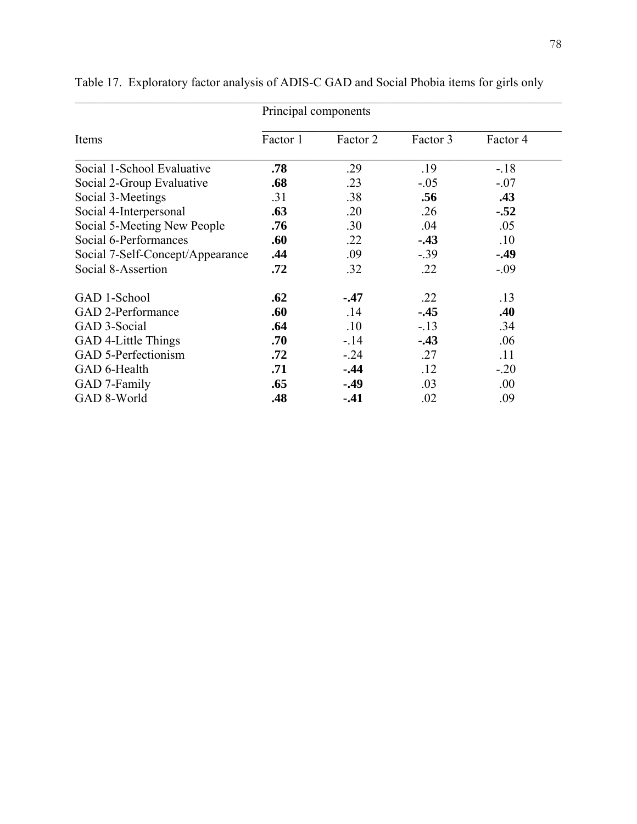|                                  | Principal components |          |          |          |
|----------------------------------|----------------------|----------|----------|----------|
| Items                            | Factor 1             | Factor 2 | Factor 3 | Factor 4 |
| Social 1-School Evaluative       | .78                  | .29      | .19      | $-.18$   |
| Social 2-Group Evaluative        | .68                  | .23      | $-.05$   | $-.07$   |
| Social 3-Meetings                | .31                  | .38      | .56      | .43      |
| Social 4-Interpersonal           | .63                  | .20      | .26      | $-.52$   |
| Social 5-Meeting New People      | .76                  | .30      | .04      | .05      |
| Social 6-Performances            | .60                  | .22      | $-43$    | .10      |
| Social 7-Self-Concept/Appearance | .44                  | .09      | $-0.39$  | $-49$    |
| Social 8-Assertion               | .72                  | .32      | .22      | $-.09$   |
| GAD 1-School                     | .62                  | $-47$    | .22      | .13      |
| GAD 2-Performance                | .60                  | .14      | $-45$    | .40      |
| GAD 3-Social                     | .64                  | .10      | $-.13$   | .34      |
| GAD 4-Little Things              | .70                  | $-.14$   | $-.43$   | .06      |
| GAD 5-Perfectionism              | .72                  | $-24$    | .27      | .11      |
| GAD 6-Health                     | .71                  | $-.44$   | .12      | $-.20$   |
| GAD 7-Family                     | .65                  | $-.49$   | .03      | .00.     |
| GAD 8-World                      | .48                  | $-41$    | .02      | .09      |

Table 17. Exploratory factor analysis of ADIS-C GAD and Social Phobia items for girls only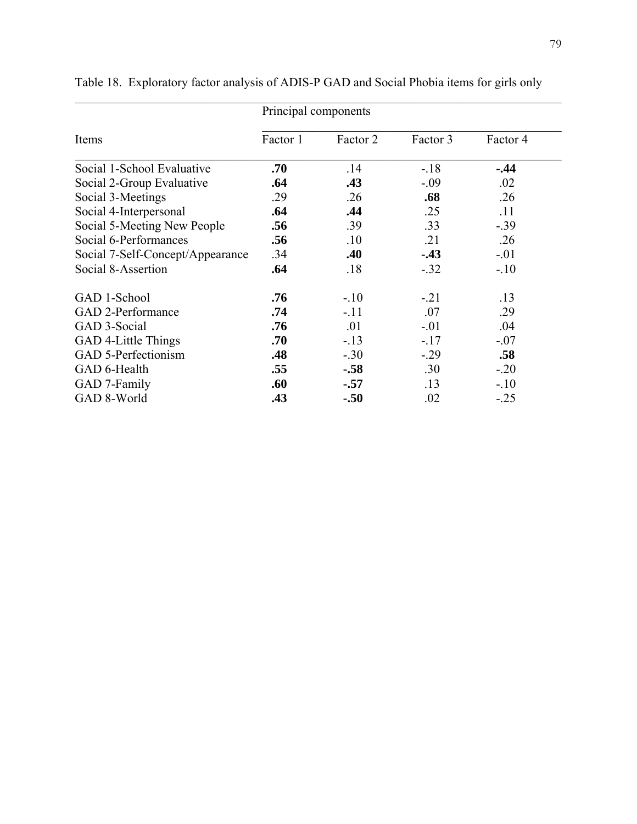|                                  | Principal components |          |          |          |
|----------------------------------|----------------------|----------|----------|----------|
| Items                            | Factor 1             | Factor 2 | Factor 3 | Factor 4 |
| Social 1-School Evaluative       | .70                  | .14      | $-18$    | $-44$    |
| Social 2-Group Evaluative        | .64                  | .43      | $-.09$   | .02      |
| Social 3-Meetings                | .29                  | .26      | .68      | .26      |
| Social 4-Interpersonal           | .64                  | .44      | .25      | .11      |
| Social 5-Meeting New People      | .56                  | .39      | .33      | $-.39$   |
| Social 6-Performances            | .56                  | .10      | .21      | .26      |
| Social 7-Self-Concept/Appearance | .34                  | .40      | $-43$    | $-.01$   |
| Social 8-Assertion               | .64                  | .18      | $-.32$   | $-.10$   |
| GAD 1-School                     | .76                  | $-.10$   | $-21$    | .13      |
| GAD 2-Performance                | .74                  | $-.11$   | .07      | .29      |
| GAD 3-Social                     | .76                  | .01      | $-.01$   | .04      |
| GAD 4-Little Things              | .70                  | $-13$    | $-.17$   | $-.07$   |
| GAD 5-Perfectionism              | .48                  | $-.30$   | $-.29$   | .58      |
| GAD 6-Health                     | .55                  | $-.58$   | .30      | $-.20$   |
| GAD 7-Family                     | .60                  | $-.57$   | .13      | $-.10$   |
| GAD 8-World                      | .43                  | $-.50$   | .02      | $-.25$   |

Table 18. Exploratory factor analysis of ADIS-P GAD and Social Phobia items for girls only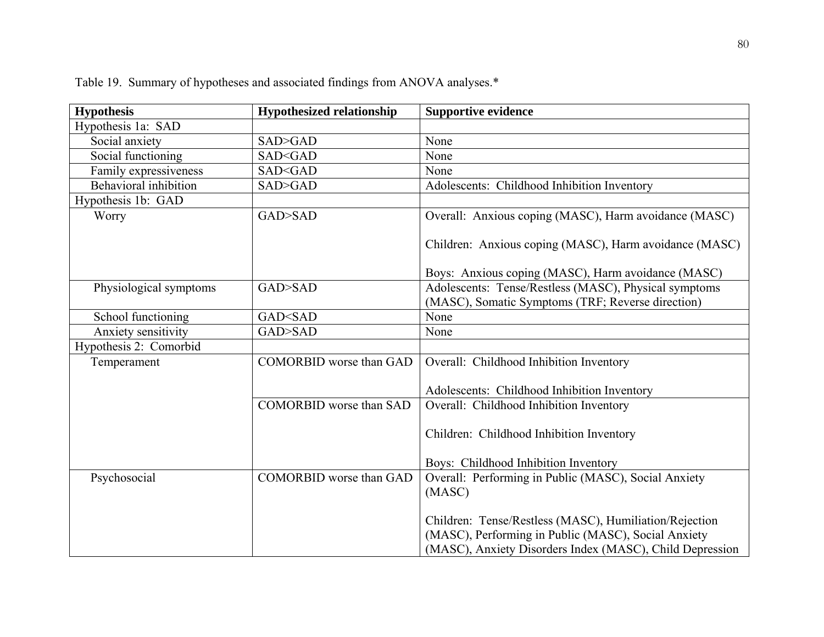| <b>Hypothesis</b>      | <b>Hypothesized relationship</b>     | <b>Supportive evidence</b>                                                                                                                                                |
|------------------------|--------------------------------------|---------------------------------------------------------------------------------------------------------------------------------------------------------------------------|
| Hypothesis 1a: SAD     |                                      |                                                                                                                                                                           |
| Social anxiety         | SAD>GAD                              | None                                                                                                                                                                      |
| Social functioning     | SAD <gad< td=""><td>None</td></gad<> | None                                                                                                                                                                      |
| Family expressiveness  | SAD <gad< td=""><td>None</td></gad<> | None                                                                                                                                                                      |
| Behavioral inhibition  | SAD>GAD                              | Adolescents: Childhood Inhibition Inventory                                                                                                                               |
| Hypothesis 1b: GAD     |                                      |                                                                                                                                                                           |
| Worry                  | GAD>SAD                              | Overall: Anxious coping (MASC), Harm avoidance (MASC)                                                                                                                     |
|                        |                                      | Children: Anxious coping (MASC), Harm avoidance (MASC)<br>Boys: Anxious coping (MASC), Harm avoidance (MASC)                                                              |
| Physiological symptoms | GAD>SAD                              | Adolescents: Tense/Restless (MASC), Physical symptoms                                                                                                                     |
|                        |                                      | (MASC), Somatic Symptoms (TRF; Reverse direction)                                                                                                                         |
| School functioning     | GAD <sad< td=""><td>None</td></sad<> | None                                                                                                                                                                      |
| Anxiety sensitivity    | GAD>SAD                              | None                                                                                                                                                                      |
| Hypothesis 2: Comorbid |                                      |                                                                                                                                                                           |
| Temperament            | <b>COMORBID</b> worse than GAD       | Overall: Childhood Inhibition Inventory                                                                                                                                   |
|                        |                                      |                                                                                                                                                                           |
|                        |                                      | Adolescents: Childhood Inhibition Inventory                                                                                                                               |
|                        | <b>COMORBID</b> worse than SAD       | Overall: Childhood Inhibition Inventory                                                                                                                                   |
|                        |                                      |                                                                                                                                                                           |
|                        |                                      | Children: Childhood Inhibition Inventory                                                                                                                                  |
|                        |                                      |                                                                                                                                                                           |
|                        |                                      | Boys: Childhood Inhibition Inventory                                                                                                                                      |
| Psychosocial           | <b>COMORBID</b> worse than GAD       | Overall: Performing in Public (MASC), Social Anxiety<br>(MASC)                                                                                                            |
|                        |                                      | Children: Tense/Restless (MASC), Humiliation/Rejection<br>(MASC), Performing in Public (MASC), Social Anxiety<br>(MASC), Anxiety Disorders Index (MASC), Child Depression |

Table 19. Summary of hypotheses and associated findings from ANOVA analyses.\*